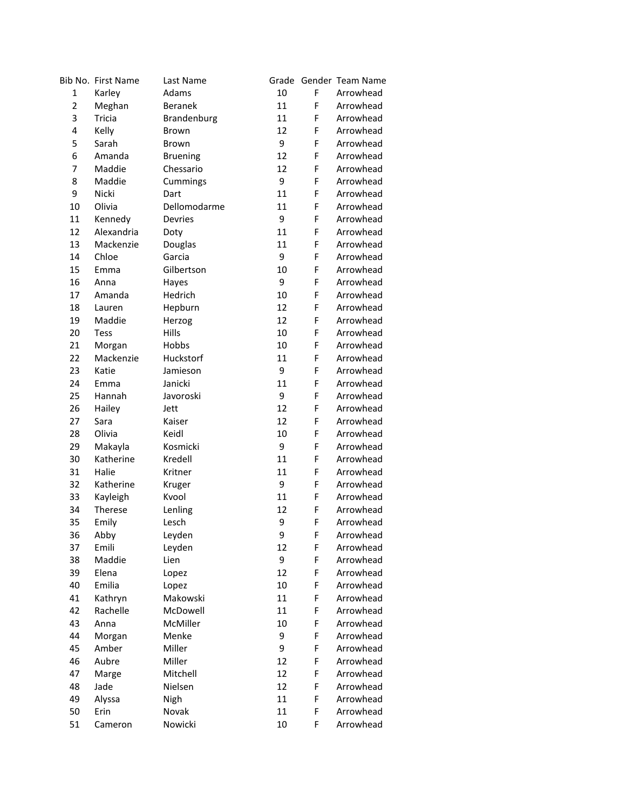|                | Bib No. First Name | Last Name       |    |   | Grade Gender Team Name |
|----------------|--------------------|-----------------|----|---|------------------------|
| $\mathbf{1}$   | Karley             | Adams           | 10 | F | Arrowhead              |
| $\overline{2}$ | Meghan             | <b>Beranek</b>  | 11 | F | Arrowhead              |
| 3              | Tricia             | Brandenburg     | 11 | F | Arrowhead              |
| 4              | Kelly              | Brown           | 12 | F | Arrowhead              |
| 5              | Sarah              | Brown           | 9  | F | Arrowhead              |
| 6              | Amanda             | <b>Bruening</b> | 12 | F | Arrowhead              |
| 7              | Maddie             | Chessario       | 12 | F | Arrowhead              |
| 8              | Maddie             | Cummings        | 9  | F | Arrowhead              |
| 9              | Nicki              | Dart            | 11 | F | Arrowhead              |
| 10             | Olivia             | Dellomodarme    | 11 | F | Arrowhead              |
| 11             | Kennedy            | Devries         | 9  | F | Arrowhead              |
| 12             | Alexandria         | Doty            | 11 | F | Arrowhead              |
| 13             | Mackenzie          | Douglas         | 11 | F | Arrowhead              |
| 14             | Chloe              | Garcia          | 9  | F | Arrowhead              |
| 15             | Emma               | Gilbertson      | 10 | F | Arrowhead              |
| 16             | Anna               | Hayes           | 9  | F | Arrowhead              |
| 17             | Amanda             | Hedrich         | 10 | F | Arrowhead              |
| 18             | Lauren             | Hepburn         | 12 | F | Arrowhead              |
| 19             | Maddie             | Herzog          | 12 | F | Arrowhead              |
| 20             | <b>Tess</b>        | Hills           | 10 | F | Arrowhead              |
| 21             | Morgan             | Hobbs           | 10 | F | Arrowhead              |
| 22             | Mackenzie          | Huckstorf       | 11 | F | Arrowhead              |
| 23             | Katie              | Jamieson        | 9  | F | Arrowhead              |
| 24             | Emma               | Janicki         | 11 | F | Arrowhead              |
| 25             | Hannah             | Javoroski       | 9  | F | Arrowhead              |
| 26             | Hailey             | Jett            | 12 | F | Arrowhead              |
| 27             | Sara               | Kaiser          | 12 | F | Arrowhead              |
| 28             | Olivia             | Keidl           | 10 | F | Arrowhead              |
| 29             | Makayla            | Kosmicki        | 9  | F | Arrowhead              |
| 30             | Katherine          | Kredell         | 11 | F | Arrowhead              |
| 31             | Halie              | Kritner         | 11 | F | Arrowhead              |
| 32             | Katherine          | Kruger          | 9  | F | Arrowhead              |
| 33             | Kayleigh           | Kvool           | 11 | F | Arrowhead              |
| 34             | Therese            | Lenling         | 12 | F | Arrowhead              |
| 35             | Emily              | Lesch           | 9  | F | Arrowhead              |
| 36             | Abby               | Leyden          | 9  | F | Arrowhead              |
| 37             | Emili              | Leyden          | 12 | F | Arrowhead              |
| 38             | Maddie             | Lien            | 9  | F | Arrowhead              |
| 39             | Elena              | Lopez           | 12 | F | Arrowhead              |
| 40             | Emilia             | Lopez           | 10 | F | Arrowhead              |
| 41             | Kathryn            | Makowski        | 11 | F | Arrowhead              |
| 42             | Rachelle           | McDowell        | 11 | F | Arrowhead              |
| 43             | Anna               | McMiller        | 10 | F | Arrowhead              |
| 44             | Morgan             | Menke           | 9  | F | Arrowhead              |
| 45             | Amber              | Miller          | 9  | F | Arrowhead              |
| 46             | Aubre              | Miller          | 12 | F | Arrowhead              |
| 47             | Marge              | Mitchell        | 12 | F | Arrowhead              |
| 48             | Jade               | Nielsen         | 12 | F | Arrowhead              |
| 49             | Alyssa             | Nigh            | 11 | F | Arrowhead              |
| 50             | Erin               | Novak           | 11 | F | Arrowhead              |
| 51             | Cameron            | Nowicki         | 10 | F | Arrowhead              |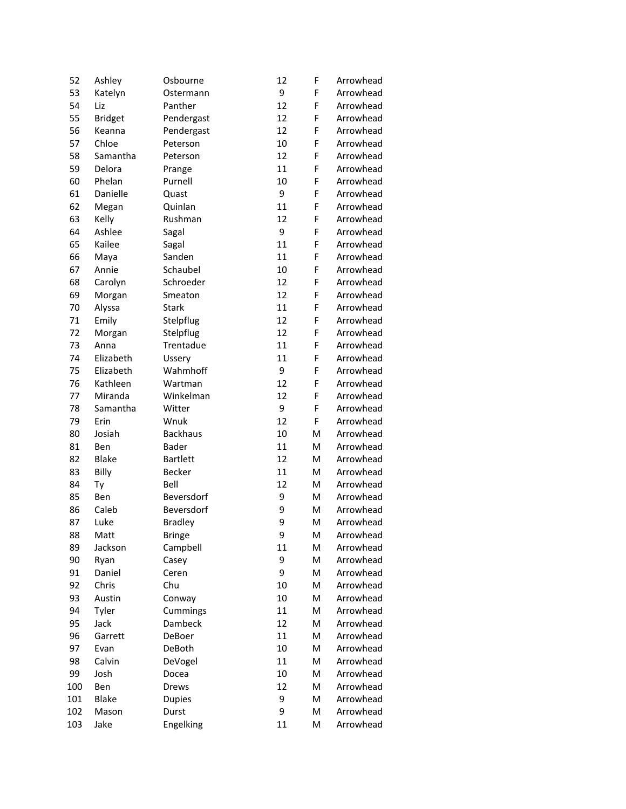| 52  | Ashley         | Osbourne        | 12 | F | Arrowhead |
|-----|----------------|-----------------|----|---|-----------|
| 53  | Katelyn        | Ostermann       | 9  | F | Arrowhead |
| 54  | Liz            | Panther         | 12 | F | Arrowhead |
| 55  | <b>Bridget</b> | Pendergast      | 12 | F | Arrowhead |
| 56  | Keanna         | Pendergast      | 12 | F | Arrowhead |
| 57  | Chloe          | Peterson        | 10 | F | Arrowhead |
| 58  | Samantha       | Peterson        | 12 | F | Arrowhead |
| 59  | Delora         | Prange          | 11 | F | Arrowhead |
| 60  | Phelan         | Purnell         | 10 | F | Arrowhead |
| 61  | Danielle       | Quast           | 9  | F | Arrowhead |
| 62  | Megan          | Quinlan         | 11 | F | Arrowhead |
| 63  | Kelly          | Rushman         | 12 | F | Arrowhead |
| 64  | Ashlee         | Sagal           | 9  | F | Arrowhead |
| 65  | Kailee         | Sagal           | 11 | F | Arrowhead |
| 66  | Maya           | Sanden          | 11 | F | Arrowhead |
| 67  | Annie          | Schaubel        | 10 | F | Arrowhead |
| 68  | Carolyn        | Schroeder       | 12 | F | Arrowhead |
| 69  | Morgan         | Smeaton         | 12 | F | Arrowhead |
| 70  | Alyssa         | <b>Stark</b>    | 11 | F | Arrowhead |
| 71  | Emily          | Stelpflug       | 12 | F | Arrowhead |
| 72  | Morgan         | Stelpflug       | 12 | F | Arrowhead |
| 73  | Anna           | Trentadue       | 11 | F | Arrowhead |
| 74  | Elizabeth      | Ussery          | 11 | F | Arrowhead |
| 75  | Elizabeth      | Wahmhoff        | 9  | F | Arrowhead |
| 76  | Kathleen       | Wartman         | 12 | F | Arrowhead |
| 77  | Miranda        | Winkelman       | 12 | F | Arrowhead |
| 78  | Samantha       | Witter          | 9  | F | Arrowhead |
| 79  | Erin           | Wnuk            | 12 | F | Arrowhead |
| 80  | Josiah         | <b>Backhaus</b> | 10 | M | Arrowhead |
| 81  | Ben            | <b>Bader</b>    | 11 | M | Arrowhead |
| 82  | <b>Blake</b>   | <b>Bartlett</b> | 12 | м | Arrowhead |
| 83  | Billy          | Becker          | 11 | м | Arrowhead |
| 84  | Ty             | Bell            | 12 | M | Arrowhead |
| 85  | Ben            | Beversdorf      | 9  | м | Arrowhead |
| 86  | Caleb          | Beversdorf      | 9  | M | Arrowhead |
| 87  | Luke           | <b>Bradley</b>  | 9  | M | Arrowhead |
| 88  | Matt           | Bringe          | 9  | M | Arrowhead |
| 89  | Jackson        | Campbell        | 11 | M | Arrowhead |
| 90  | Ryan           | Casey           | 9  | M | Arrowhead |
| 91  | Daniel         | Ceren           | 9  | M | Arrowhead |
| 92  | Chris          | Chu             | 10 | M | Arrowhead |
| 93  | Austin         | Conway          | 10 | M | Arrowhead |
| 94  | Tyler          | Cummings        | 11 | M | Arrowhead |
| 95  | Jack           | Dambeck         | 12 | M | Arrowhead |
| 96  | Garrett        | DeBoer          | 11 | M | Arrowhead |
| 97  | Evan           | DeBoth          | 10 | M | Arrowhead |
| 98  | Calvin         | DeVogel         | 11 | M | Arrowhead |
| 99  | Josh           | Docea           | 10 | M | Arrowhead |
| 100 | Ben            | Drews           | 12 | M | Arrowhead |
| 101 | <b>Blake</b>   | <b>Dupies</b>   | 9  | M | Arrowhead |
| 102 | Mason          | Durst           | 9  | M | Arrowhead |
| 103 | Jake           | Engelking       | 11 | M | Arrowhead |
|     |                |                 |    |   |           |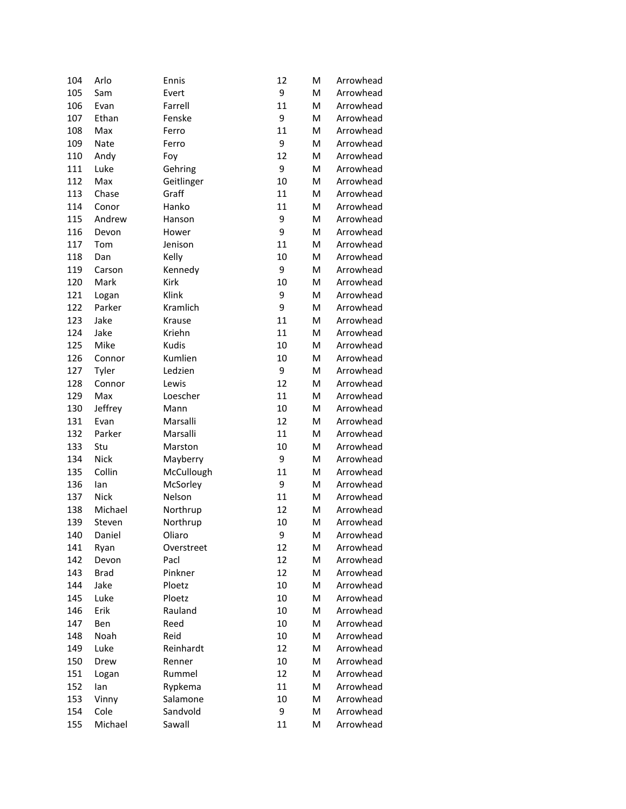| 104 | Arlo        | Ennis      | 12 | M | Arrowhead |
|-----|-------------|------------|----|---|-----------|
| 105 | Sam         | Evert      | 9  | M | Arrowhead |
| 106 | Evan        | Farrell    | 11 | M | Arrowhead |
| 107 | Ethan       | Fenske     | 9  | M | Arrowhead |
| 108 | Max         | Ferro      | 11 | M | Arrowhead |
| 109 | Nate        | Ferro      | 9  | M | Arrowhead |
| 110 | Andy        | Foy        | 12 | M | Arrowhead |
| 111 | Luke        | Gehring    | 9  | M | Arrowhead |
| 112 | Max         | Geitlinger | 10 | M | Arrowhead |
| 113 | Chase       | Graff      | 11 | M | Arrowhead |
| 114 | Conor       | Hanko      | 11 | M | Arrowhead |
| 115 | Andrew      | Hanson     | 9  | M | Arrowhead |
| 116 | Devon       | Hower      | 9  | M | Arrowhead |
| 117 | Tom         | Jenison    | 11 | M | Arrowhead |
| 118 | Dan         | Kelly      | 10 | M | Arrowhead |
| 119 | Carson      | Kennedy    | 9  | M | Arrowhead |
| 120 | Mark        | Kirk       | 10 | M | Arrowhead |
| 121 | Logan       | Klink      | 9  | M | Arrowhead |
| 122 | Parker      | Kramlich   | 9  | M | Arrowhead |
| 123 | Jake        | Krause     | 11 | M | Arrowhead |
| 124 | Jake        | Kriehn     | 11 | M | Arrowhead |
| 125 | Mike        | Kudis      | 10 | M | Arrowhead |
| 126 | Connor      | Kumlien    | 10 | M | Arrowhead |
| 127 | Tyler       | Ledzien    | 9  | M | Arrowhead |
| 128 | Connor      | Lewis      | 12 | M | Arrowhead |
| 129 | Max         | Loescher   | 11 | M | Arrowhead |
| 130 | Jeffrey     | Mann       | 10 | M | Arrowhead |
| 131 | Evan        | Marsalli   | 12 | M | Arrowhead |
| 132 | Parker      | Marsalli   | 11 | M | Arrowhead |
| 133 | Stu         | Marston    | 10 | M | Arrowhead |
| 134 | Nick        | Mayberry   | 9  | M | Arrowhead |
| 135 | Collin      | McCullough | 11 | M | Arrowhead |
| 136 | lan         | McSorley   | 9  | M | Arrowhead |
| 137 | <b>Nick</b> | Nelson     | 11 | M | Arrowhead |
| 138 | Michael     | Northrup   | 12 | M | Arrowhead |
| 139 | Steven      | Northrup   | 10 | M | Arrowhead |
| 140 | Daniel      | Oliaro     | 9  | M | Arrowhead |
| 141 | Ryan        | Overstreet | 12 | M | Arrowhead |
| 142 | Devon       | Pacl       | 12 | M | Arrowhead |
| 143 | <b>Brad</b> | Pinkner    | 12 | M | Arrowhead |
| 144 | Jake        | Ploetz     | 10 | M | Arrowhead |
| 145 | Luke        | Ploetz     | 10 | M | Arrowhead |
| 146 | Erik        | Rauland    | 10 | M | Arrowhead |
| 147 | Ben         | Reed       | 10 | M | Arrowhead |
| 148 | Noah        | Reid       | 10 | M | Arrowhead |
| 149 | Luke        | Reinhardt  | 12 | M | Arrowhead |
| 150 | Drew        | Renner     | 10 | M | Arrowhead |
| 151 | Logan       | Rummel     | 12 | M | Arrowhead |
| 152 | lan         | Rypkema    | 11 | M | Arrowhead |
| 153 | Vinny       | Salamone   | 10 | M | Arrowhead |
| 154 | Cole        | Sandvold   | 9  | M | Arrowhead |
| 155 | Michael     | Sawall     | 11 | M | Arrowhead |
|     |             |            |    |   |           |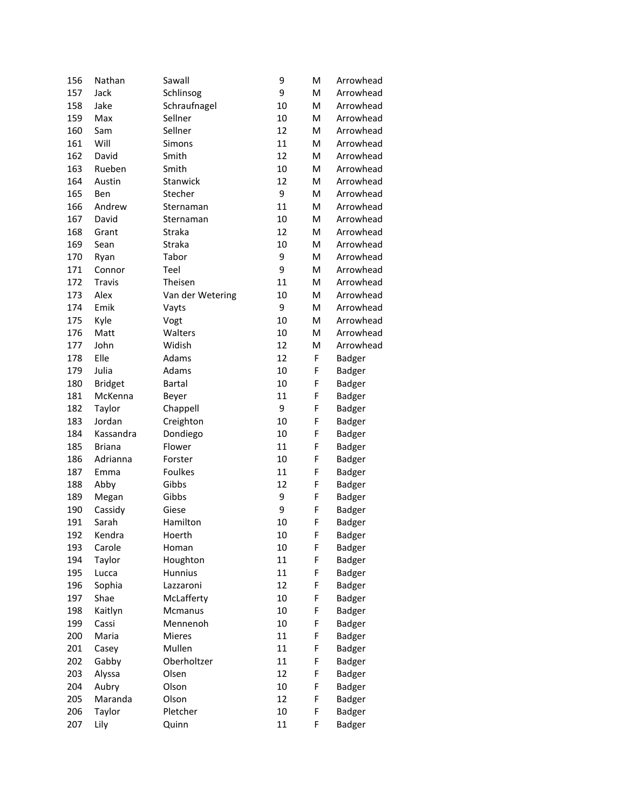| 156 | Nathan         | Sawall           | 9  | M | Arrowhead     |
|-----|----------------|------------------|----|---|---------------|
| 157 | Jack           | Schlinsog        | 9  | M | Arrowhead     |
| 158 | Jake           | Schraufnagel     | 10 | M | Arrowhead     |
| 159 | Max            | Sellner          | 10 | M | Arrowhead     |
| 160 | Sam            | Sellner          | 12 | M | Arrowhead     |
| 161 | Will           | Simons           | 11 | M | Arrowhead     |
| 162 | David          | Smith            | 12 | M | Arrowhead     |
| 163 | Rueben         | Smith            | 10 | M | Arrowhead     |
| 164 | Austin         | Stanwick         | 12 | M | Arrowhead     |
| 165 | Ben            | Stecher          | 9  | M | Arrowhead     |
| 166 | Andrew         | Sternaman        | 11 | M | Arrowhead     |
| 167 | David          | Sternaman        | 10 | M | Arrowhead     |
| 168 | Grant          | Straka           | 12 | M | Arrowhead     |
| 169 | Sean           | Straka           | 10 | M | Arrowhead     |
| 170 | Ryan           | Tabor            | 9  | M | Arrowhead     |
| 171 | Connor         | Teel             | 9  | M | Arrowhead     |
| 172 | Travis         | Theisen          | 11 | M | Arrowhead     |
| 173 | Alex           | Van der Wetering | 10 | M | Arrowhead     |
| 174 | Emik           | Vayts            | 9  | M | Arrowhead     |
| 175 | Kyle           | Vogt             | 10 | M | Arrowhead     |
| 176 | Matt           | Walters          | 10 | M | Arrowhead     |
| 177 | John           | Widish           | 12 | M | Arrowhead     |
| 178 | Elle           | Adams            | 12 | F | Badger        |
| 179 | Julia          | Adams            | 10 | F | Badger        |
| 180 | <b>Bridget</b> | <b>Bartal</b>    | 10 | F | Badger        |
| 181 | McKenna        | Beyer            | 11 | F | Badger        |
| 182 | Taylor         | Chappell         | 9  | F | <b>Badger</b> |
| 183 | Jordan         | Creighton        | 10 | F | <b>Badger</b> |
| 184 | Kassandra      | Dondiego         | 10 | F | Badger        |
| 185 | <b>Briana</b>  | Flower           | 11 | F | Badger        |
| 186 | Adrianna       | Forster          | 10 | F | Badger        |
| 187 | Emma           | <b>Foulkes</b>   | 11 | F | <b>Badger</b> |
| 188 | Abby           | Gibbs            | 12 | F | <b>Badger</b> |
| 189 | Megan          | Gibbs            | 9  | F | <b>Badger</b> |
| 190 | Cassidy        | Giese            | 9  | F | Badger        |
| 191 | Sarah          | Hamilton         | 10 | F | <b>Badger</b> |
| 192 | Kendra         | Hoerth           | 10 | F | Badger        |
| 193 | Carole         | Homan            | 10 | F | <b>Badger</b> |
| 194 | Taylor         | Houghton         | 11 | F | Badger        |
| 195 | Lucca          | <b>Hunnius</b>   | 11 | F | Badger        |
| 196 | Sophia         | Lazzaroni        | 12 | F | Badger        |
| 197 | Shae           | McLafferty       | 10 | F | Badger        |
| 198 | Kaitlyn        | Mcmanus          | 10 | F | Badger        |
| 199 | Cassi          | Mennenoh         | 10 | F | Badger        |
| 200 | Maria          | Mieres           | 11 | F | <b>Badger</b> |
| 201 | Casey          | Mullen           | 11 | F | <b>Badger</b> |
| 202 | Gabby          | Oberholtzer      | 11 | F | Badger        |
| 203 | Alyssa         | Olsen            | 12 | F | <b>Badger</b> |
| 204 | Aubry          | Olson            | 10 | F | <b>Badger</b> |
| 205 | Maranda        | Olson            | 12 | F | <b>Badger</b> |
| 206 | Taylor         | Pletcher         | 10 | F | <b>Badger</b> |
| 207 | Lily           | Quinn            | 11 | F | <b>Badger</b> |
|     |                |                  |    |   |               |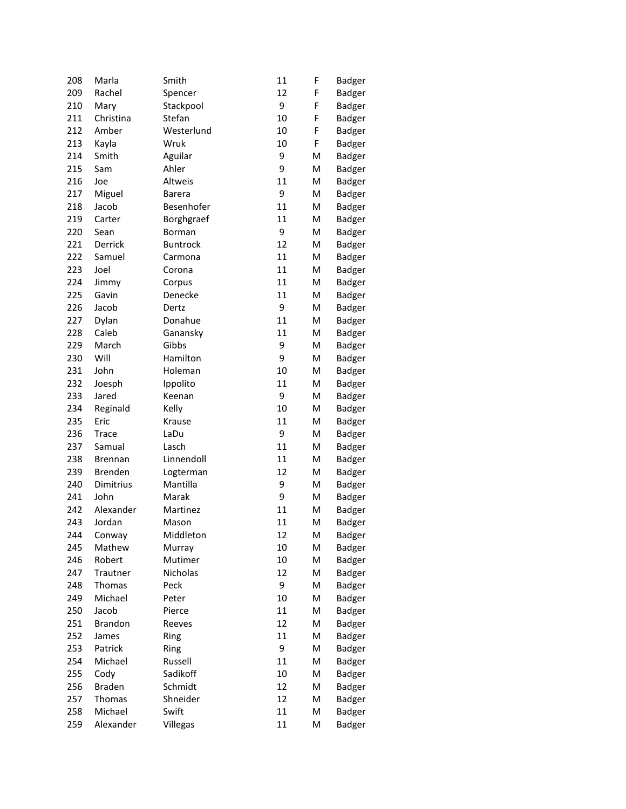| 208 | Marla          | Smith           | 11 | F | <b>Badger</b> |
|-----|----------------|-----------------|----|---|---------------|
| 209 | Rachel         | Spencer         | 12 | F | <b>Badger</b> |
| 210 | Mary           | Stackpool       | 9  | F | <b>Badger</b> |
| 211 | Christina      | Stefan          | 10 | F | <b>Badger</b> |
| 212 | Amber          | Westerlund      | 10 | F | <b>Badger</b> |
| 213 | Kayla          | Wruk            | 10 | F | Badger        |
| 214 | Smith          | Aguilar         | 9  | M | Badger        |
| 215 | Sam            | Ahler           | 9  | м | Badger        |
| 216 | Joe            | Altweis         | 11 | M | Badger        |
| 217 | Miguel         | <b>Barera</b>   | 9  | M | <b>Badger</b> |
| 218 | Jacob          | Besenhofer      | 11 | M | <b>Badger</b> |
| 219 | Carter         | Borghgraef      | 11 | M | <b>Badger</b> |
| 220 | Sean           | Borman          | 9  | M | <b>Badger</b> |
| 221 | Derrick        | <b>Buntrock</b> | 12 | M | <b>Badger</b> |
| 222 | Samuel         | Carmona         | 11 | M | <b>Badger</b> |
| 223 | Joel           | Corona          | 11 | M | <b>Badger</b> |
| 224 | Jimmy          | Corpus          | 11 | M | <b>Badger</b> |
| 225 | Gavin          | Denecke         | 11 | M | <b>Badger</b> |
| 226 | Jacob          | Dertz           | 9  | M | <b>Badger</b> |
| 227 | Dylan          | Donahue         | 11 | M | <b>Badger</b> |
| 228 | Caleb          | Ganansky        | 11 | M | <b>Badger</b> |
| 229 | March          | Gibbs           | 9  | M | <b>Badger</b> |
| 230 | Will           | Hamilton        | 9  | M | <b>Badger</b> |
| 231 | John           | Holeman         | 10 | M | Badger        |
| 232 | Joesph         | Ippolito        | 11 | M | <b>Badger</b> |
| 233 | Jared          | Keenan          | 9  | M | <b>Badger</b> |
| 234 | Reginald       | Kelly           | 10 | M | <b>Badger</b> |
| 235 | Eric           | Krause          | 11 | M | <b>Badger</b> |
| 236 | <b>Trace</b>   | LaDu            | 9  | M | <b>Badger</b> |
| 237 | Samual         | Lasch           | 11 | M | <b>Badger</b> |
| 238 | <b>Brennan</b> | Linnendoll      | 11 | M | <b>Badger</b> |
| 239 | <b>Brenden</b> | Logterman       | 12 | M | <b>Badger</b> |
| 240 | Dimitrius      | Mantilla        | 9  | M | <b>Badger</b> |
| 241 | John           | Marak           | 9  | M | <b>Badger</b> |
| 242 | Alexander      | Martinez        | 11 | M | <b>Badger</b> |
| 243 | Jordan         | Mason           | 11 | M | <b>Badger</b> |
| 244 | Conway         | Middleton       | 12 | M | <b>Badger</b> |
| 245 | Mathew         | Murray          | 10 | M | <b>Badger</b> |
| 246 | Robert         | Mutimer         | 10 | M | Badger        |
| 247 | Trautner       | Nicholas        | 12 | M | Badger        |
| 248 | Thomas         | Peck            | 9  | M | Badger        |
| 249 | Michael        | Peter           | 10 | M | <b>Badger</b> |
| 250 | Jacob          | Pierce          | 11 | M | Badger        |
| 251 | <b>Brandon</b> | Reeves          | 12 | M | Badger        |
| 252 | James          | Ring            | 11 | M | <b>Badger</b> |
| 253 | Patrick        | Ring            | 9  | M | <b>Badger</b> |
| 254 | Michael        | Russell         | 11 | M | <b>Badger</b> |
| 255 | Cody           | Sadikoff        | 10 | M | <b>Badger</b> |
| 256 | <b>Braden</b>  | Schmidt         | 12 | M | <b>Badger</b> |
| 257 | Thomas         | Shneider        | 12 | M | <b>Badger</b> |
| 258 | Michael        | Swift           | 11 | M | <b>Badger</b> |
| 259 | Alexander      | Villegas        | 11 | M | <b>Badger</b> |
|     |                |                 |    |   |               |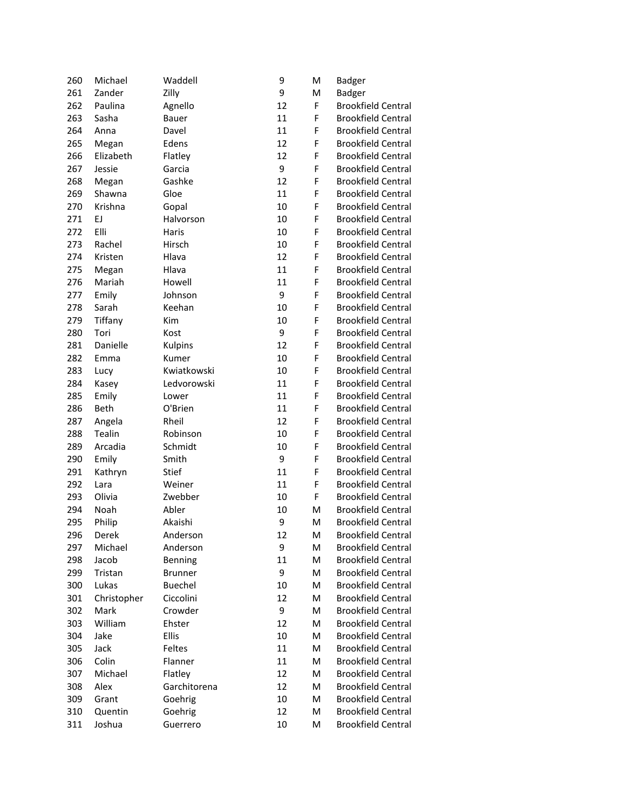| 260 | Michael     | Waddell        | 9  | M | Badger                    |
|-----|-------------|----------------|----|---|---------------------------|
| 261 | Zander      | Zilly          | 9  | M | <b>Badger</b>             |
| 262 | Paulina     | Agnello        | 12 | F | <b>Brookfield Central</b> |
| 263 | Sasha       | Bauer          | 11 | F | <b>Brookfield Central</b> |
| 264 | Anna        | Davel          | 11 | F | <b>Brookfield Central</b> |
| 265 | Megan       | Edens          | 12 | F | <b>Brookfield Central</b> |
| 266 | Elizabeth   | Flatley        | 12 | F | <b>Brookfield Central</b> |
| 267 | Jessie      | Garcia         | 9  | F | <b>Brookfield Central</b> |
| 268 | Megan       | Gashke         | 12 | F | <b>Brookfield Central</b> |
| 269 | Shawna      | Gloe           | 11 | F | <b>Brookfield Central</b> |
| 270 | Krishna     | Gopal          | 10 | F | <b>Brookfield Central</b> |
| 271 | EJ          | Halvorson      | 10 | F | <b>Brookfield Central</b> |
| 272 | Elli        | Haris          | 10 | F | <b>Brookfield Central</b> |
| 273 | Rachel      | Hirsch         | 10 | F | <b>Brookfield Central</b> |
| 274 | Kristen     | Hlava          | 12 | F | <b>Brookfield Central</b> |
| 275 | Megan       | Hlava          | 11 | F | <b>Brookfield Central</b> |
| 276 | Mariah      | Howell         | 11 | F | <b>Brookfield Central</b> |
| 277 | Emily       | Johnson        | 9  | F | <b>Brookfield Central</b> |
| 278 | Sarah       | Keehan         | 10 | F | <b>Brookfield Central</b> |
| 279 | Tiffany     | Kim            | 10 | F | <b>Brookfield Central</b> |
| 280 | Tori        | Kost           | 9  | F | <b>Brookfield Central</b> |
| 281 | Danielle    | <b>Kulpins</b> | 12 | F | <b>Brookfield Central</b> |
| 282 | Emma        | Kumer          | 10 | F | <b>Brookfield Central</b> |
| 283 | Lucy        | Kwiatkowski    | 10 | F | <b>Brookfield Central</b> |
| 284 | Kasey       | Ledvorowski    | 11 | F | <b>Brookfield Central</b> |
| 285 | Emily       | Lower          | 11 | F | <b>Brookfield Central</b> |
| 286 | <b>Beth</b> | O'Brien        | 11 | F | <b>Brookfield Central</b> |
| 287 | Angela      | Rheil          | 12 | F | <b>Brookfield Central</b> |
| 288 | Tealin      | Robinson       | 10 | F | <b>Brookfield Central</b> |
| 289 | Arcadia     | Schmidt        | 10 | F | <b>Brookfield Central</b> |
| 290 | Emily       | Smith          | 9  | F | <b>Brookfield Central</b> |
| 291 | Kathryn     | Stief          | 11 | F | <b>Brookfield Central</b> |
| 292 | Lara        | Weiner         | 11 | F | <b>Brookfield Central</b> |
| 293 | Olivia      | Zwebber        | 10 | F | <b>Brookfield Central</b> |
| 294 | Noah        | Abler          | 10 | M | <b>Brookfield Central</b> |
| 295 | Philip      | Akaishi        | 9  | M | <b>Brookfield Central</b> |
| 296 | Derek       | Anderson       | 12 | M | <b>Brookfield Central</b> |
| 297 | Michael     | Anderson       | 9  | M | <b>Brookfield Central</b> |
| 298 | Jacob       | Benning        | 11 | M | <b>Brookfield Central</b> |
| 299 | Tristan     | <b>Brunner</b> | 9  | M | <b>Brookfield Central</b> |
| 300 | Lukas       | Buechel        | 10 | M | <b>Brookfield Central</b> |
| 301 | Christopher | Ciccolini      | 12 | M | <b>Brookfield Central</b> |
| 302 | Mark        | Crowder        | 9  | M | <b>Brookfield Central</b> |
| 303 | William     | Ehster         | 12 | M | <b>Brookfield Central</b> |
| 304 | Jake        | <b>Ellis</b>   | 10 | M | <b>Brookfield Central</b> |
| 305 | Jack        | Feltes         | 11 | M | <b>Brookfield Central</b> |
| 306 | Colin       | Flanner        | 11 | M | <b>Brookfield Central</b> |
| 307 | Michael     | Flatley        | 12 | M | <b>Brookfield Central</b> |
| 308 | Alex        | Garchitorena   | 12 | M | <b>Brookfield Central</b> |
| 309 | Grant       | Goehrig        | 10 | M | <b>Brookfield Central</b> |
| 310 | Quentin     | Goehrig        | 12 | M | <b>Brookfield Central</b> |
| 311 | Joshua      | Guerrero       | 10 | M | <b>Brookfield Central</b> |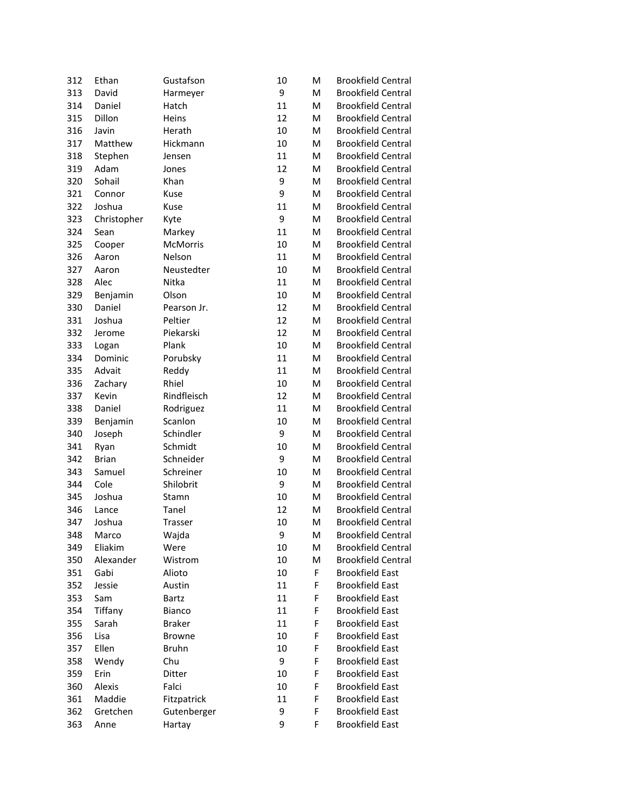| 9<br>313<br>David<br>M<br><b>Brookfield Central</b><br>Harmeyer<br>314<br>Daniel<br>11<br>M<br><b>Brookfield Central</b><br>Hatch<br>315<br>Dillon<br>Heins<br>12<br>M<br><b>Brookfield Central</b><br>316<br>Javin<br>Herath<br>10<br>M<br><b>Brookfield Central</b><br>317<br>Matthew<br>Hickmann<br>10<br>M<br><b>Brookfield Central</b><br>318<br>11<br>M<br><b>Brookfield Central</b><br>Stephen<br>Jensen<br>319<br>Adam<br>12<br>M<br><b>Brookfield Central</b><br>Jones<br>Sohail<br>9<br>320<br>Khan<br>M<br><b>Brookfield Central</b><br>9<br>321<br>Kuse<br>M<br><b>Brookfield Central</b><br>Connor<br>322<br>Joshua<br>11<br>M<br><b>Brookfield Central</b><br>Kuse<br>9<br>323<br>M<br><b>Brookfield Central</b><br>Christopher<br>Kyte<br>324<br>11<br>M<br><b>Brookfield Central</b><br>Markey<br>Sean<br>325<br><b>McMorris</b><br>10<br>M<br><b>Brookfield Central</b><br>Cooper<br>326<br>11<br>M<br><b>Brookfield Central</b><br>Nelson<br>Aaron<br>327<br>10<br>M<br><b>Brookfield Central</b><br>Neustedter<br>Aaron<br>11<br>328<br>Nitka<br>M<br><b>Brookfield Central</b><br>Alec<br>329<br>Olson<br>10<br>M<br><b>Brookfield Central</b><br>Benjamin<br>12<br>330<br>Daniel<br>M<br><b>Brookfield Central</b><br>Pearson Jr.<br>331<br>12<br>M<br><b>Brookfield Central</b><br>Joshua<br>Peltier<br>12<br>332<br>Piekarski<br>M<br><b>Brookfield Central</b><br>Jerome<br>333<br>Plank<br>10<br>M<br><b>Brookfield Central</b><br>Logan<br>334<br>11<br>M<br><b>Brookfield Central</b><br>Dominic<br>Porubsky<br>335<br>Advait<br>11<br>M<br><b>Brookfield Central</b><br>Reddy<br>336<br>Rhiel<br>10<br>M<br><b>Brookfield Central</b><br>Zachary<br>Rindfleisch<br><b>Brookfield Central</b><br>337<br>Kevin<br>12<br>M<br>11<br>338<br>Daniel<br>M<br><b>Brookfield Central</b><br>Rodriguez<br>Scanlon<br>10<br>M<br><b>Brookfield Central</b><br>339<br>Benjamin<br>Schindler<br>340<br>9<br>M<br><b>Brookfield Central</b><br>Joseph<br>341<br>Schmidt<br>10<br>M<br><b>Brookfield Central</b><br>Ryan<br>Schneider<br>342<br><b>Brian</b><br>9<br>M<br><b>Brookfield Central</b><br>343<br>Schreiner<br>10<br>M<br><b>Brookfield Central</b><br>Samuel<br>344<br>Cole<br>Shilobrit<br>9<br>M<br><b>Brookfield Central</b><br>345<br>Joshua<br>10<br>M<br><b>Brookfield Central</b><br>Stamn<br>346<br>Tanel<br>12<br>M<br><b>Brookfield Central</b><br>Lance<br>347<br>Joshua<br>10<br>M<br><b>Brookfield Central</b><br>Trasser<br><b>Brookfield Central</b><br>348<br>Marco<br>Wajda<br>9<br>м<br><b>Brookfield Central</b><br>349<br>Eliakim<br>Were<br>10<br>M<br>350<br>Alexander<br>Wistrom<br>10<br>M<br><b>Brookfield Central</b><br>351<br>Gabi<br>10<br>F<br><b>Brookfield East</b><br>Alioto<br><b>Brookfield East</b><br>352<br>11<br>F<br>Jessie<br>Austin<br><b>Brookfield East</b><br>353<br>11<br>F<br>Sam<br>Bartz<br>354<br>11<br>F<br><b>Brookfield East</b><br>Tiffany<br>Bianco<br>F<br>355<br>Sarah<br><b>Braker</b><br>11<br><b>Brookfield East</b> |
|-------------------------------------------------------------------------------------------------------------------------------------------------------------------------------------------------------------------------------------------------------------------------------------------------------------------------------------------------------------------------------------------------------------------------------------------------------------------------------------------------------------------------------------------------------------------------------------------------------------------------------------------------------------------------------------------------------------------------------------------------------------------------------------------------------------------------------------------------------------------------------------------------------------------------------------------------------------------------------------------------------------------------------------------------------------------------------------------------------------------------------------------------------------------------------------------------------------------------------------------------------------------------------------------------------------------------------------------------------------------------------------------------------------------------------------------------------------------------------------------------------------------------------------------------------------------------------------------------------------------------------------------------------------------------------------------------------------------------------------------------------------------------------------------------------------------------------------------------------------------------------------------------------------------------------------------------------------------------------------------------------------------------------------------------------------------------------------------------------------------------------------------------------------------------------------------------------------------------------------------------------------------------------------------------------------------------------------------------------------------------------------------------------------------------------------------------------------------------------------------------------------------------------------------------------------------------------------------------------------------------------------------------------------------------------------------------------------------------------------------------------------------------------------------------------------------------------------------------------------------------------------------------------------------------------------------------------------------------------------------------------------|
|                                                                                                                                                                                                                                                                                                                                                                                                                                                                                                                                                                                                                                                                                                                                                                                                                                                                                                                                                                                                                                                                                                                                                                                                                                                                                                                                                                                                                                                                                                                                                                                                                                                                                                                                                                                                                                                                                                                                                                                                                                                                                                                                                                                                                                                                                                                                                                                                                                                                                                                                                                                                                                                                                                                                                                                                                                                                                                                                                                                                             |
|                                                                                                                                                                                                                                                                                                                                                                                                                                                                                                                                                                                                                                                                                                                                                                                                                                                                                                                                                                                                                                                                                                                                                                                                                                                                                                                                                                                                                                                                                                                                                                                                                                                                                                                                                                                                                                                                                                                                                                                                                                                                                                                                                                                                                                                                                                                                                                                                                                                                                                                                                                                                                                                                                                                                                                                                                                                                                                                                                                                                             |
|                                                                                                                                                                                                                                                                                                                                                                                                                                                                                                                                                                                                                                                                                                                                                                                                                                                                                                                                                                                                                                                                                                                                                                                                                                                                                                                                                                                                                                                                                                                                                                                                                                                                                                                                                                                                                                                                                                                                                                                                                                                                                                                                                                                                                                                                                                                                                                                                                                                                                                                                                                                                                                                                                                                                                                                                                                                                                                                                                                                                             |
|                                                                                                                                                                                                                                                                                                                                                                                                                                                                                                                                                                                                                                                                                                                                                                                                                                                                                                                                                                                                                                                                                                                                                                                                                                                                                                                                                                                                                                                                                                                                                                                                                                                                                                                                                                                                                                                                                                                                                                                                                                                                                                                                                                                                                                                                                                                                                                                                                                                                                                                                                                                                                                                                                                                                                                                                                                                                                                                                                                                                             |
|                                                                                                                                                                                                                                                                                                                                                                                                                                                                                                                                                                                                                                                                                                                                                                                                                                                                                                                                                                                                                                                                                                                                                                                                                                                                                                                                                                                                                                                                                                                                                                                                                                                                                                                                                                                                                                                                                                                                                                                                                                                                                                                                                                                                                                                                                                                                                                                                                                                                                                                                                                                                                                                                                                                                                                                                                                                                                                                                                                                                             |
|                                                                                                                                                                                                                                                                                                                                                                                                                                                                                                                                                                                                                                                                                                                                                                                                                                                                                                                                                                                                                                                                                                                                                                                                                                                                                                                                                                                                                                                                                                                                                                                                                                                                                                                                                                                                                                                                                                                                                                                                                                                                                                                                                                                                                                                                                                                                                                                                                                                                                                                                                                                                                                                                                                                                                                                                                                                                                                                                                                                                             |
|                                                                                                                                                                                                                                                                                                                                                                                                                                                                                                                                                                                                                                                                                                                                                                                                                                                                                                                                                                                                                                                                                                                                                                                                                                                                                                                                                                                                                                                                                                                                                                                                                                                                                                                                                                                                                                                                                                                                                                                                                                                                                                                                                                                                                                                                                                                                                                                                                                                                                                                                                                                                                                                                                                                                                                                                                                                                                                                                                                                                             |
|                                                                                                                                                                                                                                                                                                                                                                                                                                                                                                                                                                                                                                                                                                                                                                                                                                                                                                                                                                                                                                                                                                                                                                                                                                                                                                                                                                                                                                                                                                                                                                                                                                                                                                                                                                                                                                                                                                                                                                                                                                                                                                                                                                                                                                                                                                                                                                                                                                                                                                                                                                                                                                                                                                                                                                                                                                                                                                                                                                                                             |
|                                                                                                                                                                                                                                                                                                                                                                                                                                                                                                                                                                                                                                                                                                                                                                                                                                                                                                                                                                                                                                                                                                                                                                                                                                                                                                                                                                                                                                                                                                                                                                                                                                                                                                                                                                                                                                                                                                                                                                                                                                                                                                                                                                                                                                                                                                                                                                                                                                                                                                                                                                                                                                                                                                                                                                                                                                                                                                                                                                                                             |
|                                                                                                                                                                                                                                                                                                                                                                                                                                                                                                                                                                                                                                                                                                                                                                                                                                                                                                                                                                                                                                                                                                                                                                                                                                                                                                                                                                                                                                                                                                                                                                                                                                                                                                                                                                                                                                                                                                                                                                                                                                                                                                                                                                                                                                                                                                                                                                                                                                                                                                                                                                                                                                                                                                                                                                                                                                                                                                                                                                                                             |
|                                                                                                                                                                                                                                                                                                                                                                                                                                                                                                                                                                                                                                                                                                                                                                                                                                                                                                                                                                                                                                                                                                                                                                                                                                                                                                                                                                                                                                                                                                                                                                                                                                                                                                                                                                                                                                                                                                                                                                                                                                                                                                                                                                                                                                                                                                                                                                                                                                                                                                                                                                                                                                                                                                                                                                                                                                                                                                                                                                                                             |
|                                                                                                                                                                                                                                                                                                                                                                                                                                                                                                                                                                                                                                                                                                                                                                                                                                                                                                                                                                                                                                                                                                                                                                                                                                                                                                                                                                                                                                                                                                                                                                                                                                                                                                                                                                                                                                                                                                                                                                                                                                                                                                                                                                                                                                                                                                                                                                                                                                                                                                                                                                                                                                                                                                                                                                                                                                                                                                                                                                                                             |
|                                                                                                                                                                                                                                                                                                                                                                                                                                                                                                                                                                                                                                                                                                                                                                                                                                                                                                                                                                                                                                                                                                                                                                                                                                                                                                                                                                                                                                                                                                                                                                                                                                                                                                                                                                                                                                                                                                                                                                                                                                                                                                                                                                                                                                                                                                                                                                                                                                                                                                                                                                                                                                                                                                                                                                                                                                                                                                                                                                                                             |
|                                                                                                                                                                                                                                                                                                                                                                                                                                                                                                                                                                                                                                                                                                                                                                                                                                                                                                                                                                                                                                                                                                                                                                                                                                                                                                                                                                                                                                                                                                                                                                                                                                                                                                                                                                                                                                                                                                                                                                                                                                                                                                                                                                                                                                                                                                                                                                                                                                                                                                                                                                                                                                                                                                                                                                                                                                                                                                                                                                                                             |
|                                                                                                                                                                                                                                                                                                                                                                                                                                                                                                                                                                                                                                                                                                                                                                                                                                                                                                                                                                                                                                                                                                                                                                                                                                                                                                                                                                                                                                                                                                                                                                                                                                                                                                                                                                                                                                                                                                                                                                                                                                                                                                                                                                                                                                                                                                                                                                                                                                                                                                                                                                                                                                                                                                                                                                                                                                                                                                                                                                                                             |
|                                                                                                                                                                                                                                                                                                                                                                                                                                                                                                                                                                                                                                                                                                                                                                                                                                                                                                                                                                                                                                                                                                                                                                                                                                                                                                                                                                                                                                                                                                                                                                                                                                                                                                                                                                                                                                                                                                                                                                                                                                                                                                                                                                                                                                                                                                                                                                                                                                                                                                                                                                                                                                                                                                                                                                                                                                                                                                                                                                                                             |
|                                                                                                                                                                                                                                                                                                                                                                                                                                                                                                                                                                                                                                                                                                                                                                                                                                                                                                                                                                                                                                                                                                                                                                                                                                                                                                                                                                                                                                                                                                                                                                                                                                                                                                                                                                                                                                                                                                                                                                                                                                                                                                                                                                                                                                                                                                                                                                                                                                                                                                                                                                                                                                                                                                                                                                                                                                                                                                                                                                                                             |
|                                                                                                                                                                                                                                                                                                                                                                                                                                                                                                                                                                                                                                                                                                                                                                                                                                                                                                                                                                                                                                                                                                                                                                                                                                                                                                                                                                                                                                                                                                                                                                                                                                                                                                                                                                                                                                                                                                                                                                                                                                                                                                                                                                                                                                                                                                                                                                                                                                                                                                                                                                                                                                                                                                                                                                                                                                                                                                                                                                                                             |
|                                                                                                                                                                                                                                                                                                                                                                                                                                                                                                                                                                                                                                                                                                                                                                                                                                                                                                                                                                                                                                                                                                                                                                                                                                                                                                                                                                                                                                                                                                                                                                                                                                                                                                                                                                                                                                                                                                                                                                                                                                                                                                                                                                                                                                                                                                                                                                                                                                                                                                                                                                                                                                                                                                                                                                                                                                                                                                                                                                                                             |
|                                                                                                                                                                                                                                                                                                                                                                                                                                                                                                                                                                                                                                                                                                                                                                                                                                                                                                                                                                                                                                                                                                                                                                                                                                                                                                                                                                                                                                                                                                                                                                                                                                                                                                                                                                                                                                                                                                                                                                                                                                                                                                                                                                                                                                                                                                                                                                                                                                                                                                                                                                                                                                                                                                                                                                                                                                                                                                                                                                                                             |
|                                                                                                                                                                                                                                                                                                                                                                                                                                                                                                                                                                                                                                                                                                                                                                                                                                                                                                                                                                                                                                                                                                                                                                                                                                                                                                                                                                                                                                                                                                                                                                                                                                                                                                                                                                                                                                                                                                                                                                                                                                                                                                                                                                                                                                                                                                                                                                                                                                                                                                                                                                                                                                                                                                                                                                                                                                                                                                                                                                                                             |
|                                                                                                                                                                                                                                                                                                                                                                                                                                                                                                                                                                                                                                                                                                                                                                                                                                                                                                                                                                                                                                                                                                                                                                                                                                                                                                                                                                                                                                                                                                                                                                                                                                                                                                                                                                                                                                                                                                                                                                                                                                                                                                                                                                                                                                                                                                                                                                                                                                                                                                                                                                                                                                                                                                                                                                                                                                                                                                                                                                                                             |
|                                                                                                                                                                                                                                                                                                                                                                                                                                                                                                                                                                                                                                                                                                                                                                                                                                                                                                                                                                                                                                                                                                                                                                                                                                                                                                                                                                                                                                                                                                                                                                                                                                                                                                                                                                                                                                                                                                                                                                                                                                                                                                                                                                                                                                                                                                                                                                                                                                                                                                                                                                                                                                                                                                                                                                                                                                                                                                                                                                                                             |
|                                                                                                                                                                                                                                                                                                                                                                                                                                                                                                                                                                                                                                                                                                                                                                                                                                                                                                                                                                                                                                                                                                                                                                                                                                                                                                                                                                                                                                                                                                                                                                                                                                                                                                                                                                                                                                                                                                                                                                                                                                                                                                                                                                                                                                                                                                                                                                                                                                                                                                                                                                                                                                                                                                                                                                                                                                                                                                                                                                                                             |
|                                                                                                                                                                                                                                                                                                                                                                                                                                                                                                                                                                                                                                                                                                                                                                                                                                                                                                                                                                                                                                                                                                                                                                                                                                                                                                                                                                                                                                                                                                                                                                                                                                                                                                                                                                                                                                                                                                                                                                                                                                                                                                                                                                                                                                                                                                                                                                                                                                                                                                                                                                                                                                                                                                                                                                                                                                                                                                                                                                                                             |
|                                                                                                                                                                                                                                                                                                                                                                                                                                                                                                                                                                                                                                                                                                                                                                                                                                                                                                                                                                                                                                                                                                                                                                                                                                                                                                                                                                                                                                                                                                                                                                                                                                                                                                                                                                                                                                                                                                                                                                                                                                                                                                                                                                                                                                                                                                                                                                                                                                                                                                                                                                                                                                                                                                                                                                                                                                                                                                                                                                                                             |
|                                                                                                                                                                                                                                                                                                                                                                                                                                                                                                                                                                                                                                                                                                                                                                                                                                                                                                                                                                                                                                                                                                                                                                                                                                                                                                                                                                                                                                                                                                                                                                                                                                                                                                                                                                                                                                                                                                                                                                                                                                                                                                                                                                                                                                                                                                                                                                                                                                                                                                                                                                                                                                                                                                                                                                                                                                                                                                                                                                                                             |
|                                                                                                                                                                                                                                                                                                                                                                                                                                                                                                                                                                                                                                                                                                                                                                                                                                                                                                                                                                                                                                                                                                                                                                                                                                                                                                                                                                                                                                                                                                                                                                                                                                                                                                                                                                                                                                                                                                                                                                                                                                                                                                                                                                                                                                                                                                                                                                                                                                                                                                                                                                                                                                                                                                                                                                                                                                                                                                                                                                                                             |
|                                                                                                                                                                                                                                                                                                                                                                                                                                                                                                                                                                                                                                                                                                                                                                                                                                                                                                                                                                                                                                                                                                                                                                                                                                                                                                                                                                                                                                                                                                                                                                                                                                                                                                                                                                                                                                                                                                                                                                                                                                                                                                                                                                                                                                                                                                                                                                                                                                                                                                                                                                                                                                                                                                                                                                                                                                                                                                                                                                                                             |
|                                                                                                                                                                                                                                                                                                                                                                                                                                                                                                                                                                                                                                                                                                                                                                                                                                                                                                                                                                                                                                                                                                                                                                                                                                                                                                                                                                                                                                                                                                                                                                                                                                                                                                                                                                                                                                                                                                                                                                                                                                                                                                                                                                                                                                                                                                                                                                                                                                                                                                                                                                                                                                                                                                                                                                                                                                                                                                                                                                                                             |
|                                                                                                                                                                                                                                                                                                                                                                                                                                                                                                                                                                                                                                                                                                                                                                                                                                                                                                                                                                                                                                                                                                                                                                                                                                                                                                                                                                                                                                                                                                                                                                                                                                                                                                                                                                                                                                                                                                                                                                                                                                                                                                                                                                                                                                                                                                                                                                                                                                                                                                                                                                                                                                                                                                                                                                                                                                                                                                                                                                                                             |
|                                                                                                                                                                                                                                                                                                                                                                                                                                                                                                                                                                                                                                                                                                                                                                                                                                                                                                                                                                                                                                                                                                                                                                                                                                                                                                                                                                                                                                                                                                                                                                                                                                                                                                                                                                                                                                                                                                                                                                                                                                                                                                                                                                                                                                                                                                                                                                                                                                                                                                                                                                                                                                                                                                                                                                                                                                                                                                                                                                                                             |
|                                                                                                                                                                                                                                                                                                                                                                                                                                                                                                                                                                                                                                                                                                                                                                                                                                                                                                                                                                                                                                                                                                                                                                                                                                                                                                                                                                                                                                                                                                                                                                                                                                                                                                                                                                                                                                                                                                                                                                                                                                                                                                                                                                                                                                                                                                                                                                                                                                                                                                                                                                                                                                                                                                                                                                                                                                                                                                                                                                                                             |
|                                                                                                                                                                                                                                                                                                                                                                                                                                                                                                                                                                                                                                                                                                                                                                                                                                                                                                                                                                                                                                                                                                                                                                                                                                                                                                                                                                                                                                                                                                                                                                                                                                                                                                                                                                                                                                                                                                                                                                                                                                                                                                                                                                                                                                                                                                                                                                                                                                                                                                                                                                                                                                                                                                                                                                                                                                                                                                                                                                                                             |
|                                                                                                                                                                                                                                                                                                                                                                                                                                                                                                                                                                                                                                                                                                                                                                                                                                                                                                                                                                                                                                                                                                                                                                                                                                                                                                                                                                                                                                                                                                                                                                                                                                                                                                                                                                                                                                                                                                                                                                                                                                                                                                                                                                                                                                                                                                                                                                                                                                                                                                                                                                                                                                                                                                                                                                                                                                                                                                                                                                                                             |
|                                                                                                                                                                                                                                                                                                                                                                                                                                                                                                                                                                                                                                                                                                                                                                                                                                                                                                                                                                                                                                                                                                                                                                                                                                                                                                                                                                                                                                                                                                                                                                                                                                                                                                                                                                                                                                                                                                                                                                                                                                                                                                                                                                                                                                                                                                                                                                                                                                                                                                                                                                                                                                                                                                                                                                                                                                                                                                                                                                                                             |
|                                                                                                                                                                                                                                                                                                                                                                                                                                                                                                                                                                                                                                                                                                                                                                                                                                                                                                                                                                                                                                                                                                                                                                                                                                                                                                                                                                                                                                                                                                                                                                                                                                                                                                                                                                                                                                                                                                                                                                                                                                                                                                                                                                                                                                                                                                                                                                                                                                                                                                                                                                                                                                                                                                                                                                                                                                                                                                                                                                                                             |
|                                                                                                                                                                                                                                                                                                                                                                                                                                                                                                                                                                                                                                                                                                                                                                                                                                                                                                                                                                                                                                                                                                                                                                                                                                                                                                                                                                                                                                                                                                                                                                                                                                                                                                                                                                                                                                                                                                                                                                                                                                                                                                                                                                                                                                                                                                                                                                                                                                                                                                                                                                                                                                                                                                                                                                                                                                                                                                                                                                                                             |
|                                                                                                                                                                                                                                                                                                                                                                                                                                                                                                                                                                                                                                                                                                                                                                                                                                                                                                                                                                                                                                                                                                                                                                                                                                                                                                                                                                                                                                                                                                                                                                                                                                                                                                                                                                                                                                                                                                                                                                                                                                                                                                                                                                                                                                                                                                                                                                                                                                                                                                                                                                                                                                                                                                                                                                                                                                                                                                                                                                                                             |
|                                                                                                                                                                                                                                                                                                                                                                                                                                                                                                                                                                                                                                                                                                                                                                                                                                                                                                                                                                                                                                                                                                                                                                                                                                                                                                                                                                                                                                                                                                                                                                                                                                                                                                                                                                                                                                                                                                                                                                                                                                                                                                                                                                                                                                                                                                                                                                                                                                                                                                                                                                                                                                                                                                                                                                                                                                                                                                                                                                                                             |
|                                                                                                                                                                                                                                                                                                                                                                                                                                                                                                                                                                                                                                                                                                                                                                                                                                                                                                                                                                                                                                                                                                                                                                                                                                                                                                                                                                                                                                                                                                                                                                                                                                                                                                                                                                                                                                                                                                                                                                                                                                                                                                                                                                                                                                                                                                                                                                                                                                                                                                                                                                                                                                                                                                                                                                                                                                                                                                                                                                                                             |
|                                                                                                                                                                                                                                                                                                                                                                                                                                                                                                                                                                                                                                                                                                                                                                                                                                                                                                                                                                                                                                                                                                                                                                                                                                                                                                                                                                                                                                                                                                                                                                                                                                                                                                                                                                                                                                                                                                                                                                                                                                                                                                                                                                                                                                                                                                                                                                                                                                                                                                                                                                                                                                                                                                                                                                                                                                                                                                                                                                                                             |
|                                                                                                                                                                                                                                                                                                                                                                                                                                                                                                                                                                                                                                                                                                                                                                                                                                                                                                                                                                                                                                                                                                                                                                                                                                                                                                                                                                                                                                                                                                                                                                                                                                                                                                                                                                                                                                                                                                                                                                                                                                                                                                                                                                                                                                                                                                                                                                                                                                                                                                                                                                                                                                                                                                                                                                                                                                                                                                                                                                                                             |
| F<br>10<br><b>Brookfield East</b><br>356<br>Lisa<br><b>Browne</b>                                                                                                                                                                                                                                                                                                                                                                                                                                                                                                                                                                                                                                                                                                                                                                                                                                                                                                                                                                                                                                                                                                                                                                                                                                                                                                                                                                                                                                                                                                                                                                                                                                                                                                                                                                                                                                                                                                                                                                                                                                                                                                                                                                                                                                                                                                                                                                                                                                                                                                                                                                                                                                                                                                                                                                                                                                                                                                                                           |
| F<br>Ellen<br>10<br><b>Brookfield East</b><br>357<br><b>Bruhn</b>                                                                                                                                                                                                                                                                                                                                                                                                                                                                                                                                                                                                                                                                                                                                                                                                                                                                                                                                                                                                                                                                                                                                                                                                                                                                                                                                                                                                                                                                                                                                                                                                                                                                                                                                                                                                                                                                                                                                                                                                                                                                                                                                                                                                                                                                                                                                                                                                                                                                                                                                                                                                                                                                                                                                                                                                                                                                                                                                           |
| F<br>Chu<br>9<br><b>Brookfield East</b><br>358<br>Wendy                                                                                                                                                                                                                                                                                                                                                                                                                                                                                                                                                                                                                                                                                                                                                                                                                                                                                                                                                                                                                                                                                                                                                                                                                                                                                                                                                                                                                                                                                                                                                                                                                                                                                                                                                                                                                                                                                                                                                                                                                                                                                                                                                                                                                                                                                                                                                                                                                                                                                                                                                                                                                                                                                                                                                                                                                                                                                                                                                     |
| 359<br>Erin<br>10<br>F<br><b>Brookfield East</b><br>Ditter                                                                                                                                                                                                                                                                                                                                                                                                                                                                                                                                                                                                                                                                                                                                                                                                                                                                                                                                                                                                                                                                                                                                                                                                                                                                                                                                                                                                                                                                                                                                                                                                                                                                                                                                                                                                                                                                                                                                                                                                                                                                                                                                                                                                                                                                                                                                                                                                                                                                                                                                                                                                                                                                                                                                                                                                                                                                                                                                                  |
| 360<br>Alexis<br>Falci<br>10<br>F<br><b>Brookfield East</b>                                                                                                                                                                                                                                                                                                                                                                                                                                                                                                                                                                                                                                                                                                                                                                                                                                                                                                                                                                                                                                                                                                                                                                                                                                                                                                                                                                                                                                                                                                                                                                                                                                                                                                                                                                                                                                                                                                                                                                                                                                                                                                                                                                                                                                                                                                                                                                                                                                                                                                                                                                                                                                                                                                                                                                                                                                                                                                                                                 |
| 361<br>Maddie<br>11<br>F<br><b>Brookfield East</b><br>Fitzpatrick                                                                                                                                                                                                                                                                                                                                                                                                                                                                                                                                                                                                                                                                                                                                                                                                                                                                                                                                                                                                                                                                                                                                                                                                                                                                                                                                                                                                                                                                                                                                                                                                                                                                                                                                                                                                                                                                                                                                                                                                                                                                                                                                                                                                                                                                                                                                                                                                                                                                                                                                                                                                                                                                                                                                                                                                                                                                                                                                           |
|                                                                                                                                                                                                                                                                                                                                                                                                                                                                                                                                                                                                                                                                                                                                                                                                                                                                                                                                                                                                                                                                                                                                                                                                                                                                                                                                                                                                                                                                                                                                                                                                                                                                                                                                                                                                                                                                                                                                                                                                                                                                                                                                                                                                                                                                                                                                                                                                                                                                                                                                                                                                                                                                                                                                                                                                                                                                                                                                                                                                             |
| <b>Brookfield East</b><br>362<br>Gretchen<br>9<br>F<br>Gutenberger                                                                                                                                                                                                                                                                                                                                                                                                                                                                                                                                                                                                                                                                                                                                                                                                                                                                                                                                                                                                                                                                                                                                                                                                                                                                                                                                                                                                                                                                                                                                                                                                                                                                                                                                                                                                                                                                                                                                                                                                                                                                                                                                                                                                                                                                                                                                                                                                                                                                                                                                                                                                                                                                                                                                                                                                                                                                                                                                          |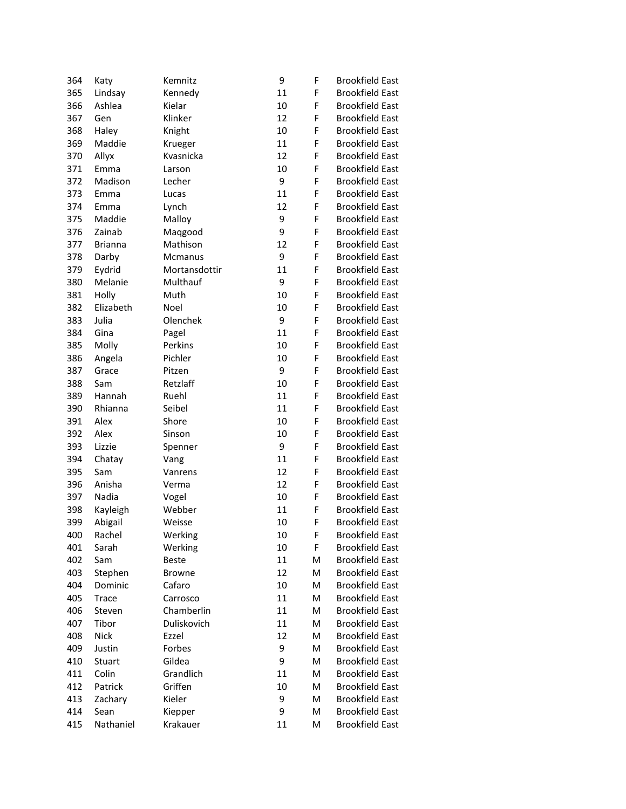| 364 | Katy           | Kemnitz       | 9  | F | <b>Brookfield East</b> |
|-----|----------------|---------------|----|---|------------------------|
| 365 | Lindsay        | Kennedy       | 11 | F | <b>Brookfield East</b> |
| 366 | Ashlea         | Kielar        | 10 | F | <b>Brookfield East</b> |
| 367 | Gen            | Klinker       | 12 | F | <b>Brookfield East</b> |
| 368 | Haley          | Knight        | 10 | F | <b>Brookfield East</b> |
| 369 | Maddie         | Krueger       | 11 | F | <b>Brookfield East</b> |
| 370 | Allyx          | Kvasnicka     | 12 | F | <b>Brookfield East</b> |
| 371 | Emma           | Larson        | 10 | F | <b>Brookfield East</b> |
| 372 | Madison        | Lecher        | 9  | F | <b>Brookfield East</b> |
| 373 | Emma           | Lucas         | 11 | F | <b>Brookfield East</b> |
| 374 | Emma           | Lynch         | 12 | F | <b>Brookfield East</b> |
| 375 | Maddie         | Malloy        | 9  | F | <b>Brookfield East</b> |
| 376 | Zainab         | Maqgood       | 9  | F | <b>Brookfield East</b> |
| 377 | <b>Brianna</b> | Mathison      | 12 | F | <b>Brookfield East</b> |
| 378 | Darby          | Mcmanus       | 9  | F | <b>Brookfield East</b> |
| 379 | Eydrid         | Mortansdottir | 11 | F | <b>Brookfield East</b> |
| 380 | Melanie        | Multhauf      | 9  | F | <b>Brookfield East</b> |
| 381 | Holly          | Muth          | 10 | F | <b>Brookfield East</b> |
| 382 | Elizabeth      | Noel          | 10 | F | <b>Brookfield East</b> |
| 383 | Julia          | Olenchek      | 9  | F | <b>Brookfield East</b> |
| 384 | Gina           | Pagel         | 11 | F | <b>Brookfield East</b> |
| 385 | Molly          | Perkins       | 10 | F | <b>Brookfield East</b> |
| 386 | Angela         | Pichler       | 10 | F | <b>Brookfield East</b> |
| 387 | Grace          | Pitzen        | 9  | F | <b>Brookfield East</b> |
| 388 | Sam            | Retzlaff      | 10 | F | <b>Brookfield East</b> |
| 389 | Hannah         | Ruehl         | 11 | F | <b>Brookfield East</b> |
| 390 | Rhianna        | Seibel        | 11 | F | <b>Brookfield East</b> |
|     |                |               |    | F | <b>Brookfield East</b> |
| 391 | Alex           | Shore         | 10 |   |                        |
| 392 | Alex           | Sinson        | 10 | F | <b>Brookfield East</b> |
| 393 | Lizzie         | Spenner       | 9  | F | <b>Brookfield East</b> |
| 394 | Chatay         | Vang          | 11 | F | <b>Brookfield East</b> |
| 395 | Sam            | Vanrens       | 12 | F | <b>Brookfield East</b> |
| 396 | Anisha         | Verma         | 12 | F | <b>Brookfield East</b> |
| 397 | Nadia          | Vogel         | 10 | F | <b>Brookfield East</b> |
| 398 | Kayleigh       | Webber        | 11 | F | <b>Brookfield East</b> |
| 399 | Abigail        | Weisse        | 10 | F | <b>Brookfield East</b> |
| 400 | Rachel         | Werking       | 10 | F | <b>Brookfield East</b> |
| 401 | Sarah          | Werking       | 10 | F | <b>Brookfield East</b> |
| 402 | Sam            | <b>Beste</b>  | 11 | M | <b>Brookfield East</b> |
| 403 | Stephen        | <b>Browne</b> | 12 | M | <b>Brookfield East</b> |
| 404 | Dominic        | Cafaro        | 10 | M | <b>Brookfield East</b> |
| 405 | Trace          | Carrosco      | 11 | M | <b>Brookfield East</b> |
| 406 | Steven         | Chamberlin    | 11 | M | <b>Brookfield East</b> |
| 407 | Tibor          | Duliskovich   | 11 | M | <b>Brookfield East</b> |
| 408 | <b>Nick</b>    | Ezzel         | 12 | M | <b>Brookfield East</b> |
| 409 | Justin         | Forbes        | 9  | M | <b>Brookfield East</b> |
| 410 | Stuart         | Gildea        | 9  | M | <b>Brookfield East</b> |
| 411 | Colin          | Grandlich     | 11 | M | <b>Brookfield East</b> |
| 412 | Patrick        | Griffen       | 10 | M | <b>Brookfield East</b> |
| 413 | Zachary        | Kieler        | 9  | M | <b>Brookfield East</b> |
| 414 | Sean           | Kiepper       | 9  | M | <b>Brookfield East</b> |
| 415 | Nathaniel      | Krakauer      | 11 | M | <b>Brookfield East</b> |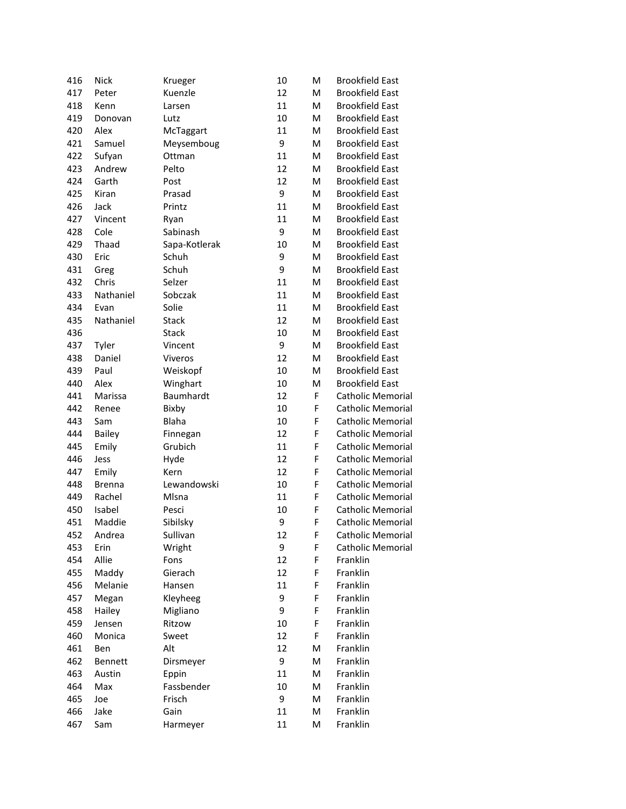| 416 | <b>Nick</b>   | Krueger       | 10 | M  | <b>Brookfield East</b>   |
|-----|---------------|---------------|----|----|--------------------------|
| 417 | Peter         | Kuenzle       | 12 | M  | <b>Brookfield East</b>   |
| 418 | Kenn          | Larsen        | 11 | M  | <b>Brookfield East</b>   |
| 419 | Donovan       | Lutz          | 10 | M  | <b>Brookfield East</b>   |
| 420 | Alex          | McTaggart     | 11 | M  | <b>Brookfield East</b>   |
| 421 | Samuel        | Meysemboug    | 9  | M  | <b>Brookfield East</b>   |
| 422 | Sufyan        | Ottman        | 11 | M  | <b>Brookfield East</b>   |
| 423 | Andrew        | Pelto         | 12 | M  | <b>Brookfield East</b>   |
| 424 | Garth         | Post          | 12 | M  | <b>Brookfield East</b>   |
| 425 | Kiran         | Prasad        | 9  | M  | <b>Brookfield East</b>   |
| 426 | Jack          | Printz        | 11 | M  | <b>Brookfield East</b>   |
| 427 | Vincent       | Ryan          | 11 | M  | <b>Brookfield East</b>   |
| 428 | Cole          | Sabinash      | 9  | M  | <b>Brookfield East</b>   |
| 429 | Thaad         | Sapa-Kotlerak | 10 | M  | <b>Brookfield East</b>   |
| 430 | Eric          | Schuh         | 9  | M  | <b>Brookfield East</b>   |
| 431 | Greg          | Schuh         | 9  | M  | <b>Brookfield East</b>   |
| 432 | Chris         | Selzer        | 11 | M  | <b>Brookfield East</b>   |
| 433 | Nathaniel     | Sobczak       | 11 | M  | <b>Brookfield East</b>   |
| 434 | Evan          | Solie         | 11 | M  | <b>Brookfield East</b>   |
| 435 | Nathaniel     | <b>Stack</b>  | 12 | M  | <b>Brookfield East</b>   |
| 436 |               | <b>Stack</b>  | 10 | M  | <b>Brookfield East</b>   |
| 437 | Tyler         | Vincent       | 9  | M  | <b>Brookfield East</b>   |
| 438 | Daniel        | Viveros       | 12 | M  | <b>Brookfield East</b>   |
| 439 | Paul          | Weiskopf      | 10 | M  | <b>Brookfield East</b>   |
| 440 | Alex          | Winghart      | 10 | M  | <b>Brookfield East</b>   |
| 441 | Marissa       | Baumhardt     | 12 | F  | <b>Catholic Memorial</b> |
| 442 | Renee         | Bixby         | 10 | F  | <b>Catholic Memorial</b> |
| 443 | Sam           | Blaha         | 10 | F  | <b>Catholic Memorial</b> |
| 444 | Bailey        | Finnegan      | 12 | F  | <b>Catholic Memorial</b> |
| 445 | Emily         | Grubich       | 11 | F  | <b>Catholic Memorial</b> |
| 446 | Jess          | Hyde          | 12 | F  | <b>Catholic Memorial</b> |
| 447 | Emily         | Kern          | 12 | F  | <b>Catholic Memorial</b> |
| 448 | <b>Brenna</b> | Lewandowski   | 10 | F  | <b>Catholic Memorial</b> |
| 449 | Rachel        | Mlsna         | 11 | F  | <b>Catholic Memorial</b> |
| 450 | Isabel        | Pesci         | 10 | F  | <b>Catholic Memorial</b> |
| 451 | Maddie        | Sibilsky      | 9  | F  | <b>Catholic Memorial</b> |
| 452 | Andrea        | Sullivan      | 12 | F. | Catholic Memorial        |
| 453 | Erin          | Wright        | 9  | F  | <b>Catholic Memorial</b> |
| 454 | Allie         | Fons          | 12 | F  | Franklin                 |
| 455 | Maddy         | Gierach       | 12 | F  | Franklin                 |
| 456 | Melanie       | Hansen        | 11 | F  | Franklin                 |
| 457 | Megan         | Kleyheeg      | 9  | F  | Franklin                 |
| 458 | Hailey        | Migliano      | 9  | F  | Franklin                 |
| 459 | Jensen        | Ritzow        | 10 | F  | Franklin                 |
| 460 | Monica        | Sweet         | 12 | F  | Franklin                 |
| 461 | Ben           | Alt           | 12 | M  | Franklin                 |
| 462 | Bennett       | Dirsmeyer     | 9  | M  | Franklin                 |
| 463 | Austin        | Eppin         | 11 | M  | Franklin                 |
| 464 | Max           | Fassbender    | 10 | M  | Franklin                 |
| 465 | Joe           | Frisch        | 9  | M  | Franklin                 |
| 466 | Jake          | Gain          | 11 | M  | Franklin                 |
| 467 | Sam           | Harmeyer      | 11 | M  | Franklin                 |
|     |               |               |    |    |                          |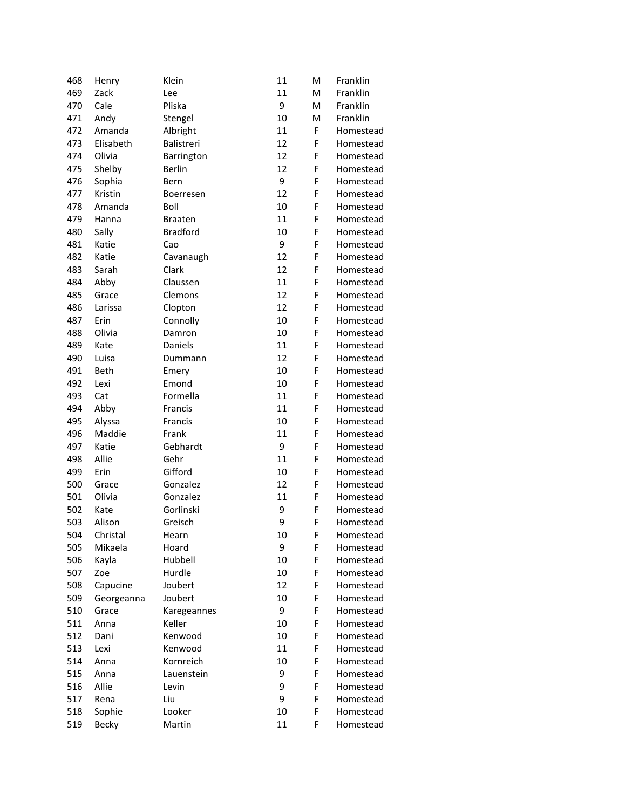| 468 | Henry      | Klein           | 11 | M | Franklin  |
|-----|------------|-----------------|----|---|-----------|
| 469 | Zack       | Lee             | 11 | M | Franklin  |
| 470 | Cale       | Pliska          | 9  | M | Franklin  |
| 471 | Andy       | Stengel         | 10 | M | Franklin  |
| 472 | Amanda     | Albright        | 11 | F | Homestead |
| 473 | Elisabeth  | Balistreri      | 12 | F | Homestead |
| 474 | Olivia     | Barrington      | 12 | F | Homestead |
| 475 | Shelby     | Berlin          | 12 | F | Homestead |
| 476 | Sophia     | Bern            | 9  | F | Homestead |
| 477 | Kristin    | Boerresen       | 12 | F | Homestead |
| 478 | Amanda     | Boll            | 10 | F | Homestead |
| 479 | Hanna      | <b>Braaten</b>  | 11 | F | Homestead |
| 480 | Sally      | <b>Bradford</b> | 10 | F | Homestead |
| 481 | Katie      | Cao             | 9  | F | Homestead |
| 482 | Katie      | Cavanaugh       | 12 | F | Homestead |
| 483 | Sarah      | Clark           | 12 | F | Homestead |
| 484 | Abby       | Claussen        | 11 | F | Homestead |
| 485 | Grace      | Clemons         | 12 | F | Homestead |
| 486 | Larissa    | Clopton         | 12 | F | Homestead |
| 487 | Erin       | Connolly        | 10 | F | Homestead |
| 488 | Olivia     | Damron          | 10 | F | Homestead |
| 489 | Kate       | Daniels         | 11 | F | Homestead |
| 490 | Luisa      | Dummann         | 12 | F | Homestead |
| 491 | Beth       | Emery           | 10 | F | Homestead |
| 492 | Lexi       | Emond           | 10 | F | Homestead |
| 493 | Cat        | Formella        | 11 | F | Homestead |
| 494 | Abby       | Francis         | 11 | F | Homestead |
| 495 | Alyssa     | Francis         | 10 | F | Homestead |
| 496 | Maddie     | Frank           | 11 | F | Homestead |
| 497 | Katie      | Gebhardt        | 9  | F | Homestead |
| 498 | Allie      | Gehr            | 11 | F | Homestead |
| 499 | Erin       | Gifford         | 10 | F | Homestead |
| 500 | Grace      | Gonzalez        | 12 | F | Homestead |
| 501 | Olivia     | Gonzalez        | 11 | F | Homestead |
| 502 | Kate       | Gorlinski       | 9  | F | Homestead |
| 503 | Alison     | Greisch         | 9  | F | Homestead |
| 504 | Christal   | Hearn           | 10 | F | Homestead |
| 505 | Mikaela    | Hoard           | 9  | F | Homestead |
| 506 | Kayla      | Hubbell         | 10 | F | Homestead |
| 507 | Zoe        | Hurdle          | 10 | F | Homestead |
| 508 | Capucine   | Joubert         | 12 | F | Homestead |
| 509 | Georgeanna | Joubert         | 10 | F | Homestead |
| 510 | Grace      | Karegeannes     | 9  | F | Homestead |
| 511 | Anna       | Keller          | 10 | F | Homestead |
| 512 | Dani       | Kenwood         | 10 | F | Homestead |
| 513 | Lexi       | Kenwood         | 11 | F | Homestead |
| 514 | Anna       | Kornreich       | 10 | F | Homestead |
| 515 | Anna       | Lauenstein      | 9  | F | Homestead |
| 516 | Allie      | Levin           | 9  | F | Homestead |
| 517 | Rena       | Liu             | 9  | F | Homestead |
| 518 | Sophie     | Looker          | 10 | F | Homestead |
| 519 | Becky      | Martin          | 11 | F | Homestead |
|     |            |                 |    |   |           |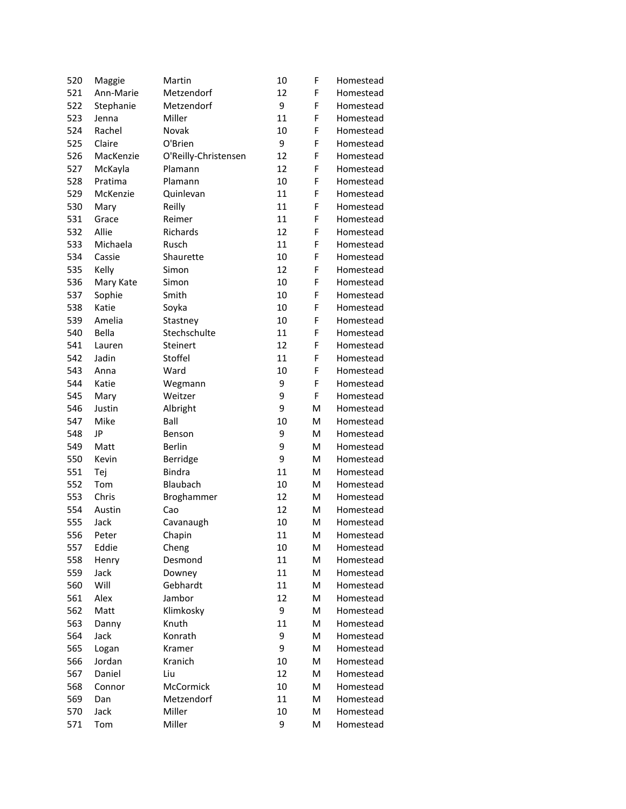| 520 | Maggie    | Martin               | 10 | F | Homestead |
|-----|-----------|----------------------|----|---|-----------|
| 521 | Ann-Marie | Metzendorf           | 12 | F | Homestead |
| 522 | Stephanie | Metzendorf           | 9  | F | Homestead |
| 523 | Jenna     | Miller               | 11 | F | Homestead |
| 524 | Rachel    | Novak                | 10 | F | Homestead |
| 525 | Claire    | O'Brien              | 9  | F | Homestead |
| 526 | MacKenzie | O'Reilly-Christensen | 12 | F | Homestead |
| 527 | McKayla   | Plamann              | 12 | F | Homestead |
| 528 | Pratima   | Plamann              | 10 | F | Homestead |
| 529 | McKenzie  | Quinlevan            | 11 | F | Homestead |
| 530 | Mary      | Reilly               | 11 | F | Homestead |
| 531 | Grace     | Reimer               | 11 | F | Homestead |
| 532 | Allie     | Richards             | 12 | F | Homestead |
| 533 | Michaela  | Rusch                | 11 | F | Homestead |
| 534 | Cassie    | Shaurette            | 10 | F | Homestead |
| 535 | Kelly     | Simon                | 12 | F | Homestead |
| 536 | Mary Kate | Simon                | 10 | F | Homestead |
| 537 | Sophie    | Smith                | 10 | F | Homestead |
| 538 | Katie     | Soyka                | 10 | F | Homestead |
| 539 | Amelia    | Stastney             | 10 | F | Homestead |
| 540 | Bella     | Stechschulte         | 11 | F | Homestead |
| 541 | Lauren    | Steinert             | 12 | F | Homestead |
| 542 | Jadin     | Stoffel              | 11 | F | Homestead |
| 543 | Anna      | Ward                 | 10 | F | Homestead |
| 544 | Katie     | Wegmann              | 9  | F | Homestead |
| 545 | Mary      | Weitzer              | 9  | F | Homestead |
| 546 | Justin    | Albright             | 9  | M | Homestead |
| 547 | Mike      | Ball                 | 10 | M | Homestead |
| 548 | JP        | Benson               | 9  | M | Homestead |
| 549 | Matt      | <b>Berlin</b>        | 9  | M | Homestead |
| 550 | Kevin     | Berridge             | 9  | M | Homestead |
| 551 | Tej       | <b>Bindra</b>        | 11 | M | Homestead |
| 552 | Tom       | Blaubach             | 10 | M | Homestead |
| 553 | Chris     | Broghammer           | 12 | M | Homestead |
| 554 | Austin    | Cao                  | 12 | M | Homestead |
| 555 | Jack      | Cavanaugh            | 10 | M | Homestead |
| 556 | Peter     | Chapin               | 11 | M | Homestead |
| 557 | Eddie     | Cheng                | 10 | M | Homestead |
| 558 | Henry     | Desmond              | 11 | M | Homestead |
| 559 | Jack      | Downey               | 11 | M | Homestead |
| 560 | Will      | Gebhardt             | 11 | M | Homestead |
| 561 | Alex      | Jambor               | 12 | M | Homestead |
| 562 | Matt      | Klimkosky            | 9  | M | Homestead |
| 563 | Danny     | Knuth                | 11 | M | Homestead |
| 564 | Jack      | Konrath              | 9  | M | Homestead |
| 565 | Logan     | Kramer               | 9  | M | Homestead |
| 566 | Jordan    | Kranich              | 10 | M | Homestead |
| 567 | Daniel    | Liu                  | 12 | M | Homestead |
| 568 | Connor    | McCormick            | 10 | M | Homestead |
| 569 | Dan       | Metzendorf           | 11 | M | Homestead |
| 570 | Jack      | Miller               | 10 | M | Homestead |
| 571 | Tom       | Miller               | 9  | M | Homestead |
|     |           |                      |    |   |           |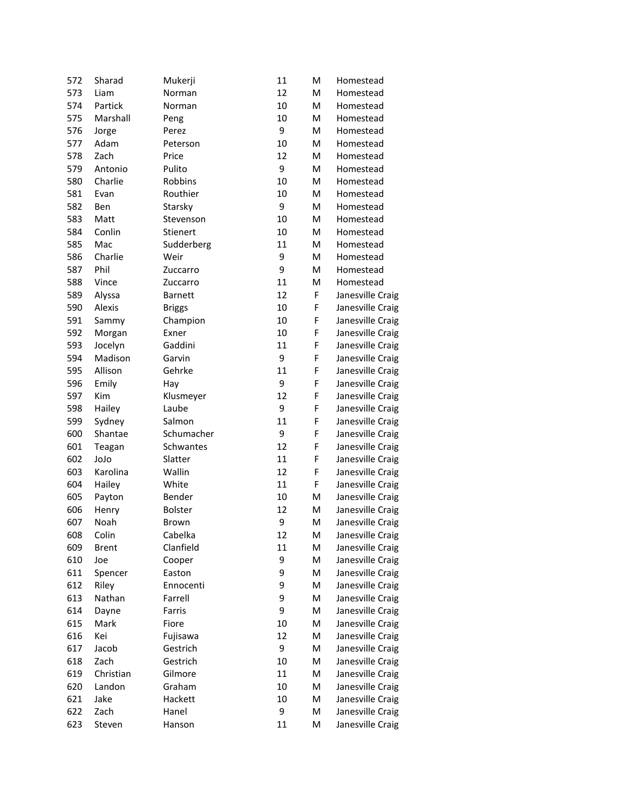| 572 | Sharad        | Mukerji        | 11 | M | Homestead        |
|-----|---------------|----------------|----|---|------------------|
| 573 | Liam          | Norman         | 12 | M | Homestead        |
| 574 | Partick       | Norman         | 10 | M | Homestead        |
| 575 | Marshall      | Peng           | 10 | M | Homestead        |
| 576 | Jorge         | Perez          | 9  | M | Homestead        |
| 577 | Adam          | Peterson       | 10 | M | Homestead        |
| 578 | Zach          | Price          | 12 | M | Homestead        |
| 579 | Antonio       | Pulito         | 9  | M | Homestead        |
| 580 | Charlie       | Robbins        | 10 | M | Homestead        |
| 581 | Evan          | Routhier       | 10 | M | Homestead        |
| 582 | Ben           | Starsky        | 9  | M | Homestead        |
| 583 | Matt          | Stevenson      | 10 | M | Homestead        |
| 584 | Conlin        | Stienert       | 10 | M | Homestead        |
| 585 | Mac           | Sudderberg     | 11 | M | Homestead        |
| 586 | Charlie       | Weir           | 9  | M | Homestead        |
| 587 | Phil          | Zuccarro       | 9  | M | Homestead        |
| 588 | Vince         | Zuccarro       | 11 | M | Homestead        |
| 589 | Alyssa        | <b>Barnett</b> | 12 | F | Janesville Craig |
| 590 | Alexis        | <b>Briggs</b>  | 10 | F | Janesville Craig |
| 591 | Sammy         | Champion       | 10 | F | Janesville Craig |
| 592 | Morgan        | Exner          | 10 | F | Janesville Craig |
| 593 | Jocelyn       | Gaddini        | 11 | F | Janesville Craig |
| 594 | Madison       | Garvin         | 9  | F | Janesville Craig |
| 595 | Allison       | Gehrke         | 11 | F | Janesville Craig |
| 596 | Emily         | Hay            | 9  | F | Janesville Craig |
| 597 | Kim           | Klusmeyer      | 12 | F | Janesville Craig |
| 598 | Hailey        | Laube          | 9  | F | Janesville Craig |
| 599 | Sydney        | Salmon         | 11 | F | Janesville Craig |
| 600 | Shantae       | Schumacher     | 9  | F | Janesville Craig |
| 601 | Teagan        | Schwantes      | 12 | F | Janesville Craig |
| 602 | olol          | Slatter        | 11 | F | Janesville Craig |
| 603 | Karolina      | Wallin         | 12 | F | Janesville Craig |
| 604 | Hailey        | White          | 11 | F | Janesville Craig |
| 605 | Payton        | Bender         | 10 | M | Janesville Craig |
| 606 | Henry         | <b>Bolster</b> | 12 | M | Janesville Craig |
| 607 | Noah          | Brown          | 9  | M | Janesville Craig |
| 608 | Colin         | Cabelka        | 12 | М | Janesville Craig |
| 609 | <b>Brent</b>  | Clanfield      | 11 | M | Janesville Craig |
| 610 | Joe           | Cooper         | 9  | М | Janesville Craig |
| 611 | Spencer       | Easton         | 9  | M | Janesville Craig |
| 612 | Riley         | Ennocenti      | 9  | M | Janesville Craig |
| 613 | Nathan        | Farrell        | 9  | M | Janesville Craig |
| 614 |               | Farris         | 9  | M | Janesville Craig |
| 615 | Dayne<br>Mark | Fiore          | 10 | M | Janesville Craig |
| 616 |               | Fujisawa       | 12 | M | Janesville Craig |
|     | Kei<br>Jacob  | Gestrich       | 9  | M |                  |
| 617 |               |                |    |   | Janesville Craig |
| 618 | Zach          | Gestrich       | 10 | M | Janesville Craig |
| 619 | Christian     | Gilmore        | 11 | M | Janesville Craig |
| 620 | Landon        | Graham         | 10 | M | Janesville Craig |
| 621 | Jake          | Hackett        | 10 | M | Janesville Craig |
| 622 | Zach          | Hanel          | 9  | M | Janesville Craig |
| 623 | Steven        | Hanson         | 11 | M | Janesville Craig |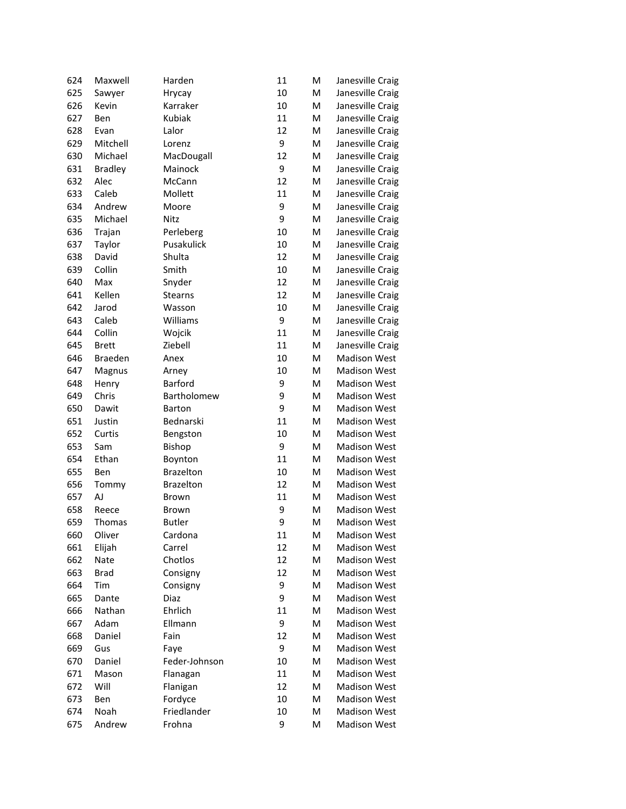| 624 | Maxwell        | Harden           | 11 | M                                                                                                          | Janesville Craig    |
|-----|----------------|------------------|----|------------------------------------------------------------------------------------------------------------|---------------------|
| 625 | Sawyer         | Hrycay           | 10 | ${\sf M}$                                                                                                  | Janesville Craig    |
| 626 | Kevin          | Karraker         | 10 | M                                                                                                          | Janesville Craig    |
| 627 | Ben            | Kubiak           | 11 | M                                                                                                          | Janesville Craig    |
| 628 | Evan           | Lalor            | 12 | M                                                                                                          | Janesville Craig    |
| 629 | Mitchell       | Lorenz           | 9  | M                                                                                                          | Janesville Craig    |
| 630 | Michael        | MacDougall       | 12 | M                                                                                                          | Janesville Craig    |
| 631 | <b>Bradley</b> | Mainock          | 9  | M                                                                                                          | Janesville Craig    |
| 632 | Alec           | McCann           | 12 | M                                                                                                          | Janesville Craig    |
| 633 | Caleb          | Mollett          | 11 | ${\sf M}$                                                                                                  | Janesville Craig    |
| 634 | Andrew         | Moore            | 9  | M                                                                                                          | Janesville Craig    |
| 635 | Michael        | Nitz             | 9  | M                                                                                                          | Janesville Craig    |
| 636 | Trajan         | Perleberg        | 10 | M                                                                                                          | Janesville Craig    |
| 637 | Taylor         | Pusakulick       | 10 | $\mathsf{M}% _{T}=\mathsf{M}_{T}\!\left( a,b\right) ,\ \mathsf{M}_{T}=\mathsf{M}_{T}\!\left( a,b\right) ,$ | Janesville Craig    |
| 638 | David          | Shulta           | 12 | M                                                                                                          | Janesville Craig    |
| 639 | Collin         | Smith            | 10 | M                                                                                                          | Janesville Craig    |
| 640 | Max            | Snyder           | 12 | M                                                                                                          | Janesville Craig    |
| 641 | Kellen         | <b>Stearns</b>   | 12 | M                                                                                                          | Janesville Craig    |
| 642 | Jarod          | Wasson           | 10 | M                                                                                                          | Janesville Craig    |
| 643 | Caleb          | Williams         | 9  | M                                                                                                          | Janesville Craig    |
| 644 | Collin         | Wojcik           | 11 | M                                                                                                          | Janesville Craig    |
| 645 | <b>Brett</b>   | Ziebell          | 11 | M                                                                                                          | Janesville Craig    |
| 646 | Braeden        | Anex             | 10 | M                                                                                                          | <b>Madison West</b> |
| 647 | Magnus         | Arney            | 10 | M                                                                                                          | <b>Madison West</b> |
| 648 | Henry          | <b>Barford</b>   | 9  | M                                                                                                          | <b>Madison West</b> |
| 649 | Chris          | Bartholomew      | 9  | M                                                                                                          | <b>Madison West</b> |
| 650 | Dawit          | <b>Barton</b>    | 9  | M                                                                                                          | <b>Madison West</b> |
| 651 | Justin         | Bednarski        | 11 | M                                                                                                          | <b>Madison West</b> |
| 652 | Curtis         | Bengston         | 10 | M                                                                                                          | <b>Madison West</b> |
| 653 | Sam            | <b>Bishop</b>    | 9  | M                                                                                                          | <b>Madison West</b> |
| 654 | Ethan          | Boynton          | 11 | M                                                                                                          | <b>Madison West</b> |
| 655 | Ben            | <b>Brazelton</b> | 10 | M                                                                                                          | <b>Madison West</b> |
| 656 | Tommy          | <b>Brazelton</b> | 12 | M                                                                                                          | <b>Madison West</b> |
| 657 | AJ             | <b>Brown</b>     | 11 | M                                                                                                          | <b>Madison West</b> |
| 658 | Reece          | <b>Brown</b>     | 9  | M                                                                                                          | <b>Madison West</b> |
| 659 | Thomas         | <b>Butler</b>    | 9  | M                                                                                                          | <b>Madison West</b> |
| 660 | Oliver         | Cardona          | 11 | M                                                                                                          | Madison West        |
| 661 | Elijah         | Carrel           | 12 | M                                                                                                          | <b>Madison West</b> |
| 662 | Nate           | Chotlos          | 12 | M                                                                                                          | <b>Madison West</b> |
| 663 | <b>Brad</b>    | Consigny         | 12 | M                                                                                                          | <b>Madison West</b> |
| 664 | Tim            | Consigny         | 9  | M                                                                                                          | <b>Madison West</b> |
| 665 | Dante          | Diaz             | 9  | M                                                                                                          | <b>Madison West</b> |
| 666 | Nathan         | Ehrlich          | 11 | M                                                                                                          | <b>Madison West</b> |
| 667 | Adam           | Ellmann          | 9  | M                                                                                                          | <b>Madison West</b> |
| 668 | Daniel         | Fain             | 12 | M                                                                                                          | <b>Madison West</b> |
| 669 | Gus            | Faye             | 9  | M                                                                                                          | <b>Madison West</b> |
| 670 | Daniel         | Feder-Johnson    | 10 | ${\sf M}$                                                                                                  | <b>Madison West</b> |
| 671 | Mason          | Flanagan         | 11 | M                                                                                                          | <b>Madison West</b> |
| 672 | Will           | Flanigan         | 12 | M                                                                                                          | <b>Madison West</b> |
| 673 | Ben            | Fordyce          | 10 | M                                                                                                          | <b>Madison West</b> |
| 674 | Noah           | Friedlander      | 10 | M                                                                                                          | <b>Madison West</b> |
| 675 | Andrew         | Frohna           | 9  | M                                                                                                          | <b>Madison West</b> |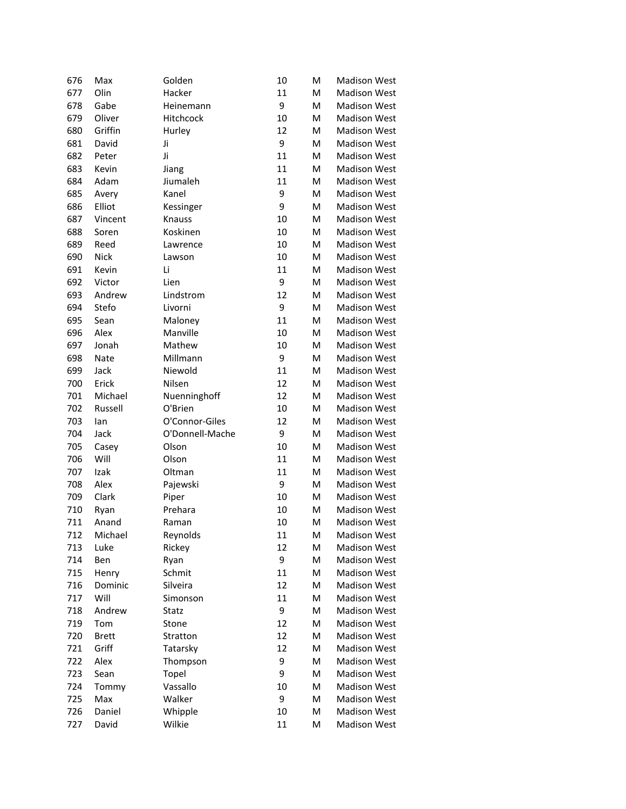| 676 | Max          | Golden          | 10 | M | <b>Madison West</b> |
|-----|--------------|-----------------|----|---|---------------------|
| 677 | Olin         | Hacker          | 11 | M | <b>Madison West</b> |
| 678 | Gabe         | Heinemann       | 9  | M | <b>Madison West</b> |
| 679 | Oliver       | Hitchcock       | 10 | M | <b>Madison West</b> |
| 680 | Griffin      | Hurley          | 12 | M | <b>Madison West</b> |
| 681 | David        | Ji              | 9  | M | <b>Madison West</b> |
| 682 | Peter        | Ji              | 11 | M | <b>Madison West</b> |
| 683 | Kevin        | Jiang           | 11 | M | <b>Madison West</b> |
| 684 | Adam         | Jiumaleh        | 11 | M | <b>Madison West</b> |
| 685 | Avery        | Kanel           | 9  | M | <b>Madison West</b> |
| 686 | Elliot       | Kessinger       | 9  | M | <b>Madison West</b> |
| 687 | Vincent      | <b>Knauss</b>   | 10 | M | <b>Madison West</b> |
| 688 | Soren        | Koskinen        | 10 | M | <b>Madison West</b> |
| 689 | Reed         | Lawrence        | 10 | M | <b>Madison West</b> |
| 690 | Nick         | Lawson          | 10 | M | <b>Madison West</b> |
| 691 | Kevin        | Li              | 11 | M | <b>Madison West</b> |
| 692 | Victor       | Lien            | 9  | M | <b>Madison West</b> |
| 693 | Andrew       | Lindstrom       | 12 | M | <b>Madison West</b> |
| 694 | Stefo        | Livorni         | 9  | M | <b>Madison West</b> |
| 695 | Sean         | Maloney         | 11 | M | <b>Madison West</b> |
| 696 | Alex         | Manville        | 10 | M | <b>Madison West</b> |
| 697 | Jonah        | Mathew          | 10 | M | <b>Madison West</b> |
| 698 | <b>Nate</b>  | Millmann        | 9  | M | <b>Madison West</b> |
| 699 | Jack         | Niewold         | 11 | M | <b>Madison West</b> |
| 700 | Erick        | Nilsen          | 12 | M | <b>Madison West</b> |
| 701 | Michael      | Nuenninghoff    | 12 | M | <b>Madison West</b> |
| 702 | Russell      | O'Brien         | 10 | M | <b>Madison West</b> |
| 703 | lan          | O'Connor-Giles  | 12 | M | <b>Madison West</b> |
| 704 | Jack         | O'Donnell-Mache | 9  | M | <b>Madison West</b> |
| 705 | Casey        | Olson           | 10 | M | <b>Madison West</b> |
| 706 | Will         | Olson           | 11 | M | <b>Madison West</b> |
| 707 | Izak         | Oltman          | 11 | M | <b>Madison West</b> |
| 708 | Alex         | Pajewski        | 9  | M | <b>Madison West</b> |
| 709 | Clark        | Piper           | 10 | M | <b>Madison West</b> |
| 710 | Ryan         | Prehara         | 10 | M | <b>Madison West</b> |
| 711 | Anand        | Raman           | 10 | M | <b>Madison West</b> |
| 712 | Michael      | Reynolds        | 11 | M | Madison West        |
| 713 | Luke         | Rickey          | 12 | M | <b>Madison West</b> |
| 714 | Ben          | Ryan            | 9  | M | <b>Madison West</b> |
| 715 | Henry        | Schmit          | 11 | M | <b>Madison West</b> |
| 716 | Dominic      | Silveira        | 12 | M | <b>Madison West</b> |
| 717 | Will         | Simonson        | 11 | M | <b>Madison West</b> |
| 718 | Andrew       | Statz           | 9  | M | <b>Madison West</b> |
| 719 | Tom          | Stone           | 12 | M | <b>Madison West</b> |
| 720 | <b>Brett</b> | Stratton        | 12 | M | <b>Madison West</b> |
| 721 | Griff        | Tatarsky        | 12 | M | <b>Madison West</b> |
| 722 | Alex         | Thompson        | 9  | M | <b>Madison West</b> |
| 723 | Sean         | Topel           | 9  | M | <b>Madison West</b> |
| 724 | Tommy        | Vassallo        | 10 | M | <b>Madison West</b> |
| 725 | Max          | Walker          | 9  | M | <b>Madison West</b> |
| 726 | Daniel       | Whipple         | 10 | M | <b>Madison West</b> |
| 727 | David        | Wilkie          | 11 | M | <b>Madison West</b> |
|     |              |                 |    |   |                     |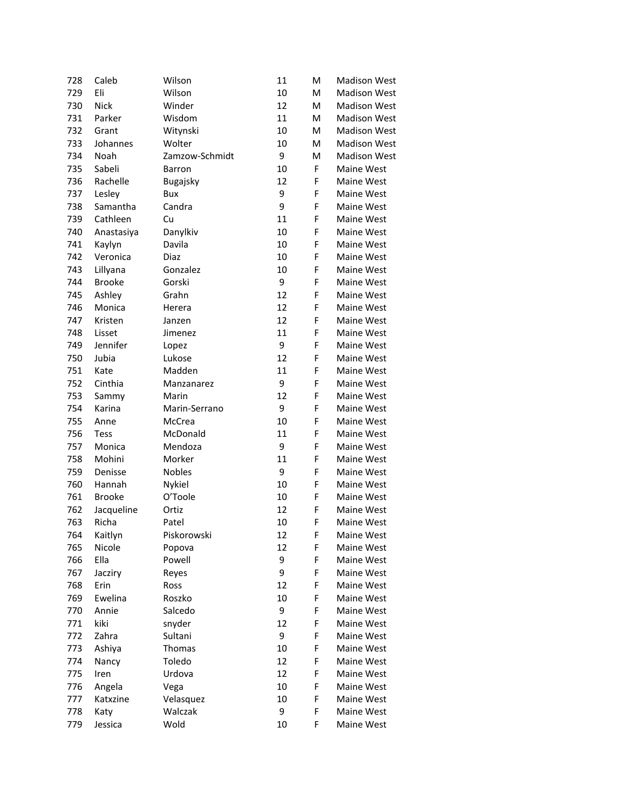| 728 | Caleb         | Wilson         | 11 | M | <b>Madison West</b>      |
|-----|---------------|----------------|----|---|--------------------------|
| 729 | Eli           | Wilson         | 10 | M | <b>Madison West</b>      |
| 730 | <b>Nick</b>   | Winder         | 12 | M | <b>Madison West</b>      |
| 731 | Parker        | Wisdom         | 11 | M | <b>Madison West</b>      |
| 732 | Grant         | Witynski       | 10 | M | <b>Madison West</b>      |
| 733 | Johannes      | Wolter         | 10 | M | <b>Madison West</b>      |
| 734 | Noah          | Zamzow-Schmidt | 9  | M | <b>Madison West</b>      |
| 735 | Sabeli        | Barron         | 10 | F | Maine West               |
| 736 | Rachelle      | Bugajsky       | 12 | F | Maine West               |
| 737 | Lesley        | Bux            | 9  | F | Maine West               |
| 738 | Samantha      | Candra         | 9  | F | Maine West               |
| 739 | Cathleen      | Cu             | 11 | F | Maine West               |
| 740 | Anastasiya    | Danylkiv       | 10 | F | Maine West               |
| 741 | Kaylyn        | Davila         | 10 | F | Maine West               |
| 742 | Veronica      | Diaz           | 10 | F | Maine West               |
| 743 | Lillyana      | Gonzalez       | 10 | F | Maine West               |
| 744 | <b>Brooke</b> | Gorski         | 9  | F | Maine West               |
| 745 | Ashley        | Grahn          | 12 | F | Maine West               |
| 746 | Monica        | Herera         | 12 | F | Maine West               |
| 747 | Kristen       | Janzen         | 12 | F | Maine West               |
| 748 | Lisset        | Jimenez        | 11 | F | Maine West               |
| 749 | Jennifer      | Lopez          | 9  | F | Maine West               |
| 750 | Jubia         | Lukose         | 12 | F | Maine West               |
| 751 | Kate          | Madden         | 11 | F | Maine West               |
| 752 | Cinthia       | Manzanarez     | 9  | F | Maine West               |
| 753 | Sammy         | Marin          | 12 | F | Maine West               |
| 754 | Karina        | Marin-Serrano  | 9  | F | Maine West               |
| 755 | Anne          | McCrea         | 10 | F | Maine West               |
| 756 | <b>Tess</b>   | McDonald       | 11 | F | Maine West               |
| 757 | Monica        | Mendoza        | 9  | F | Maine West               |
| 758 | Mohini        | Morker         | 11 | F | Maine West               |
| 759 | Denisse       | <b>Nobles</b>  | 9  | F | Maine West               |
| 760 | Hannah        | Nykiel         | 10 | F | Maine West               |
| 761 | <b>Brooke</b> | O'Toole        | 10 | F | Maine West               |
| 762 | Jacqueline    | Ortiz          | 12 | F | Maine West               |
| 763 | Richa         | Patel          | 10 | F | Maine West               |
| 764 | Kaitlyn       | Piskorowski    | 12 | F | Maine West               |
| 765 | Nicole        |                |    | F |                          |
|     | Ella          | Popova         | 12 | F | Maine West<br>Maine West |
| 766 |               | Powell         | 9  |   |                          |
| 767 | Jacziry       | Reyes          | 9  | F | Maine West               |
| 768 | Erin          | Ross           | 12 | F | Maine West               |
| 769 | Ewelina       | Roszko         | 10 | F | Maine West               |
| 770 | Annie         | Salcedo        | 9  | F | Maine West               |
| 771 | kiki          | snyder         | 12 | F | Maine West               |
| 772 | Zahra         | Sultani        | 9  | F | Maine West               |
| 773 | Ashiya        | Thomas         | 10 | F | Maine West               |
| 774 | Nancy         | Toledo         | 12 | F | Maine West               |
| 775 | Iren          | Urdova         | 12 | F | Maine West               |
| 776 | Angela        | Vega           | 10 | F | Maine West               |
| 777 | Katxzine      | Velasquez      | 10 | F | Maine West               |
| 778 | Katy          | Walczak        | 9  | F | Maine West               |
| 779 | Jessica       | Wold           | 10 | F | Maine West               |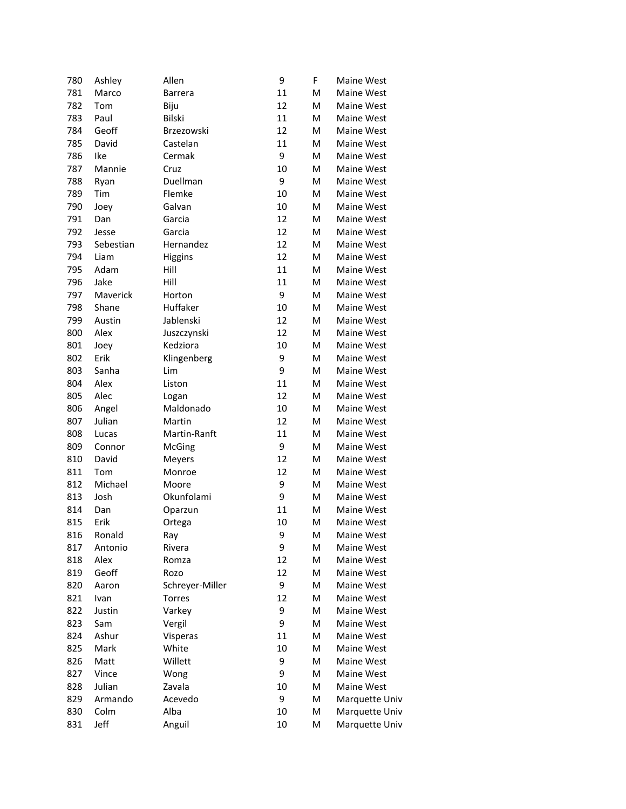| 780 | Ashley    | Allen           | 9  | F | Maine West        |
|-----|-----------|-----------------|----|---|-------------------|
| 781 | Marco     | <b>Barrera</b>  | 11 | M | <b>Maine West</b> |
| 782 | Tom       | Biju            | 12 | M | Maine West        |
| 783 | Paul      | <b>Bilski</b>   | 11 | M | Maine West        |
| 784 | Geoff     | Brzezowski      | 12 | M | Maine West        |
| 785 | David     | Castelan        | 11 | M | Maine West        |
| 786 | Ike       | Cermak          | 9  | M | Maine West        |
| 787 | Mannie    | Cruz            | 10 | M | Maine West        |
| 788 | Ryan      | Duellman        | 9  | M | Maine West        |
| 789 | Tim       | Flemke          | 10 | М | Maine West        |
| 790 | Joey      | Galvan          | 10 | M | Maine West        |
| 791 | Dan       | Garcia          | 12 | M | Maine West        |
| 792 | Jesse     | Garcia          | 12 | M | Maine West        |
| 793 | Sebestian | Hernandez       | 12 | M | Maine West        |
| 794 | Liam      | Higgins         | 12 | M | Maine West        |
| 795 | Adam      | Hill            | 11 | M | Maine West        |
| 796 | Jake      | Hill            | 11 | M | Maine West        |
| 797 | Maverick  | Horton          | 9  | M | Maine West        |
| 798 | Shane     | Huffaker        | 10 | M | Maine West        |
| 799 | Austin    | Jablenski       | 12 | M | Maine West        |
| 800 | Alex      | Juszczynski     | 12 | M | Maine West        |
| 801 | Joey      | Kedziora        | 10 | M | Maine West        |
| 802 | Erik      | Klingenberg     | 9  | M | Maine West        |
| 803 | Sanha     | Lim             | 9  | M | Maine West        |
| 804 | Alex      | Liston          | 11 | M | Maine West        |
| 805 | Alec      | Logan           | 12 | M | Maine West        |
| 806 | Angel     | Maldonado       | 10 | M | Maine West        |
| 807 | Julian    | Martin          | 12 | M | Maine West        |
| 808 | Lucas     | Martin-Ranft    | 11 | M | Maine West        |
| 809 | Connor    | McGing          | 9  | M | Maine West        |
| 810 | David     | Meyers          | 12 | M | Maine West        |
| 811 | Tom       | Monroe          | 12 | M | Maine West        |
| 812 | Michael   | Moore           | 9  | M | Maine West        |
| 813 | Josh      | Okunfolami      | 9  | M | Maine West        |
| 814 | Dan       | Oparzun         | 11 | M | Maine West        |
| 815 | Erik      | Ortega          | 10 | M | Maine West        |
| 816 | Ronald    | Ray             | 9  | М | Maine West        |
| 817 | Antonio   | Rivera          | 9  | M | Maine West        |
| 818 | Alex      | Romza           | 12 | M | Maine West        |
| 819 | Geoff     | Rozo            | 12 | M | Maine West        |
| 820 | Aaron     | Schreyer-Miller | 9  | M | Maine West        |
| 821 | Ivan      | Torres          | 12 | M | Maine West        |
| 822 | Justin    | Varkey          | 9  | M | Maine West        |
| 823 | Sam       | Vergil          | 9  | M | Maine West        |
| 824 | Ashur     | Visperas        | 11 | M | Maine West        |
| 825 | Mark      | White           | 10 | M | Maine West        |
| 826 | Matt      | Willett         | 9  | M | Maine West        |
| 827 | Vince     | Wong            | 9  | M | Maine West        |
| 828 | Julian    | Zavala          | 10 | M | Maine West        |
| 829 | Armando   | Acevedo         | 9  | M | Marquette Univ    |
| 830 | Colm      | Alba            | 10 | M | Marquette Univ    |
| 831 | Jeff      | Anguil          | 10 | M | Marquette Univ    |
|     |           |                 |    |   |                   |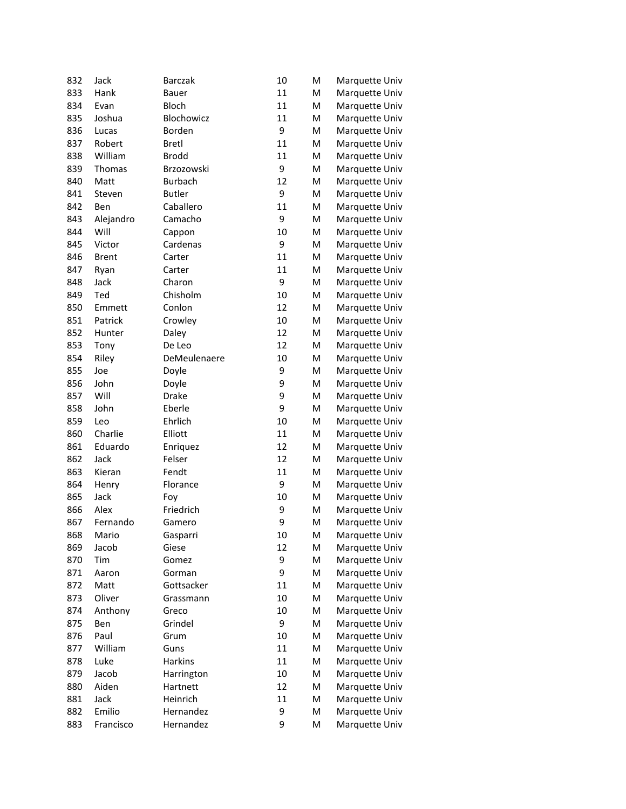| 11<br>833<br>Hank<br>M<br><b>Bauer</b><br>Marquette Univ<br>11<br>834<br><b>Bloch</b><br>M<br>Evan<br>Marquette Univ<br>Blochowicz<br>11<br>835<br>Joshua<br>M<br>Marquette Univ<br>9<br>836<br>Borden<br>M<br>Lucas<br>Marquette Univ<br>11<br>837<br>Robert<br><b>Bretl</b><br>M<br>Marquette Univ<br>11<br>838<br>William<br><b>Brodd</b><br>M<br>Marquette Univ<br>9<br>839<br>Brzozowski<br>M<br>Thomas<br>Marquette Univ<br>12<br>840<br>Matt<br><b>Burbach</b><br>M<br>Marquette Univ<br>9<br>841<br><b>Butler</b><br>M<br>Marquette Univ<br>Steven<br>842<br>Caballero<br>11<br>Ben<br>M<br>Marquette Univ<br>9<br>843<br>Camacho<br>M<br>Alejandro<br>Marquette Univ<br>844<br>Will<br>10<br>M<br>Cappon<br>Marquette Univ<br>9<br>845<br>M<br>Victor<br>Cardenas<br>Marquette Univ<br>846<br>11<br>M<br>Brent<br>Carter<br>Marquette Univ<br>847<br>11<br>M<br>Ryan<br>Carter<br>Marquette Univ<br>9<br>848<br>M<br>Jack<br>Charon<br>Marquette Univ<br>849<br>Chisholm<br>10<br>M<br>Ted<br>Marquette Univ<br>12<br>850<br>Conlon<br>Emmett<br>M<br>Marquette Univ<br>851<br>Patrick<br>Crowley<br>10<br>M<br>Marquette Univ<br>12<br>852<br>M<br>Hunter<br>Daley<br>Marquette Univ<br>12<br>853<br>M<br>Tony<br>De Leo<br>Marquette Univ<br>854<br>10<br>M<br>Riley<br>DeMeulenaere<br>Marquette Univ<br>855<br>9<br>M<br>Doyle<br>Marquette Univ<br>Joe<br>9<br>856<br>John<br>M<br>Doyle<br>Marquette Univ<br>9<br>857<br>Will<br>Drake<br>M<br>Marquette Univ<br>9<br>858<br>John<br>Eberle<br>M<br>Marquette Univ<br>859<br>Ehrlich<br>10<br>M<br>Leo<br>Marquette Univ<br>11<br>860<br>Charlie<br>Elliott<br>M<br>Marquette Univ<br>12<br>861<br>Eduardo<br>M<br>Enriquez<br>Marquette Univ<br>12<br>862<br>Jack<br>Felser<br>M<br>Marquette Univ<br>11<br>863<br>Fendt<br>M<br>Kieran<br>Marquette Univ<br>9<br>864<br>M<br>Florance<br>Marquette Univ<br>Henry<br>865<br>10<br>M<br>Jack<br>Foy<br>Marquette Univ<br>866<br>Alex<br>Friedrich<br>9<br>M<br>Marquette Univ<br>9<br>867<br>Fernando<br>M<br>Marquette Univ<br>Gamero<br>868<br>Mario<br>10<br>Marquette Univ<br>Gasparri<br>M<br>869<br>12<br>Jacob<br>Giese<br>M<br>Marquette Univ<br>9<br>M<br>870<br>Tim<br>Gomez<br>Marquette Univ<br>9<br>M<br>871<br>Aaron<br>Gorman<br>Marquette Univ<br>872<br>Matt<br>Gottsacker<br>11<br>M<br>Marquette Univ<br>873<br>Oliver<br>10<br>M<br>Grassmann<br>Marquette Univ<br>874<br>Anthony<br>10<br>Greco<br>M<br>Marquette Univ<br>9<br>875<br>Grindel<br>Marquette Univ<br>Ben<br>M<br>Paul<br>10<br>M<br>Marquette Univ<br>876<br>Grum<br>William<br>Guns<br>11<br>M<br>Marquette Univ<br>877<br>11<br>Luke<br><b>Harkins</b><br>M<br>Marquette Univ<br>878<br>10<br>Marquette Univ<br>879<br>Jacob<br>Harrington<br>M<br>880<br>Aiden<br>Hartnett<br>12<br>M<br>Marquette Univ<br>11<br>881<br>Jack<br>Heinrich<br>M<br>Marquette Univ<br>Emilio<br>882<br>Hernandez<br>9<br>M<br>Marquette Univ<br>9<br>M | 832 | Jack      | <b>Barczak</b> | 10 | M | Marquette Univ |
|------------------------------------------------------------------------------------------------------------------------------------------------------------------------------------------------------------------------------------------------------------------------------------------------------------------------------------------------------------------------------------------------------------------------------------------------------------------------------------------------------------------------------------------------------------------------------------------------------------------------------------------------------------------------------------------------------------------------------------------------------------------------------------------------------------------------------------------------------------------------------------------------------------------------------------------------------------------------------------------------------------------------------------------------------------------------------------------------------------------------------------------------------------------------------------------------------------------------------------------------------------------------------------------------------------------------------------------------------------------------------------------------------------------------------------------------------------------------------------------------------------------------------------------------------------------------------------------------------------------------------------------------------------------------------------------------------------------------------------------------------------------------------------------------------------------------------------------------------------------------------------------------------------------------------------------------------------------------------------------------------------------------------------------------------------------------------------------------------------------------------------------------------------------------------------------------------------------------------------------------------------------------------------------------------------------------------------------------------------------------------------------------------------------------------------------------------------------------------------------------------------------------------------------------------------------------------------------------------------------------------------------------------------------------------------------------------------------------------------------------------------------------------------------------------------------------------------------------------------------------------------------------------------------------------------------|-----|-----------|----------------|----|---|----------------|
|                                                                                                                                                                                                                                                                                                                                                                                                                                                                                                                                                                                                                                                                                                                                                                                                                                                                                                                                                                                                                                                                                                                                                                                                                                                                                                                                                                                                                                                                                                                                                                                                                                                                                                                                                                                                                                                                                                                                                                                                                                                                                                                                                                                                                                                                                                                                                                                                                                                                                                                                                                                                                                                                                                                                                                                                                                                                                                                                          |     |           |                |    |   |                |
|                                                                                                                                                                                                                                                                                                                                                                                                                                                                                                                                                                                                                                                                                                                                                                                                                                                                                                                                                                                                                                                                                                                                                                                                                                                                                                                                                                                                                                                                                                                                                                                                                                                                                                                                                                                                                                                                                                                                                                                                                                                                                                                                                                                                                                                                                                                                                                                                                                                                                                                                                                                                                                                                                                                                                                                                                                                                                                                                          |     |           |                |    |   |                |
|                                                                                                                                                                                                                                                                                                                                                                                                                                                                                                                                                                                                                                                                                                                                                                                                                                                                                                                                                                                                                                                                                                                                                                                                                                                                                                                                                                                                                                                                                                                                                                                                                                                                                                                                                                                                                                                                                                                                                                                                                                                                                                                                                                                                                                                                                                                                                                                                                                                                                                                                                                                                                                                                                                                                                                                                                                                                                                                                          |     |           |                |    |   |                |
|                                                                                                                                                                                                                                                                                                                                                                                                                                                                                                                                                                                                                                                                                                                                                                                                                                                                                                                                                                                                                                                                                                                                                                                                                                                                                                                                                                                                                                                                                                                                                                                                                                                                                                                                                                                                                                                                                                                                                                                                                                                                                                                                                                                                                                                                                                                                                                                                                                                                                                                                                                                                                                                                                                                                                                                                                                                                                                                                          |     |           |                |    |   |                |
|                                                                                                                                                                                                                                                                                                                                                                                                                                                                                                                                                                                                                                                                                                                                                                                                                                                                                                                                                                                                                                                                                                                                                                                                                                                                                                                                                                                                                                                                                                                                                                                                                                                                                                                                                                                                                                                                                                                                                                                                                                                                                                                                                                                                                                                                                                                                                                                                                                                                                                                                                                                                                                                                                                                                                                                                                                                                                                                                          |     |           |                |    |   |                |
|                                                                                                                                                                                                                                                                                                                                                                                                                                                                                                                                                                                                                                                                                                                                                                                                                                                                                                                                                                                                                                                                                                                                                                                                                                                                                                                                                                                                                                                                                                                                                                                                                                                                                                                                                                                                                                                                                                                                                                                                                                                                                                                                                                                                                                                                                                                                                                                                                                                                                                                                                                                                                                                                                                                                                                                                                                                                                                                                          |     |           |                |    |   |                |
|                                                                                                                                                                                                                                                                                                                                                                                                                                                                                                                                                                                                                                                                                                                                                                                                                                                                                                                                                                                                                                                                                                                                                                                                                                                                                                                                                                                                                                                                                                                                                                                                                                                                                                                                                                                                                                                                                                                                                                                                                                                                                                                                                                                                                                                                                                                                                                                                                                                                                                                                                                                                                                                                                                                                                                                                                                                                                                                                          |     |           |                |    |   |                |
|                                                                                                                                                                                                                                                                                                                                                                                                                                                                                                                                                                                                                                                                                                                                                                                                                                                                                                                                                                                                                                                                                                                                                                                                                                                                                                                                                                                                                                                                                                                                                                                                                                                                                                                                                                                                                                                                                                                                                                                                                                                                                                                                                                                                                                                                                                                                                                                                                                                                                                                                                                                                                                                                                                                                                                                                                                                                                                                                          |     |           |                |    |   |                |
|                                                                                                                                                                                                                                                                                                                                                                                                                                                                                                                                                                                                                                                                                                                                                                                                                                                                                                                                                                                                                                                                                                                                                                                                                                                                                                                                                                                                                                                                                                                                                                                                                                                                                                                                                                                                                                                                                                                                                                                                                                                                                                                                                                                                                                                                                                                                                                                                                                                                                                                                                                                                                                                                                                                                                                                                                                                                                                                                          |     |           |                |    |   |                |
|                                                                                                                                                                                                                                                                                                                                                                                                                                                                                                                                                                                                                                                                                                                                                                                                                                                                                                                                                                                                                                                                                                                                                                                                                                                                                                                                                                                                                                                                                                                                                                                                                                                                                                                                                                                                                                                                                                                                                                                                                                                                                                                                                                                                                                                                                                                                                                                                                                                                                                                                                                                                                                                                                                                                                                                                                                                                                                                                          |     |           |                |    |   |                |
|                                                                                                                                                                                                                                                                                                                                                                                                                                                                                                                                                                                                                                                                                                                                                                                                                                                                                                                                                                                                                                                                                                                                                                                                                                                                                                                                                                                                                                                                                                                                                                                                                                                                                                                                                                                                                                                                                                                                                                                                                                                                                                                                                                                                                                                                                                                                                                                                                                                                                                                                                                                                                                                                                                                                                                                                                                                                                                                                          |     |           |                |    |   |                |
|                                                                                                                                                                                                                                                                                                                                                                                                                                                                                                                                                                                                                                                                                                                                                                                                                                                                                                                                                                                                                                                                                                                                                                                                                                                                                                                                                                                                                                                                                                                                                                                                                                                                                                                                                                                                                                                                                                                                                                                                                                                                                                                                                                                                                                                                                                                                                                                                                                                                                                                                                                                                                                                                                                                                                                                                                                                                                                                                          |     |           |                |    |   |                |
|                                                                                                                                                                                                                                                                                                                                                                                                                                                                                                                                                                                                                                                                                                                                                                                                                                                                                                                                                                                                                                                                                                                                                                                                                                                                                                                                                                                                                                                                                                                                                                                                                                                                                                                                                                                                                                                                                                                                                                                                                                                                                                                                                                                                                                                                                                                                                                                                                                                                                                                                                                                                                                                                                                                                                                                                                                                                                                                                          |     |           |                |    |   |                |
|                                                                                                                                                                                                                                                                                                                                                                                                                                                                                                                                                                                                                                                                                                                                                                                                                                                                                                                                                                                                                                                                                                                                                                                                                                                                                                                                                                                                                                                                                                                                                                                                                                                                                                                                                                                                                                                                                                                                                                                                                                                                                                                                                                                                                                                                                                                                                                                                                                                                                                                                                                                                                                                                                                                                                                                                                                                                                                                                          |     |           |                |    |   |                |
|                                                                                                                                                                                                                                                                                                                                                                                                                                                                                                                                                                                                                                                                                                                                                                                                                                                                                                                                                                                                                                                                                                                                                                                                                                                                                                                                                                                                                                                                                                                                                                                                                                                                                                                                                                                                                                                                                                                                                                                                                                                                                                                                                                                                                                                                                                                                                                                                                                                                                                                                                                                                                                                                                                                                                                                                                                                                                                                                          |     |           |                |    |   |                |
|                                                                                                                                                                                                                                                                                                                                                                                                                                                                                                                                                                                                                                                                                                                                                                                                                                                                                                                                                                                                                                                                                                                                                                                                                                                                                                                                                                                                                                                                                                                                                                                                                                                                                                                                                                                                                                                                                                                                                                                                                                                                                                                                                                                                                                                                                                                                                                                                                                                                                                                                                                                                                                                                                                                                                                                                                                                                                                                                          |     |           |                |    |   |                |
|                                                                                                                                                                                                                                                                                                                                                                                                                                                                                                                                                                                                                                                                                                                                                                                                                                                                                                                                                                                                                                                                                                                                                                                                                                                                                                                                                                                                                                                                                                                                                                                                                                                                                                                                                                                                                                                                                                                                                                                                                                                                                                                                                                                                                                                                                                                                                                                                                                                                                                                                                                                                                                                                                                                                                                                                                                                                                                                                          |     |           |                |    |   |                |
|                                                                                                                                                                                                                                                                                                                                                                                                                                                                                                                                                                                                                                                                                                                                                                                                                                                                                                                                                                                                                                                                                                                                                                                                                                                                                                                                                                                                                                                                                                                                                                                                                                                                                                                                                                                                                                                                                                                                                                                                                                                                                                                                                                                                                                                                                                                                                                                                                                                                                                                                                                                                                                                                                                                                                                                                                                                                                                                                          |     |           |                |    |   |                |
|                                                                                                                                                                                                                                                                                                                                                                                                                                                                                                                                                                                                                                                                                                                                                                                                                                                                                                                                                                                                                                                                                                                                                                                                                                                                                                                                                                                                                                                                                                                                                                                                                                                                                                                                                                                                                                                                                                                                                                                                                                                                                                                                                                                                                                                                                                                                                                                                                                                                                                                                                                                                                                                                                                                                                                                                                                                                                                                                          |     |           |                |    |   |                |
|                                                                                                                                                                                                                                                                                                                                                                                                                                                                                                                                                                                                                                                                                                                                                                                                                                                                                                                                                                                                                                                                                                                                                                                                                                                                                                                                                                                                                                                                                                                                                                                                                                                                                                                                                                                                                                                                                                                                                                                                                                                                                                                                                                                                                                                                                                                                                                                                                                                                                                                                                                                                                                                                                                                                                                                                                                                                                                                                          |     |           |                |    |   |                |
|                                                                                                                                                                                                                                                                                                                                                                                                                                                                                                                                                                                                                                                                                                                                                                                                                                                                                                                                                                                                                                                                                                                                                                                                                                                                                                                                                                                                                                                                                                                                                                                                                                                                                                                                                                                                                                                                                                                                                                                                                                                                                                                                                                                                                                                                                                                                                                                                                                                                                                                                                                                                                                                                                                                                                                                                                                                                                                                                          |     |           |                |    |   |                |
|                                                                                                                                                                                                                                                                                                                                                                                                                                                                                                                                                                                                                                                                                                                                                                                                                                                                                                                                                                                                                                                                                                                                                                                                                                                                                                                                                                                                                                                                                                                                                                                                                                                                                                                                                                                                                                                                                                                                                                                                                                                                                                                                                                                                                                                                                                                                                                                                                                                                                                                                                                                                                                                                                                                                                                                                                                                                                                                                          |     |           |                |    |   |                |
|                                                                                                                                                                                                                                                                                                                                                                                                                                                                                                                                                                                                                                                                                                                                                                                                                                                                                                                                                                                                                                                                                                                                                                                                                                                                                                                                                                                                                                                                                                                                                                                                                                                                                                                                                                                                                                                                                                                                                                                                                                                                                                                                                                                                                                                                                                                                                                                                                                                                                                                                                                                                                                                                                                                                                                                                                                                                                                                                          |     |           |                |    |   |                |
|                                                                                                                                                                                                                                                                                                                                                                                                                                                                                                                                                                                                                                                                                                                                                                                                                                                                                                                                                                                                                                                                                                                                                                                                                                                                                                                                                                                                                                                                                                                                                                                                                                                                                                                                                                                                                                                                                                                                                                                                                                                                                                                                                                                                                                                                                                                                                                                                                                                                                                                                                                                                                                                                                                                                                                                                                                                                                                                                          |     |           |                |    |   |                |
|                                                                                                                                                                                                                                                                                                                                                                                                                                                                                                                                                                                                                                                                                                                                                                                                                                                                                                                                                                                                                                                                                                                                                                                                                                                                                                                                                                                                                                                                                                                                                                                                                                                                                                                                                                                                                                                                                                                                                                                                                                                                                                                                                                                                                                                                                                                                                                                                                                                                                                                                                                                                                                                                                                                                                                                                                                                                                                                                          |     |           |                |    |   |                |
|                                                                                                                                                                                                                                                                                                                                                                                                                                                                                                                                                                                                                                                                                                                                                                                                                                                                                                                                                                                                                                                                                                                                                                                                                                                                                                                                                                                                                                                                                                                                                                                                                                                                                                                                                                                                                                                                                                                                                                                                                                                                                                                                                                                                                                                                                                                                                                                                                                                                                                                                                                                                                                                                                                                                                                                                                                                                                                                                          |     |           |                |    |   |                |
|                                                                                                                                                                                                                                                                                                                                                                                                                                                                                                                                                                                                                                                                                                                                                                                                                                                                                                                                                                                                                                                                                                                                                                                                                                                                                                                                                                                                                                                                                                                                                                                                                                                                                                                                                                                                                                                                                                                                                                                                                                                                                                                                                                                                                                                                                                                                                                                                                                                                                                                                                                                                                                                                                                                                                                                                                                                                                                                                          |     |           |                |    |   |                |
|                                                                                                                                                                                                                                                                                                                                                                                                                                                                                                                                                                                                                                                                                                                                                                                                                                                                                                                                                                                                                                                                                                                                                                                                                                                                                                                                                                                                                                                                                                                                                                                                                                                                                                                                                                                                                                                                                                                                                                                                                                                                                                                                                                                                                                                                                                                                                                                                                                                                                                                                                                                                                                                                                                                                                                                                                                                                                                                                          |     |           |                |    |   |                |
|                                                                                                                                                                                                                                                                                                                                                                                                                                                                                                                                                                                                                                                                                                                                                                                                                                                                                                                                                                                                                                                                                                                                                                                                                                                                                                                                                                                                                                                                                                                                                                                                                                                                                                                                                                                                                                                                                                                                                                                                                                                                                                                                                                                                                                                                                                                                                                                                                                                                                                                                                                                                                                                                                                                                                                                                                                                                                                                                          |     |           |                |    |   |                |
|                                                                                                                                                                                                                                                                                                                                                                                                                                                                                                                                                                                                                                                                                                                                                                                                                                                                                                                                                                                                                                                                                                                                                                                                                                                                                                                                                                                                                                                                                                                                                                                                                                                                                                                                                                                                                                                                                                                                                                                                                                                                                                                                                                                                                                                                                                                                                                                                                                                                                                                                                                                                                                                                                                                                                                                                                                                                                                                                          |     |           |                |    |   |                |
|                                                                                                                                                                                                                                                                                                                                                                                                                                                                                                                                                                                                                                                                                                                                                                                                                                                                                                                                                                                                                                                                                                                                                                                                                                                                                                                                                                                                                                                                                                                                                                                                                                                                                                                                                                                                                                                                                                                                                                                                                                                                                                                                                                                                                                                                                                                                                                                                                                                                                                                                                                                                                                                                                                                                                                                                                                                                                                                                          |     |           |                |    |   |                |
|                                                                                                                                                                                                                                                                                                                                                                                                                                                                                                                                                                                                                                                                                                                                                                                                                                                                                                                                                                                                                                                                                                                                                                                                                                                                                                                                                                                                                                                                                                                                                                                                                                                                                                                                                                                                                                                                                                                                                                                                                                                                                                                                                                                                                                                                                                                                                                                                                                                                                                                                                                                                                                                                                                                                                                                                                                                                                                                                          |     |           |                |    |   |                |
|                                                                                                                                                                                                                                                                                                                                                                                                                                                                                                                                                                                                                                                                                                                                                                                                                                                                                                                                                                                                                                                                                                                                                                                                                                                                                                                                                                                                                                                                                                                                                                                                                                                                                                                                                                                                                                                                                                                                                                                                                                                                                                                                                                                                                                                                                                                                                                                                                                                                                                                                                                                                                                                                                                                                                                                                                                                                                                                                          |     |           |                |    |   |                |
|                                                                                                                                                                                                                                                                                                                                                                                                                                                                                                                                                                                                                                                                                                                                                                                                                                                                                                                                                                                                                                                                                                                                                                                                                                                                                                                                                                                                                                                                                                                                                                                                                                                                                                                                                                                                                                                                                                                                                                                                                                                                                                                                                                                                                                                                                                                                                                                                                                                                                                                                                                                                                                                                                                                                                                                                                                                                                                                                          |     |           |                |    |   |                |
|                                                                                                                                                                                                                                                                                                                                                                                                                                                                                                                                                                                                                                                                                                                                                                                                                                                                                                                                                                                                                                                                                                                                                                                                                                                                                                                                                                                                                                                                                                                                                                                                                                                                                                                                                                                                                                                                                                                                                                                                                                                                                                                                                                                                                                                                                                                                                                                                                                                                                                                                                                                                                                                                                                                                                                                                                                                                                                                                          |     |           |                |    |   |                |
|                                                                                                                                                                                                                                                                                                                                                                                                                                                                                                                                                                                                                                                                                                                                                                                                                                                                                                                                                                                                                                                                                                                                                                                                                                                                                                                                                                                                                                                                                                                                                                                                                                                                                                                                                                                                                                                                                                                                                                                                                                                                                                                                                                                                                                                                                                                                                                                                                                                                                                                                                                                                                                                                                                                                                                                                                                                                                                                                          |     |           |                |    |   |                |
|                                                                                                                                                                                                                                                                                                                                                                                                                                                                                                                                                                                                                                                                                                                                                                                                                                                                                                                                                                                                                                                                                                                                                                                                                                                                                                                                                                                                                                                                                                                                                                                                                                                                                                                                                                                                                                                                                                                                                                                                                                                                                                                                                                                                                                                                                                                                                                                                                                                                                                                                                                                                                                                                                                                                                                                                                                                                                                                                          |     |           |                |    |   |                |
|                                                                                                                                                                                                                                                                                                                                                                                                                                                                                                                                                                                                                                                                                                                                                                                                                                                                                                                                                                                                                                                                                                                                                                                                                                                                                                                                                                                                                                                                                                                                                                                                                                                                                                                                                                                                                                                                                                                                                                                                                                                                                                                                                                                                                                                                                                                                                                                                                                                                                                                                                                                                                                                                                                                                                                                                                                                                                                                                          |     |           |                |    |   |                |
|                                                                                                                                                                                                                                                                                                                                                                                                                                                                                                                                                                                                                                                                                                                                                                                                                                                                                                                                                                                                                                                                                                                                                                                                                                                                                                                                                                                                                                                                                                                                                                                                                                                                                                                                                                                                                                                                                                                                                                                                                                                                                                                                                                                                                                                                                                                                                                                                                                                                                                                                                                                                                                                                                                                                                                                                                                                                                                                                          |     |           |                |    |   |                |
|                                                                                                                                                                                                                                                                                                                                                                                                                                                                                                                                                                                                                                                                                                                                                                                                                                                                                                                                                                                                                                                                                                                                                                                                                                                                                                                                                                                                                                                                                                                                                                                                                                                                                                                                                                                                                                                                                                                                                                                                                                                                                                                                                                                                                                                                                                                                                                                                                                                                                                                                                                                                                                                                                                                                                                                                                                                                                                                                          |     |           |                |    |   |                |
|                                                                                                                                                                                                                                                                                                                                                                                                                                                                                                                                                                                                                                                                                                                                                                                                                                                                                                                                                                                                                                                                                                                                                                                                                                                                                                                                                                                                                                                                                                                                                                                                                                                                                                                                                                                                                                                                                                                                                                                                                                                                                                                                                                                                                                                                                                                                                                                                                                                                                                                                                                                                                                                                                                                                                                                                                                                                                                                                          |     |           |                |    |   |                |
|                                                                                                                                                                                                                                                                                                                                                                                                                                                                                                                                                                                                                                                                                                                                                                                                                                                                                                                                                                                                                                                                                                                                                                                                                                                                                                                                                                                                                                                                                                                                                                                                                                                                                                                                                                                                                                                                                                                                                                                                                                                                                                                                                                                                                                                                                                                                                                                                                                                                                                                                                                                                                                                                                                                                                                                                                                                                                                                                          |     |           |                |    |   |                |
|                                                                                                                                                                                                                                                                                                                                                                                                                                                                                                                                                                                                                                                                                                                                                                                                                                                                                                                                                                                                                                                                                                                                                                                                                                                                                                                                                                                                                                                                                                                                                                                                                                                                                                                                                                                                                                                                                                                                                                                                                                                                                                                                                                                                                                                                                                                                                                                                                                                                                                                                                                                                                                                                                                                                                                                                                                                                                                                                          |     |           |                |    |   |                |
|                                                                                                                                                                                                                                                                                                                                                                                                                                                                                                                                                                                                                                                                                                                                                                                                                                                                                                                                                                                                                                                                                                                                                                                                                                                                                                                                                                                                                                                                                                                                                                                                                                                                                                                                                                                                                                                                                                                                                                                                                                                                                                                                                                                                                                                                                                                                                                                                                                                                                                                                                                                                                                                                                                                                                                                                                                                                                                                                          |     |           |                |    |   |                |
|                                                                                                                                                                                                                                                                                                                                                                                                                                                                                                                                                                                                                                                                                                                                                                                                                                                                                                                                                                                                                                                                                                                                                                                                                                                                                                                                                                                                                                                                                                                                                                                                                                                                                                                                                                                                                                                                                                                                                                                                                                                                                                                                                                                                                                                                                                                                                                                                                                                                                                                                                                                                                                                                                                                                                                                                                                                                                                                                          |     |           |                |    |   |                |
|                                                                                                                                                                                                                                                                                                                                                                                                                                                                                                                                                                                                                                                                                                                                                                                                                                                                                                                                                                                                                                                                                                                                                                                                                                                                                                                                                                                                                                                                                                                                                                                                                                                                                                                                                                                                                                                                                                                                                                                                                                                                                                                                                                                                                                                                                                                                                                                                                                                                                                                                                                                                                                                                                                                                                                                                                                                                                                                                          |     |           |                |    |   |                |
|                                                                                                                                                                                                                                                                                                                                                                                                                                                                                                                                                                                                                                                                                                                                                                                                                                                                                                                                                                                                                                                                                                                                                                                                                                                                                                                                                                                                                                                                                                                                                                                                                                                                                                                                                                                                                                                                                                                                                                                                                                                                                                                                                                                                                                                                                                                                                                                                                                                                                                                                                                                                                                                                                                                                                                                                                                                                                                                                          |     |           |                |    |   |                |
|                                                                                                                                                                                                                                                                                                                                                                                                                                                                                                                                                                                                                                                                                                                                                                                                                                                                                                                                                                                                                                                                                                                                                                                                                                                                                                                                                                                                                                                                                                                                                                                                                                                                                                                                                                                                                                                                                                                                                                                                                                                                                                                                                                                                                                                                                                                                                                                                                                                                                                                                                                                                                                                                                                                                                                                                                                                                                                                                          |     |           |                |    |   |                |
|                                                                                                                                                                                                                                                                                                                                                                                                                                                                                                                                                                                                                                                                                                                                                                                                                                                                                                                                                                                                                                                                                                                                                                                                                                                                                                                                                                                                                                                                                                                                                                                                                                                                                                                                                                                                                                                                                                                                                                                                                                                                                                                                                                                                                                                                                                                                                                                                                                                                                                                                                                                                                                                                                                                                                                                                                                                                                                                                          |     |           |                |    |   |                |
|                                                                                                                                                                                                                                                                                                                                                                                                                                                                                                                                                                                                                                                                                                                                                                                                                                                                                                                                                                                                                                                                                                                                                                                                                                                                                                                                                                                                                                                                                                                                                                                                                                                                                                                                                                                                                                                                                                                                                                                                                                                                                                                                                                                                                                                                                                                                                                                                                                                                                                                                                                                                                                                                                                                                                                                                                                                                                                                                          |     |           |                |    |   |                |
|                                                                                                                                                                                                                                                                                                                                                                                                                                                                                                                                                                                                                                                                                                                                                                                                                                                                                                                                                                                                                                                                                                                                                                                                                                                                                                                                                                                                                                                                                                                                                                                                                                                                                                                                                                                                                                                                                                                                                                                                                                                                                                                                                                                                                                                                                                                                                                                                                                                                                                                                                                                                                                                                                                                                                                                                                                                                                                                                          | 883 | Francisco | Hernandez      |    |   | Marquette Univ |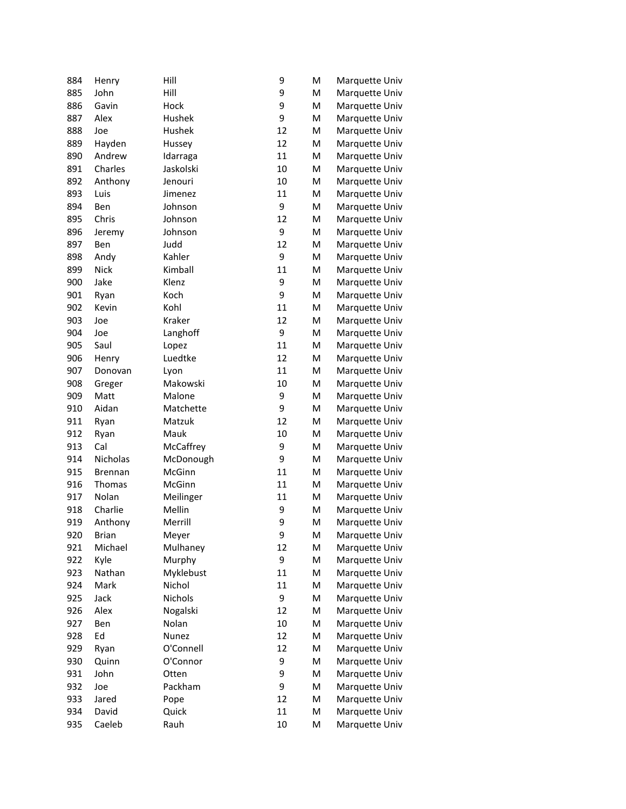| 884 | Henry          | Hill         | 9  | M | Marquette Univ |
|-----|----------------|--------------|----|---|----------------|
| 885 | John           | Hill         | 9  | M | Marquette Univ |
| 886 | Gavin          | Hock         | 9  | M | Marquette Univ |
| 887 | Alex           | Hushek       | 9  | M | Marquette Univ |
| 888 | Joe            | Hushek       | 12 | M | Marquette Univ |
| 889 | Hayden         | Hussey       | 12 | M | Marquette Univ |
| 890 | Andrew         | Idarraga     | 11 | M | Marquette Univ |
| 891 | Charles        | Jaskolski    | 10 | M | Marquette Univ |
| 892 | Anthony        | Jenouri      | 10 | M | Marquette Univ |
| 893 | Luis           | Jimenez      | 11 | M | Marquette Univ |
| 894 | Ben            | Johnson      | 9  | M | Marquette Univ |
| 895 | Chris          | Johnson      | 12 | M | Marquette Univ |
| 896 | Jeremy         | Johnson      | 9  | M | Marquette Univ |
| 897 | Ben            | Judd         | 12 | M | Marquette Univ |
| 898 | Andy           | Kahler       | 9  | M | Marquette Univ |
| 899 | <b>Nick</b>    | Kimball      | 11 | M | Marquette Univ |
| 900 | Jake           | Klenz        | 9  | M | Marquette Univ |
| 901 | Ryan           | Koch         | 9  | M | Marquette Univ |
| 902 | Kevin          | Kohl         | 11 | M | Marquette Univ |
| 903 | Joe            | Kraker       | 12 | M | Marquette Univ |
| 904 | Joe            | Langhoff     | 9  | M | Marquette Univ |
| 905 | Saul           | Lopez        | 11 | M | Marquette Univ |
| 906 | Henry          | Luedtke      | 12 | M | Marquette Univ |
| 907 | Donovan        | Lyon         | 11 | M | Marquette Univ |
| 908 | Greger         | Makowski     | 10 | M | Marquette Univ |
| 909 | Matt           | Malone       | 9  | M | Marquette Univ |
| 910 | Aidan          | Matchette    | 9  | M | Marquette Univ |
| 911 | Ryan           | Matzuk       | 12 | M | Marquette Univ |
| 912 | Ryan           | Mauk         | 10 | M | Marquette Univ |
| 913 | Cal            | McCaffrey    | 9  | M | Marquette Univ |
| 914 | Nicholas       | McDonough    | 9  | M | Marquette Univ |
| 915 | <b>Brennan</b> | McGinn       | 11 | M | Marquette Univ |
| 916 | Thomas         | McGinn       | 11 | M | Marquette Univ |
| 917 | Nolan          | Meilinger    | 11 | M | Marquette Univ |
| 918 | Charlie        | Mellin       | 9  | M | Marquette Univ |
| 919 | Anthony        | Merrill      | 9  | M | Marquette Univ |
| 920 | <b>Brian</b>   | Meyer        | 9  | M | Marquette Univ |
| 921 | Michael        | Mulhaney     | 12 | M | Marquette Univ |
| 922 | Kyle           | Murphy       | 9  | M | Marquette Univ |
| 923 | Nathan         | Myklebust    | 11 | M | Marquette Univ |
| 924 | Mark           | Nichol       | 11 | M | Marquette Univ |
| 925 | Jack           | Nichols      | 9  | M | Marquette Univ |
| 926 | Alex           | Nogalski     | 12 | M | Marquette Univ |
| 927 | Ben            | Nolan        | 10 | M | Marquette Univ |
| 928 | Ed             | <b>Nunez</b> | 12 | M | Marquette Univ |
| 929 | Ryan           | O'Connell    | 12 | M | Marquette Univ |
| 930 | Quinn          | O'Connor     | 9  | M | Marquette Univ |
| 931 | John           | Otten        | 9  | M | Marquette Univ |
| 932 | Joe            | Packham      | 9  | M | Marquette Univ |
| 933 | Jared          | Pope         | 12 | M | Marquette Univ |
| 934 | David          | Quick        | 11 | M | Marquette Univ |
| 935 | Caeleb         | Rauh         | 10 | M | Marquette Univ |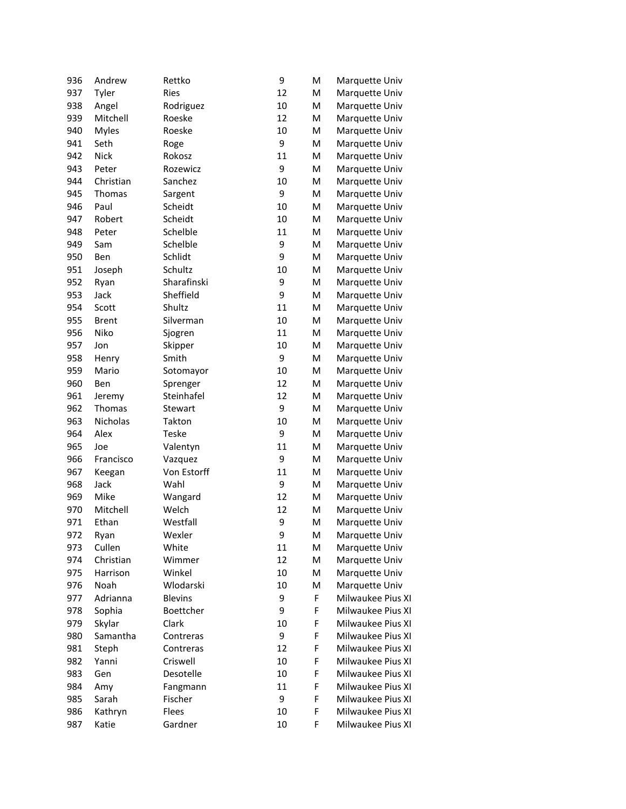| 936 | Andrew       | Rettko         | 9  | M | Marquette Univ    |
|-----|--------------|----------------|----|---|-------------------|
| 937 | Tyler        | Ries           | 12 | M | Marquette Univ    |
| 938 | Angel        | Rodriguez      | 10 | M | Marquette Univ    |
| 939 | Mitchell     | Roeske         | 12 | M | Marquette Univ    |
| 940 | <b>Myles</b> | Roeske         | 10 | M | Marquette Univ    |
| 941 | Seth         | Roge           | 9  | M | Marquette Univ    |
| 942 | <b>Nick</b>  | Rokosz         | 11 | M | Marquette Univ    |
| 943 | Peter        | Rozewicz       | 9  | M | Marquette Univ    |
| 944 | Christian    | Sanchez        | 10 | M | Marquette Univ    |
| 945 | Thomas       | Sargent        | 9  | M | Marquette Univ    |
| 946 | Paul         | Scheidt        | 10 | M | Marquette Univ    |
| 947 | Robert       | Scheidt        | 10 | M | Marquette Univ    |
| 948 | Peter        | Schelble       | 11 | M | Marquette Univ    |
| 949 | Sam          | Schelble       | 9  | M | Marquette Univ    |
| 950 | Ben          | Schlidt        | 9  | M | Marquette Univ    |
| 951 | Joseph       | Schultz        | 10 | M | Marquette Univ    |
| 952 | Ryan         | Sharafinski    | 9  | M | Marquette Univ    |
| 953 | Jack         | Sheffield      | 9  | M | Marquette Univ    |
| 954 | Scott        | Shultz         | 11 | M | Marquette Univ    |
| 955 | <b>Brent</b> | Silverman      | 10 | M | Marquette Univ    |
| 956 | Niko         | Sjogren        | 11 | M | Marquette Univ    |
| 957 | Jon          | Skipper        | 10 | M | Marquette Univ    |
| 958 | Henry        | Smith          | 9  | M | Marquette Univ    |
| 959 | Mario        | Sotomayor      | 10 | M | Marquette Univ    |
| 960 | Ben          | Sprenger       | 12 | M | Marquette Univ    |
| 961 | Jeremy       | Steinhafel     | 12 | M | Marquette Univ    |
| 962 | Thomas       | Stewart        | 9  | M | Marquette Univ    |
| 963 | Nicholas     | Takton         | 10 | M | Marquette Univ    |
| 964 | Alex         | Teske          | 9  | M | Marquette Univ    |
| 965 | Joe          | Valentyn       | 11 | M | Marquette Univ    |
| 966 | Francisco    | Vazquez        | 9  | M | Marquette Univ    |
| 967 | Keegan       | Von Estorff    | 11 | M | Marquette Univ    |
| 968 | Jack         | Wahl           | 9  | M | Marquette Univ    |
| 969 | Mike         | Wangard        | 12 | M | Marquette Univ    |
| 970 | Mitchell     | Welch          | 12 | M | Marquette Univ    |
| 971 | Ethan        | Westfall       | 9  | M | Marquette Univ    |
| 972 | Ryan         | Wexler         | 9  | M | Marquette Univ    |
| 973 | Cullen       | White          | 11 | M | Marquette Univ    |
| 974 | Christian    | Wimmer         | 12 | M | Marquette Univ    |
| 975 | Harrison     | Winkel         | 10 | М | Marquette Univ    |
| 976 | <b>Noah</b>  | Wlodarski      | 10 | M | Marquette Univ    |
| 977 | Adrianna     | <b>Blevins</b> | 9  | F | Milwaukee Pius XI |
| 978 | Sophia       | Boettcher      | 9  | F | Milwaukee Pius XI |
| 979 | Skylar       | Clark          | 10 | F | Milwaukee Pius XI |
| 980 | Samantha     | Contreras      | 9  | F | Milwaukee Pius XI |
| 981 | Steph        | Contreras      | 12 | F | Milwaukee Pius XI |
| 982 | Yanni        | Criswell       | 10 | F | Milwaukee Pius XI |
| 983 | Gen          | Desotelle      | 10 | F | Milwaukee Pius XI |
| 984 | Amy          | Fangmann       | 11 | F | Milwaukee Pius XI |
| 985 | Sarah        | Fischer        | 9  | F | Milwaukee Pius XI |
| 986 | Kathryn      | Flees          | 10 | F | Milwaukee Pius XI |
| 987 | Katie        | Gardner        | 10 | F | Milwaukee Pius XI |
|     |              |                |    |   |                   |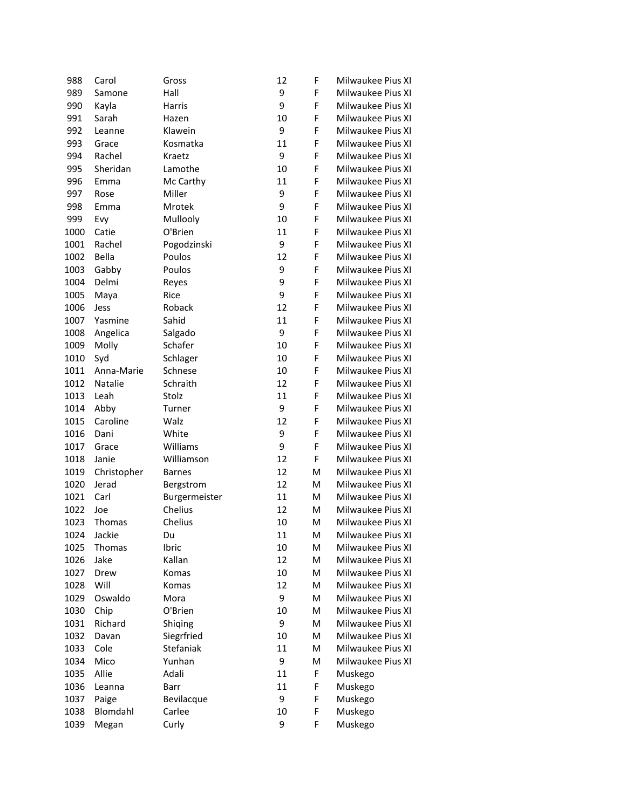| F<br>989<br>Hall<br>9<br>Milwaukee Pius XI<br>Samone<br>9<br>F<br>990<br>Milwaukee Pius XI<br>Kayla<br>Harris<br>F<br>991<br>10<br>Milwaukee Pius XI<br>Sarah<br>Hazen<br>992<br>9<br>F<br>Klawein<br>Milwaukee Pius XI<br>Leanne<br>F<br>993<br>Kosmatka<br>11<br>Milwaukee Pius XI<br>Grace<br>994<br>9<br>F<br>Rachel<br>Milwaukee Pius XI<br>Kraetz<br>995<br>Sheridan<br>Lamothe<br>10<br>F<br>Milwaukee Pius XI<br>996<br>Mc Carthy<br>11<br>F<br>Milwaukee Pius XI<br>Emma<br>997<br>Miller<br>9<br>F<br>Milwaukee Pius XI<br>Rose<br>998<br>9<br>F<br>Milwaukee Pius XI<br>Emma<br>Mrotek<br>999<br>Mullooly<br>F<br>Milwaukee Pius XI<br>Evy<br>10<br>F<br>O'Brien<br>11<br>Milwaukee Pius XI<br>1000<br>Catie<br>9<br>F<br>Rachel<br>Milwaukee Pius XI<br>1001<br>Pogodzinski<br>F<br>Bella<br>12<br>Milwaukee Pius XI<br>1002<br>Poulos<br>F<br>9<br>Milwaukee Pius XI<br>1003<br>Gabby<br>Poulos<br>9<br>F<br>Milwaukee Pius XI<br>1004<br>Delmi<br>Reyes<br>9<br>F<br>Rice<br>Milwaukee Pius XI<br>1005<br>Maya<br>12<br>F<br>1006<br>Roback<br>Milwaukee Pius XI<br>Jess<br>F<br>1007<br>Yasmine<br>Sahid<br>11<br>Milwaukee Pius XI<br>9<br>F<br>Angelica<br>Milwaukee Pius XI<br>1008<br>Salgado<br>F<br>Schafer<br>10<br>Milwaukee Pius XI<br>1009<br>Molly<br>F<br>10<br>Milwaukee Pius XI<br>1010<br>Syd<br>Schlager<br>Schnese<br>10<br>F<br>Milwaukee Pius XI<br>1011<br>Anna-Marie<br>1012<br>Natalie<br>Schraith<br>12<br>F<br>Milwaukee Pius XI<br>1013<br>11<br>F<br>Milwaukee Pius XI<br>Leah<br>Stolz<br>F<br>1014<br>9<br>Milwaukee Pius XI<br>Abby<br>Turner<br>Caroline<br>Walz<br>12<br>F<br>Milwaukee Pius XI<br>1015<br>9<br>F<br>1016<br>White<br>Milwaukee Pius XI<br>Dani<br>9<br>F<br>Williams<br>Milwaukee Pius XI<br>1017<br>Grace<br>F<br>1018<br>12<br>Milwaukee Pius XI<br>Janie<br>Williamson<br>12<br>M<br>Milwaukee Pius XI<br>1019<br>Christopher<br><b>Barnes</b><br>12<br>M<br>1020<br>Jerad<br>Milwaukee Pius XI<br>Bergstrom<br>11<br>1021<br>Carl<br>M<br>Milwaukee Pius XI<br>Burgermeister<br>Chelius<br>12<br>Milwaukee Pius XI<br>1022<br>м<br>Joe<br>Chelius<br>Milwaukee Pius XI<br>1023<br>Thomas<br>10<br>M<br>Jackie<br>11<br>Milwaukee Pius XI<br>1024<br>M<br>Du<br>1025<br>Milwaukee Pius XI<br>Ibric<br>10<br>M<br>Thomas<br>Jake<br>Kallan<br>12<br>Milwaukee Pius XI<br>1026<br>M<br>10<br>Milwaukee Pius XI<br>1027<br>Drew<br>Komas<br>M<br>Will<br>12<br>Milwaukee Pius XI<br>1028<br>Komas<br>M<br>1029<br>Oswaldo<br>9<br>Milwaukee Pius XI<br>Mora<br>M<br>O'Brien<br>Milwaukee Pius XI<br>1030<br>Chip<br>10<br>M<br>1031<br>Richard<br>9<br>Milwaukee Pius XI<br>Shiqing<br>M<br>Siegrfried<br>Milwaukee Pius XI<br>1032<br>Davan<br>10<br>M<br>1033<br>Cole<br>Stefaniak<br>11<br>Milwaukee Pius XI<br>M<br>9<br>Yunhan<br>Milwaukee Pius XI<br>1034<br>Mico<br>M<br>F<br>1035<br>Allie<br>Adali<br>11<br>Muskego<br>F<br>1036<br>11<br>Muskego<br>Leanna<br>Barr<br>9<br>F<br>1037<br>Muskego<br>Bevilacque<br>Paige<br>F<br>Blomdahl<br>Carlee<br>10<br>Muskego<br>1038<br>F<br>9 | 988  | Carol | Gross | 12 | F | Milwaukee Pius XI |
|----------------------------------------------------------------------------------------------------------------------------------------------------------------------------------------------------------------------------------------------------------------------------------------------------------------------------------------------------------------------------------------------------------------------------------------------------------------------------------------------------------------------------------------------------------------------------------------------------------------------------------------------------------------------------------------------------------------------------------------------------------------------------------------------------------------------------------------------------------------------------------------------------------------------------------------------------------------------------------------------------------------------------------------------------------------------------------------------------------------------------------------------------------------------------------------------------------------------------------------------------------------------------------------------------------------------------------------------------------------------------------------------------------------------------------------------------------------------------------------------------------------------------------------------------------------------------------------------------------------------------------------------------------------------------------------------------------------------------------------------------------------------------------------------------------------------------------------------------------------------------------------------------------------------------------------------------------------------------------------------------------------------------------------------------------------------------------------------------------------------------------------------------------------------------------------------------------------------------------------------------------------------------------------------------------------------------------------------------------------------------------------------------------------------------------------------------------------------------------------------------------------------------------------------------------------------------------------------------------------------------------------------------------------------------------------------------------------------------------------------------------------------------------------------------------------------------------------------------------------------------------------------------------------------------------------------------------------------------------------------------------------------------------------------------------------|------|-------|-------|----|---|-------------------|
|                                                                                                                                                                                                                                                                                                                                                                                                                                                                                                                                                                                                                                                                                                                                                                                                                                                                                                                                                                                                                                                                                                                                                                                                                                                                                                                                                                                                                                                                                                                                                                                                                                                                                                                                                                                                                                                                                                                                                                                                                                                                                                                                                                                                                                                                                                                                                                                                                                                                                                                                                                                                                                                                                                                                                                                                                                                                                                                                                                                                                                                                |      |       |       |    |   |                   |
|                                                                                                                                                                                                                                                                                                                                                                                                                                                                                                                                                                                                                                                                                                                                                                                                                                                                                                                                                                                                                                                                                                                                                                                                                                                                                                                                                                                                                                                                                                                                                                                                                                                                                                                                                                                                                                                                                                                                                                                                                                                                                                                                                                                                                                                                                                                                                                                                                                                                                                                                                                                                                                                                                                                                                                                                                                                                                                                                                                                                                                                                |      |       |       |    |   |                   |
|                                                                                                                                                                                                                                                                                                                                                                                                                                                                                                                                                                                                                                                                                                                                                                                                                                                                                                                                                                                                                                                                                                                                                                                                                                                                                                                                                                                                                                                                                                                                                                                                                                                                                                                                                                                                                                                                                                                                                                                                                                                                                                                                                                                                                                                                                                                                                                                                                                                                                                                                                                                                                                                                                                                                                                                                                                                                                                                                                                                                                                                                |      |       |       |    |   |                   |
|                                                                                                                                                                                                                                                                                                                                                                                                                                                                                                                                                                                                                                                                                                                                                                                                                                                                                                                                                                                                                                                                                                                                                                                                                                                                                                                                                                                                                                                                                                                                                                                                                                                                                                                                                                                                                                                                                                                                                                                                                                                                                                                                                                                                                                                                                                                                                                                                                                                                                                                                                                                                                                                                                                                                                                                                                                                                                                                                                                                                                                                                |      |       |       |    |   |                   |
|                                                                                                                                                                                                                                                                                                                                                                                                                                                                                                                                                                                                                                                                                                                                                                                                                                                                                                                                                                                                                                                                                                                                                                                                                                                                                                                                                                                                                                                                                                                                                                                                                                                                                                                                                                                                                                                                                                                                                                                                                                                                                                                                                                                                                                                                                                                                                                                                                                                                                                                                                                                                                                                                                                                                                                                                                                                                                                                                                                                                                                                                |      |       |       |    |   |                   |
|                                                                                                                                                                                                                                                                                                                                                                                                                                                                                                                                                                                                                                                                                                                                                                                                                                                                                                                                                                                                                                                                                                                                                                                                                                                                                                                                                                                                                                                                                                                                                                                                                                                                                                                                                                                                                                                                                                                                                                                                                                                                                                                                                                                                                                                                                                                                                                                                                                                                                                                                                                                                                                                                                                                                                                                                                                                                                                                                                                                                                                                                |      |       |       |    |   |                   |
|                                                                                                                                                                                                                                                                                                                                                                                                                                                                                                                                                                                                                                                                                                                                                                                                                                                                                                                                                                                                                                                                                                                                                                                                                                                                                                                                                                                                                                                                                                                                                                                                                                                                                                                                                                                                                                                                                                                                                                                                                                                                                                                                                                                                                                                                                                                                                                                                                                                                                                                                                                                                                                                                                                                                                                                                                                                                                                                                                                                                                                                                |      |       |       |    |   |                   |
|                                                                                                                                                                                                                                                                                                                                                                                                                                                                                                                                                                                                                                                                                                                                                                                                                                                                                                                                                                                                                                                                                                                                                                                                                                                                                                                                                                                                                                                                                                                                                                                                                                                                                                                                                                                                                                                                                                                                                                                                                                                                                                                                                                                                                                                                                                                                                                                                                                                                                                                                                                                                                                                                                                                                                                                                                                                                                                                                                                                                                                                                |      |       |       |    |   |                   |
|                                                                                                                                                                                                                                                                                                                                                                                                                                                                                                                                                                                                                                                                                                                                                                                                                                                                                                                                                                                                                                                                                                                                                                                                                                                                                                                                                                                                                                                                                                                                                                                                                                                                                                                                                                                                                                                                                                                                                                                                                                                                                                                                                                                                                                                                                                                                                                                                                                                                                                                                                                                                                                                                                                                                                                                                                                                                                                                                                                                                                                                                |      |       |       |    |   |                   |
|                                                                                                                                                                                                                                                                                                                                                                                                                                                                                                                                                                                                                                                                                                                                                                                                                                                                                                                                                                                                                                                                                                                                                                                                                                                                                                                                                                                                                                                                                                                                                                                                                                                                                                                                                                                                                                                                                                                                                                                                                                                                                                                                                                                                                                                                                                                                                                                                                                                                                                                                                                                                                                                                                                                                                                                                                                                                                                                                                                                                                                                                |      |       |       |    |   |                   |
|                                                                                                                                                                                                                                                                                                                                                                                                                                                                                                                                                                                                                                                                                                                                                                                                                                                                                                                                                                                                                                                                                                                                                                                                                                                                                                                                                                                                                                                                                                                                                                                                                                                                                                                                                                                                                                                                                                                                                                                                                                                                                                                                                                                                                                                                                                                                                                                                                                                                                                                                                                                                                                                                                                                                                                                                                                                                                                                                                                                                                                                                |      |       |       |    |   |                   |
|                                                                                                                                                                                                                                                                                                                                                                                                                                                                                                                                                                                                                                                                                                                                                                                                                                                                                                                                                                                                                                                                                                                                                                                                                                                                                                                                                                                                                                                                                                                                                                                                                                                                                                                                                                                                                                                                                                                                                                                                                                                                                                                                                                                                                                                                                                                                                                                                                                                                                                                                                                                                                                                                                                                                                                                                                                                                                                                                                                                                                                                                |      |       |       |    |   |                   |
|                                                                                                                                                                                                                                                                                                                                                                                                                                                                                                                                                                                                                                                                                                                                                                                                                                                                                                                                                                                                                                                                                                                                                                                                                                                                                                                                                                                                                                                                                                                                                                                                                                                                                                                                                                                                                                                                                                                                                                                                                                                                                                                                                                                                                                                                                                                                                                                                                                                                                                                                                                                                                                                                                                                                                                                                                                                                                                                                                                                                                                                                |      |       |       |    |   |                   |
|                                                                                                                                                                                                                                                                                                                                                                                                                                                                                                                                                                                                                                                                                                                                                                                                                                                                                                                                                                                                                                                                                                                                                                                                                                                                                                                                                                                                                                                                                                                                                                                                                                                                                                                                                                                                                                                                                                                                                                                                                                                                                                                                                                                                                                                                                                                                                                                                                                                                                                                                                                                                                                                                                                                                                                                                                                                                                                                                                                                                                                                                |      |       |       |    |   |                   |
|                                                                                                                                                                                                                                                                                                                                                                                                                                                                                                                                                                                                                                                                                                                                                                                                                                                                                                                                                                                                                                                                                                                                                                                                                                                                                                                                                                                                                                                                                                                                                                                                                                                                                                                                                                                                                                                                                                                                                                                                                                                                                                                                                                                                                                                                                                                                                                                                                                                                                                                                                                                                                                                                                                                                                                                                                                                                                                                                                                                                                                                                |      |       |       |    |   |                   |
|                                                                                                                                                                                                                                                                                                                                                                                                                                                                                                                                                                                                                                                                                                                                                                                                                                                                                                                                                                                                                                                                                                                                                                                                                                                                                                                                                                                                                                                                                                                                                                                                                                                                                                                                                                                                                                                                                                                                                                                                                                                                                                                                                                                                                                                                                                                                                                                                                                                                                                                                                                                                                                                                                                                                                                                                                                                                                                                                                                                                                                                                |      |       |       |    |   |                   |
|                                                                                                                                                                                                                                                                                                                                                                                                                                                                                                                                                                                                                                                                                                                                                                                                                                                                                                                                                                                                                                                                                                                                                                                                                                                                                                                                                                                                                                                                                                                                                                                                                                                                                                                                                                                                                                                                                                                                                                                                                                                                                                                                                                                                                                                                                                                                                                                                                                                                                                                                                                                                                                                                                                                                                                                                                                                                                                                                                                                                                                                                |      |       |       |    |   |                   |
|                                                                                                                                                                                                                                                                                                                                                                                                                                                                                                                                                                                                                                                                                                                                                                                                                                                                                                                                                                                                                                                                                                                                                                                                                                                                                                                                                                                                                                                                                                                                                                                                                                                                                                                                                                                                                                                                                                                                                                                                                                                                                                                                                                                                                                                                                                                                                                                                                                                                                                                                                                                                                                                                                                                                                                                                                                                                                                                                                                                                                                                                |      |       |       |    |   |                   |
|                                                                                                                                                                                                                                                                                                                                                                                                                                                                                                                                                                                                                                                                                                                                                                                                                                                                                                                                                                                                                                                                                                                                                                                                                                                                                                                                                                                                                                                                                                                                                                                                                                                                                                                                                                                                                                                                                                                                                                                                                                                                                                                                                                                                                                                                                                                                                                                                                                                                                                                                                                                                                                                                                                                                                                                                                                                                                                                                                                                                                                                                |      |       |       |    |   |                   |
|                                                                                                                                                                                                                                                                                                                                                                                                                                                                                                                                                                                                                                                                                                                                                                                                                                                                                                                                                                                                                                                                                                                                                                                                                                                                                                                                                                                                                                                                                                                                                                                                                                                                                                                                                                                                                                                                                                                                                                                                                                                                                                                                                                                                                                                                                                                                                                                                                                                                                                                                                                                                                                                                                                                                                                                                                                                                                                                                                                                                                                                                |      |       |       |    |   |                   |
|                                                                                                                                                                                                                                                                                                                                                                                                                                                                                                                                                                                                                                                                                                                                                                                                                                                                                                                                                                                                                                                                                                                                                                                                                                                                                                                                                                                                                                                                                                                                                                                                                                                                                                                                                                                                                                                                                                                                                                                                                                                                                                                                                                                                                                                                                                                                                                                                                                                                                                                                                                                                                                                                                                                                                                                                                                                                                                                                                                                                                                                                |      |       |       |    |   |                   |
|                                                                                                                                                                                                                                                                                                                                                                                                                                                                                                                                                                                                                                                                                                                                                                                                                                                                                                                                                                                                                                                                                                                                                                                                                                                                                                                                                                                                                                                                                                                                                                                                                                                                                                                                                                                                                                                                                                                                                                                                                                                                                                                                                                                                                                                                                                                                                                                                                                                                                                                                                                                                                                                                                                                                                                                                                                                                                                                                                                                                                                                                |      |       |       |    |   |                   |
|                                                                                                                                                                                                                                                                                                                                                                                                                                                                                                                                                                                                                                                                                                                                                                                                                                                                                                                                                                                                                                                                                                                                                                                                                                                                                                                                                                                                                                                                                                                                                                                                                                                                                                                                                                                                                                                                                                                                                                                                                                                                                                                                                                                                                                                                                                                                                                                                                                                                                                                                                                                                                                                                                                                                                                                                                                                                                                                                                                                                                                                                |      |       |       |    |   |                   |
|                                                                                                                                                                                                                                                                                                                                                                                                                                                                                                                                                                                                                                                                                                                                                                                                                                                                                                                                                                                                                                                                                                                                                                                                                                                                                                                                                                                                                                                                                                                                                                                                                                                                                                                                                                                                                                                                                                                                                                                                                                                                                                                                                                                                                                                                                                                                                                                                                                                                                                                                                                                                                                                                                                                                                                                                                                                                                                                                                                                                                                                                |      |       |       |    |   |                   |
|                                                                                                                                                                                                                                                                                                                                                                                                                                                                                                                                                                                                                                                                                                                                                                                                                                                                                                                                                                                                                                                                                                                                                                                                                                                                                                                                                                                                                                                                                                                                                                                                                                                                                                                                                                                                                                                                                                                                                                                                                                                                                                                                                                                                                                                                                                                                                                                                                                                                                                                                                                                                                                                                                                                                                                                                                                                                                                                                                                                                                                                                |      |       |       |    |   |                   |
|                                                                                                                                                                                                                                                                                                                                                                                                                                                                                                                                                                                                                                                                                                                                                                                                                                                                                                                                                                                                                                                                                                                                                                                                                                                                                                                                                                                                                                                                                                                                                                                                                                                                                                                                                                                                                                                                                                                                                                                                                                                                                                                                                                                                                                                                                                                                                                                                                                                                                                                                                                                                                                                                                                                                                                                                                                                                                                                                                                                                                                                                |      |       |       |    |   |                   |
|                                                                                                                                                                                                                                                                                                                                                                                                                                                                                                                                                                                                                                                                                                                                                                                                                                                                                                                                                                                                                                                                                                                                                                                                                                                                                                                                                                                                                                                                                                                                                                                                                                                                                                                                                                                                                                                                                                                                                                                                                                                                                                                                                                                                                                                                                                                                                                                                                                                                                                                                                                                                                                                                                                                                                                                                                                                                                                                                                                                                                                                                |      |       |       |    |   |                   |
|                                                                                                                                                                                                                                                                                                                                                                                                                                                                                                                                                                                                                                                                                                                                                                                                                                                                                                                                                                                                                                                                                                                                                                                                                                                                                                                                                                                                                                                                                                                                                                                                                                                                                                                                                                                                                                                                                                                                                                                                                                                                                                                                                                                                                                                                                                                                                                                                                                                                                                                                                                                                                                                                                                                                                                                                                                                                                                                                                                                                                                                                |      |       |       |    |   |                   |
|                                                                                                                                                                                                                                                                                                                                                                                                                                                                                                                                                                                                                                                                                                                                                                                                                                                                                                                                                                                                                                                                                                                                                                                                                                                                                                                                                                                                                                                                                                                                                                                                                                                                                                                                                                                                                                                                                                                                                                                                                                                                                                                                                                                                                                                                                                                                                                                                                                                                                                                                                                                                                                                                                                                                                                                                                                                                                                                                                                                                                                                                |      |       |       |    |   |                   |
|                                                                                                                                                                                                                                                                                                                                                                                                                                                                                                                                                                                                                                                                                                                                                                                                                                                                                                                                                                                                                                                                                                                                                                                                                                                                                                                                                                                                                                                                                                                                                                                                                                                                                                                                                                                                                                                                                                                                                                                                                                                                                                                                                                                                                                                                                                                                                                                                                                                                                                                                                                                                                                                                                                                                                                                                                                                                                                                                                                                                                                                                |      |       |       |    |   |                   |
|                                                                                                                                                                                                                                                                                                                                                                                                                                                                                                                                                                                                                                                                                                                                                                                                                                                                                                                                                                                                                                                                                                                                                                                                                                                                                                                                                                                                                                                                                                                                                                                                                                                                                                                                                                                                                                                                                                                                                                                                                                                                                                                                                                                                                                                                                                                                                                                                                                                                                                                                                                                                                                                                                                                                                                                                                                                                                                                                                                                                                                                                |      |       |       |    |   |                   |
|                                                                                                                                                                                                                                                                                                                                                                                                                                                                                                                                                                                                                                                                                                                                                                                                                                                                                                                                                                                                                                                                                                                                                                                                                                                                                                                                                                                                                                                                                                                                                                                                                                                                                                                                                                                                                                                                                                                                                                                                                                                                                                                                                                                                                                                                                                                                                                                                                                                                                                                                                                                                                                                                                                                                                                                                                                                                                                                                                                                                                                                                |      |       |       |    |   |                   |
|                                                                                                                                                                                                                                                                                                                                                                                                                                                                                                                                                                                                                                                                                                                                                                                                                                                                                                                                                                                                                                                                                                                                                                                                                                                                                                                                                                                                                                                                                                                                                                                                                                                                                                                                                                                                                                                                                                                                                                                                                                                                                                                                                                                                                                                                                                                                                                                                                                                                                                                                                                                                                                                                                                                                                                                                                                                                                                                                                                                                                                                                |      |       |       |    |   |                   |
|                                                                                                                                                                                                                                                                                                                                                                                                                                                                                                                                                                                                                                                                                                                                                                                                                                                                                                                                                                                                                                                                                                                                                                                                                                                                                                                                                                                                                                                                                                                                                                                                                                                                                                                                                                                                                                                                                                                                                                                                                                                                                                                                                                                                                                                                                                                                                                                                                                                                                                                                                                                                                                                                                                                                                                                                                                                                                                                                                                                                                                                                |      |       |       |    |   |                   |
|                                                                                                                                                                                                                                                                                                                                                                                                                                                                                                                                                                                                                                                                                                                                                                                                                                                                                                                                                                                                                                                                                                                                                                                                                                                                                                                                                                                                                                                                                                                                                                                                                                                                                                                                                                                                                                                                                                                                                                                                                                                                                                                                                                                                                                                                                                                                                                                                                                                                                                                                                                                                                                                                                                                                                                                                                                                                                                                                                                                                                                                                |      |       |       |    |   |                   |
|                                                                                                                                                                                                                                                                                                                                                                                                                                                                                                                                                                                                                                                                                                                                                                                                                                                                                                                                                                                                                                                                                                                                                                                                                                                                                                                                                                                                                                                                                                                                                                                                                                                                                                                                                                                                                                                                                                                                                                                                                                                                                                                                                                                                                                                                                                                                                                                                                                                                                                                                                                                                                                                                                                                                                                                                                                                                                                                                                                                                                                                                |      |       |       |    |   |                   |
|                                                                                                                                                                                                                                                                                                                                                                                                                                                                                                                                                                                                                                                                                                                                                                                                                                                                                                                                                                                                                                                                                                                                                                                                                                                                                                                                                                                                                                                                                                                                                                                                                                                                                                                                                                                                                                                                                                                                                                                                                                                                                                                                                                                                                                                                                                                                                                                                                                                                                                                                                                                                                                                                                                                                                                                                                                                                                                                                                                                                                                                                |      |       |       |    |   |                   |
|                                                                                                                                                                                                                                                                                                                                                                                                                                                                                                                                                                                                                                                                                                                                                                                                                                                                                                                                                                                                                                                                                                                                                                                                                                                                                                                                                                                                                                                                                                                                                                                                                                                                                                                                                                                                                                                                                                                                                                                                                                                                                                                                                                                                                                                                                                                                                                                                                                                                                                                                                                                                                                                                                                                                                                                                                                                                                                                                                                                                                                                                |      |       |       |    |   |                   |
|                                                                                                                                                                                                                                                                                                                                                                                                                                                                                                                                                                                                                                                                                                                                                                                                                                                                                                                                                                                                                                                                                                                                                                                                                                                                                                                                                                                                                                                                                                                                                                                                                                                                                                                                                                                                                                                                                                                                                                                                                                                                                                                                                                                                                                                                                                                                                                                                                                                                                                                                                                                                                                                                                                                                                                                                                                                                                                                                                                                                                                                                |      |       |       |    |   |                   |
|                                                                                                                                                                                                                                                                                                                                                                                                                                                                                                                                                                                                                                                                                                                                                                                                                                                                                                                                                                                                                                                                                                                                                                                                                                                                                                                                                                                                                                                                                                                                                                                                                                                                                                                                                                                                                                                                                                                                                                                                                                                                                                                                                                                                                                                                                                                                                                                                                                                                                                                                                                                                                                                                                                                                                                                                                                                                                                                                                                                                                                                                |      |       |       |    |   |                   |
|                                                                                                                                                                                                                                                                                                                                                                                                                                                                                                                                                                                                                                                                                                                                                                                                                                                                                                                                                                                                                                                                                                                                                                                                                                                                                                                                                                                                                                                                                                                                                                                                                                                                                                                                                                                                                                                                                                                                                                                                                                                                                                                                                                                                                                                                                                                                                                                                                                                                                                                                                                                                                                                                                                                                                                                                                                                                                                                                                                                                                                                                |      |       |       |    |   |                   |
|                                                                                                                                                                                                                                                                                                                                                                                                                                                                                                                                                                                                                                                                                                                                                                                                                                                                                                                                                                                                                                                                                                                                                                                                                                                                                                                                                                                                                                                                                                                                                                                                                                                                                                                                                                                                                                                                                                                                                                                                                                                                                                                                                                                                                                                                                                                                                                                                                                                                                                                                                                                                                                                                                                                                                                                                                                                                                                                                                                                                                                                                |      |       |       |    |   |                   |
|                                                                                                                                                                                                                                                                                                                                                                                                                                                                                                                                                                                                                                                                                                                                                                                                                                                                                                                                                                                                                                                                                                                                                                                                                                                                                                                                                                                                                                                                                                                                                                                                                                                                                                                                                                                                                                                                                                                                                                                                                                                                                                                                                                                                                                                                                                                                                                                                                                                                                                                                                                                                                                                                                                                                                                                                                                                                                                                                                                                                                                                                |      |       |       |    |   |                   |
|                                                                                                                                                                                                                                                                                                                                                                                                                                                                                                                                                                                                                                                                                                                                                                                                                                                                                                                                                                                                                                                                                                                                                                                                                                                                                                                                                                                                                                                                                                                                                                                                                                                                                                                                                                                                                                                                                                                                                                                                                                                                                                                                                                                                                                                                                                                                                                                                                                                                                                                                                                                                                                                                                                                                                                                                                                                                                                                                                                                                                                                                |      |       |       |    |   |                   |
|                                                                                                                                                                                                                                                                                                                                                                                                                                                                                                                                                                                                                                                                                                                                                                                                                                                                                                                                                                                                                                                                                                                                                                                                                                                                                                                                                                                                                                                                                                                                                                                                                                                                                                                                                                                                                                                                                                                                                                                                                                                                                                                                                                                                                                                                                                                                                                                                                                                                                                                                                                                                                                                                                                                                                                                                                                                                                                                                                                                                                                                                |      |       |       |    |   |                   |
|                                                                                                                                                                                                                                                                                                                                                                                                                                                                                                                                                                                                                                                                                                                                                                                                                                                                                                                                                                                                                                                                                                                                                                                                                                                                                                                                                                                                                                                                                                                                                                                                                                                                                                                                                                                                                                                                                                                                                                                                                                                                                                                                                                                                                                                                                                                                                                                                                                                                                                                                                                                                                                                                                                                                                                                                                                                                                                                                                                                                                                                                |      |       |       |    |   |                   |
|                                                                                                                                                                                                                                                                                                                                                                                                                                                                                                                                                                                                                                                                                                                                                                                                                                                                                                                                                                                                                                                                                                                                                                                                                                                                                                                                                                                                                                                                                                                                                                                                                                                                                                                                                                                                                                                                                                                                                                                                                                                                                                                                                                                                                                                                                                                                                                                                                                                                                                                                                                                                                                                                                                                                                                                                                                                                                                                                                                                                                                                                |      |       |       |    |   |                   |
|                                                                                                                                                                                                                                                                                                                                                                                                                                                                                                                                                                                                                                                                                                                                                                                                                                                                                                                                                                                                                                                                                                                                                                                                                                                                                                                                                                                                                                                                                                                                                                                                                                                                                                                                                                                                                                                                                                                                                                                                                                                                                                                                                                                                                                                                                                                                                                                                                                                                                                                                                                                                                                                                                                                                                                                                                                                                                                                                                                                                                                                                |      |       |       |    |   |                   |
|                                                                                                                                                                                                                                                                                                                                                                                                                                                                                                                                                                                                                                                                                                                                                                                                                                                                                                                                                                                                                                                                                                                                                                                                                                                                                                                                                                                                                                                                                                                                                                                                                                                                                                                                                                                                                                                                                                                                                                                                                                                                                                                                                                                                                                                                                                                                                                                                                                                                                                                                                                                                                                                                                                                                                                                                                                                                                                                                                                                                                                                                |      |       |       |    |   |                   |
|                                                                                                                                                                                                                                                                                                                                                                                                                                                                                                                                                                                                                                                                                                                                                                                                                                                                                                                                                                                                                                                                                                                                                                                                                                                                                                                                                                                                                                                                                                                                                                                                                                                                                                                                                                                                                                                                                                                                                                                                                                                                                                                                                                                                                                                                                                                                                                                                                                                                                                                                                                                                                                                                                                                                                                                                                                                                                                                                                                                                                                                                |      |       |       |    |   |                   |
|                                                                                                                                                                                                                                                                                                                                                                                                                                                                                                                                                                                                                                                                                                                                                                                                                                                                                                                                                                                                                                                                                                                                                                                                                                                                                                                                                                                                                                                                                                                                                                                                                                                                                                                                                                                                                                                                                                                                                                                                                                                                                                                                                                                                                                                                                                                                                                                                                                                                                                                                                                                                                                                                                                                                                                                                                                                                                                                                                                                                                                                                | 1039 | Megan | Curly |    |   | Muskego           |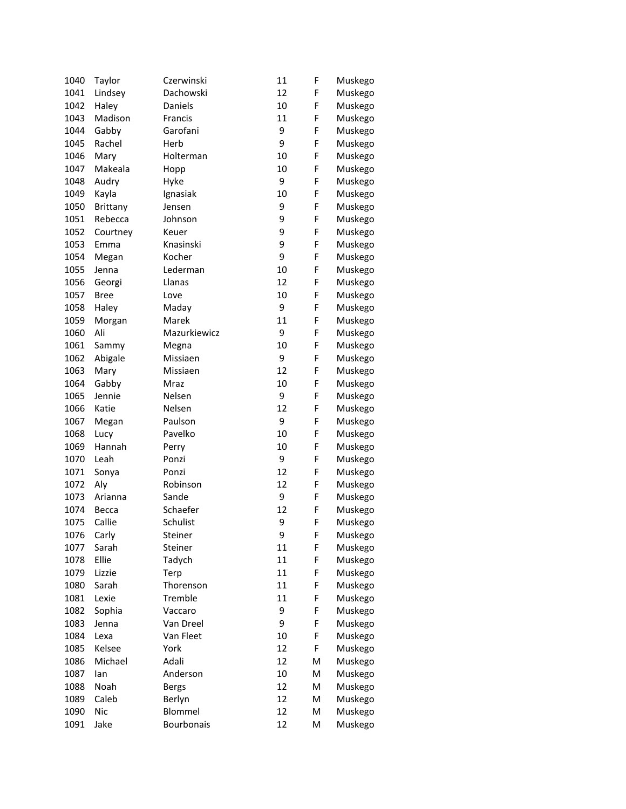| 1040 | Taylor      | Czerwinski        | 11 | F | Muskego |
|------|-------------|-------------------|----|---|---------|
| 1041 | Lindsey     | Dachowski         | 12 | F | Muskego |
| 1042 | Haley       | Daniels           | 10 | F | Muskego |
| 1043 | Madison     | Francis           | 11 | F | Muskego |
| 1044 | Gabby       | Garofani          | 9  | F | Muskego |
| 1045 | Rachel      | Herb              | 9  | F | Muskego |
| 1046 | Mary        | Holterman         | 10 | F | Muskego |
| 1047 | Makeala     | Hopp              | 10 | F | Muskego |
| 1048 | Audry       | Hyke              | 9  | F | Muskego |
| 1049 | Kayla       | Ignasiak          | 10 | F | Muskego |
| 1050 | Brittany    | Jensen            | 9  | F | Muskego |
| 1051 | Rebecca     | Johnson           | 9  | F | Muskego |
| 1052 | Courtney    | Keuer             | 9  | F | Muskego |
| 1053 | Emma        | Knasinski         | 9  | F | Muskego |
| 1054 | Megan       | Kocher            | 9  | F | Muskego |
| 1055 | Jenna       | Lederman          | 10 | F | Muskego |
| 1056 | Georgi      | Llanas            | 12 | F | Muskego |
| 1057 | <b>Bree</b> | Love              | 10 | F | Muskego |
| 1058 | Haley       | Maday             | 9  | F | Muskego |
| 1059 | Morgan      | Marek             | 11 | F | Muskego |
| 1060 | Ali         | Mazurkiewicz      | 9  | F | Muskego |
| 1061 | Sammy       | Megna             | 10 | F | Muskego |
| 1062 | Abigale     | Missiaen          | 9  | F | Muskego |
| 1063 | Mary        | Missiaen          | 12 | F | Muskego |
| 1064 | Gabby       | Mraz              | 10 | F | Muskego |
| 1065 | Jennie      | Nelsen            | 9  | F | Muskego |
| 1066 | Katie       | Nelsen            | 12 | F | Muskego |
| 1067 | Megan       | Paulson           | 9  | F | Muskego |
| 1068 | Lucy        | Pavelko           | 10 | F | Muskego |
| 1069 | Hannah      | Perry             | 10 | F | Muskego |
| 1070 | Leah        | Ponzi             | 9  | F | Muskego |
| 1071 | Sonya       | Ponzi             | 12 | F | Muskego |
| 1072 | Aly         | Robinson          | 12 | F | Muskego |
| 1073 | Arianna     | Sande             | 9  | F | Muskego |
| 1074 | Becca       | Schaefer          | 12 | F | Muskego |
| 1075 | Callie      | Schulist          | 9  | F | Muskego |
| 1076 | Carly       | Steiner           | 9  | F | Muskego |
| 1077 | Sarah       | Steiner           | 11 | F | Muskego |
| 1078 | Ellie       | Tadych            | 11 | F | Muskego |
| 1079 | Lizzie      | Terp              | 11 | F | Muskego |
| 1080 | Sarah       | Thorenson         | 11 | F | Muskego |
| 1081 | Lexie       | Tremble           | 11 | F | Muskego |
| 1082 | Sophia      | Vaccaro           | 9  | F | Muskego |
| 1083 | Jenna       | Van Dreel         | 9  | F | Muskego |
| 1084 | Lexa        | Van Fleet         | 10 | F | Muskego |
| 1085 | Kelsee      | York              | 12 | F | Muskego |
| 1086 | Michael     | Adali             | 12 | M | Muskego |
| 1087 | lan         | Anderson          | 10 | M | Muskego |
| 1088 | Noah        | <b>Bergs</b>      | 12 | M | Muskego |
| 1089 | Caleb       | Berlyn            | 12 | M | Muskego |
| 1090 | Nic         | <b>Blommel</b>    | 12 | M | Muskego |
| 1091 | Jake        | <b>Bourbonais</b> | 12 | M | Muskego |
|      |             |                   |    |   |         |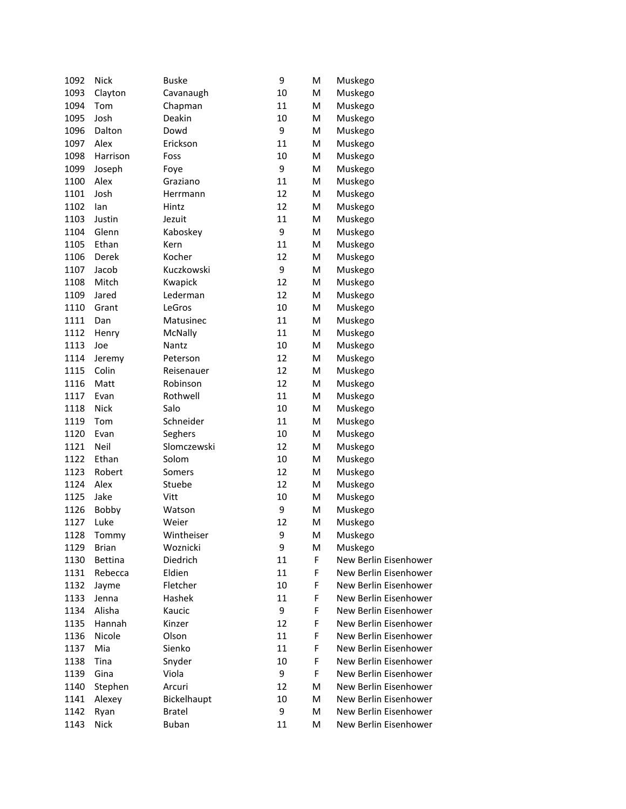| 1092 | <b>Nick</b>    | <b>Buske</b>  | 9  | M | Muskego               |
|------|----------------|---------------|----|---|-----------------------|
| 1093 | Clayton        | Cavanaugh     | 10 | M | Muskego               |
| 1094 | Tom            | Chapman       | 11 | M | Muskego               |
| 1095 | Josh           | Deakin        | 10 | M | Muskego               |
| 1096 | Dalton         | Dowd          | 9  | M | Muskego               |
| 1097 | Alex           | Erickson      | 11 | M | Muskego               |
| 1098 | Harrison       | Foss          | 10 | M | Muskego               |
| 1099 | Joseph         | Foye          | 9  | M | Muskego               |
| 1100 | Alex           | Graziano      | 11 | M | Muskego               |
| 1101 | Josh           | Herrmann      | 12 | M | Muskego               |
| 1102 | lan            | Hintz         | 12 | M | Muskego               |
| 1103 | Justin         | Jezuit        | 11 | M | Muskego               |
| 1104 | Glenn          | Kaboskey      | 9  | M | Muskego               |
| 1105 | Ethan          | Kern          | 11 | M | Muskego               |
| 1106 | Derek          | Kocher        | 12 | M | Muskego               |
| 1107 | Jacob          | Kuczkowski    | 9  | M | Muskego               |
| 1108 | Mitch          | Kwapick       | 12 | M | Muskego               |
| 1109 | Jared          | Lederman      | 12 | M | Muskego               |
| 1110 | Grant          | LeGros        | 10 | M | Muskego               |
| 1111 | Dan            | Matusinec     | 11 | M | Muskego               |
| 1112 | Henry          | McNally       | 11 | M | Muskego               |
| 1113 | Joe            | Nantz         | 10 | M | Muskego               |
| 1114 | Jeremy         | Peterson      | 12 | M | Muskego               |
| 1115 | Colin          | Reisenauer    | 12 | M | Muskego               |
| 1116 | Matt           | Robinson      | 12 | M | Muskego               |
| 1117 | Evan           | Rothwell      | 11 | M | Muskego               |
| 1118 | <b>Nick</b>    | Salo          | 10 | M | Muskego               |
| 1119 | Tom            | Schneider     | 11 | M | Muskego               |
| 1120 | Evan           | Seghers       | 10 | M | Muskego               |
| 1121 | Neil           | Slomczewski   | 12 | M | Muskego               |
| 1122 | Ethan          | Solom         | 10 | M | Muskego               |
| 1123 | Robert         | Somers        | 12 | M | Muskego               |
| 1124 | Alex           | Stuebe        | 12 | M | Muskego               |
| 1125 | Jake           | Vitt          | 10 | M | Muskego               |
| 1126 | Bobby          | Watson        | 9  | M | Muskego               |
| 1127 | Luke           | Weier         | 12 | M | Muskego               |
| 1128 | Tommy          | Wintheiser    | 9  | М | Muskego               |
| 1129 | <b>Brian</b>   | Woznicki      | 9  | M | Muskego               |
| 1130 | <b>Bettina</b> | Diedrich      | 11 | F | New Berlin Eisenhower |
| 1131 | Rebecca        | Eldien        | 11 | F | New Berlin Eisenhower |
| 1132 | Jayme          | Fletcher      | 10 | F | New Berlin Eisenhower |
| 1133 | Jenna          | Hashek        | 11 | F | New Berlin Eisenhower |
| 1134 | Alisha         | Kaucic        | 9  | F | New Berlin Eisenhower |
| 1135 | Hannah         | Kinzer        | 12 | F | New Berlin Eisenhower |
| 1136 | Nicole         | Olson         | 11 | F | New Berlin Eisenhower |
| 1137 | Mia            | Sienko        | 11 | F | New Berlin Eisenhower |
| 1138 | Tina           | Snyder        | 10 | F | New Berlin Eisenhower |
| 1139 | Gina           | Viola         | 9  | F | New Berlin Eisenhower |
| 1140 | Stephen        | Arcuri        | 12 | M | New Berlin Eisenhower |
| 1141 | Alexey         | Bickelhaupt   | 10 | M | New Berlin Eisenhower |
| 1142 | Ryan           | <b>Bratel</b> | 9  | M | New Berlin Eisenhower |
| 1143 | Nick           | <b>Buban</b>  | 11 | M | New Berlin Eisenhower |
|      |                |               |    |   |                       |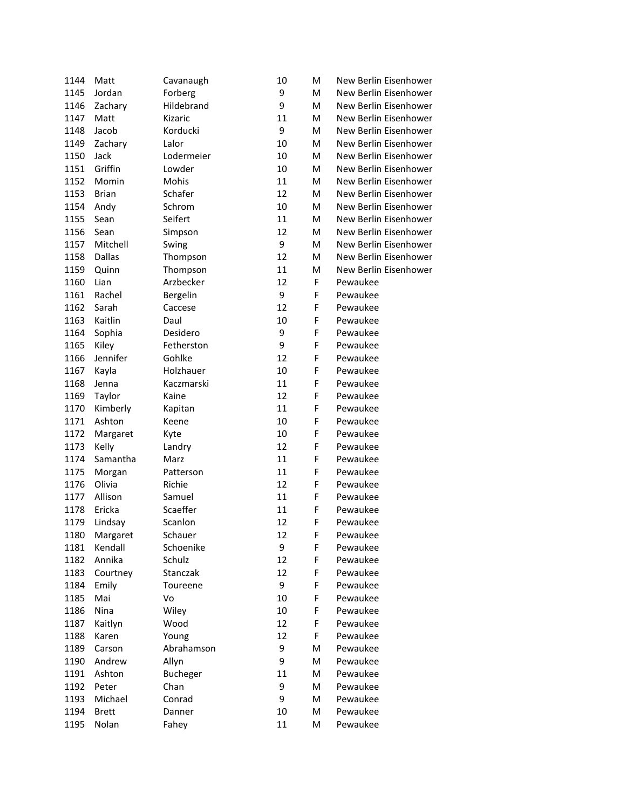| 1144 | Matt         | Cavanaugh       | 10 | M  | New Berlin Eisenhower |
|------|--------------|-----------------|----|----|-----------------------|
| 1145 | Jordan       | Forberg         | 9  | M  | New Berlin Eisenhower |
| 1146 | Zachary      | Hildebrand      | 9  | M  | New Berlin Eisenhower |
| 1147 | Matt         | Kizaric         | 11 | M  | New Berlin Eisenhower |
| 1148 | Jacob        | Korducki        | 9  | M  | New Berlin Eisenhower |
| 1149 | Zachary      | Lalor           | 10 | M  | New Berlin Eisenhower |
| 1150 | Jack         | Lodermeier      | 10 | M  | New Berlin Eisenhower |
| 1151 | Griffin      | Lowder          | 10 | M  | New Berlin Eisenhower |
| 1152 | Momin        | Mohis           | 11 | M  | New Berlin Eisenhower |
| 1153 | <b>Brian</b> | Schafer         | 12 | M  | New Berlin Eisenhower |
| 1154 | Andy         | Schrom          | 10 | M  | New Berlin Eisenhower |
| 1155 | Sean         | Seifert         | 11 | M  | New Berlin Eisenhower |
| 1156 | Sean         | Simpson         | 12 | M  | New Berlin Eisenhower |
| 1157 | Mitchell     | Swing           | 9  | M  | New Berlin Eisenhower |
| 1158 | Dallas       | Thompson        | 12 | M  | New Berlin Eisenhower |
| 1159 | Quinn        | Thompson        | 11 | M  | New Berlin Eisenhower |
| 1160 | Lian         | Arzbecker       | 12 | F  | Pewaukee              |
| 1161 | Rachel       | Bergelin        | 9  | F  | Pewaukee              |
| 1162 | Sarah        | Caccese         | 12 | F  | Pewaukee              |
| 1163 | Kaitlin      | Daul            | 10 | F  | Pewaukee              |
| 1164 | Sophia       | Desidero        | 9  | F  | Pewaukee              |
| 1165 | Kiley        | Fetherston      | 9  | F  | Pewaukee              |
| 1166 | Jennifer     | Gohlke          | 12 | F  | Pewaukee              |
| 1167 | Kayla        | Holzhauer       | 10 | F  | Pewaukee              |
| 1168 | Jenna        | Kaczmarski      | 11 | F  | Pewaukee              |
| 1169 | Taylor       | Kaine           | 12 | F  | Pewaukee              |
| 1170 | Kimberly     | Kapitan         | 11 | F  | Pewaukee              |
| 1171 | Ashton       | Keene           | 10 | F  | Pewaukee              |
| 1172 | Margaret     | Kyte            | 10 | F  | Pewaukee              |
| 1173 | Kelly        | Landry          | 12 | F  | Pewaukee              |
| 1174 | Samantha     | Marz            | 11 | F  | Pewaukee              |
| 1175 | Morgan       | Patterson       | 11 | F  | Pewaukee              |
| 1176 | Olivia       | Richie          | 12 | F  | Pewaukee              |
| 1177 | Allison      | Samuel          | 11 | F  | Pewaukee              |
| 1178 | Ericka       | Scaeffer        | 11 | F  | Pewaukee              |
| 1179 | Lindsay      | Scanlon         | 12 | F  | Pewaukee              |
| 1180 | Margaret     | Schauer         | 12 | F, | Pewaukee              |
| 1181 | Kendall      | Schoenike       | 9  | F  | Pewaukee              |
| 1182 | Annika       | Schulz          | 12 | F  | Pewaukee              |
| 1183 | Courtney     | Stanczak        | 12 | F  | Pewaukee              |
| 1184 | Emily        | Toureene        | 9  | F  | Pewaukee              |
| 1185 | Mai          | Vo              | 10 | F  | Pewaukee              |
| 1186 | Nina         | Wiley           | 10 | F  | Pewaukee              |
| 1187 | Kaitlyn      | Wood            | 12 | F  | Pewaukee              |
| 1188 | Karen        | Young           | 12 | F  | Pewaukee              |
| 1189 | Carson       | Abrahamson      | 9  | M  | Pewaukee              |
| 1190 | Andrew       | Allyn           | 9  | M  | Pewaukee              |
| 1191 | Ashton       | <b>Bucheger</b> | 11 | M  | Pewaukee              |
| 1192 | Peter        | Chan            | 9  | M  | Pewaukee              |
| 1193 | Michael      | Conrad          | 9  | M  | Pewaukee              |
| 1194 | <b>Brett</b> | Danner          | 10 | M  | Pewaukee              |
| 1195 | Nolan        | Fahey           | 11 | M  | Pewaukee              |
|      |              |                 |    |    |                       |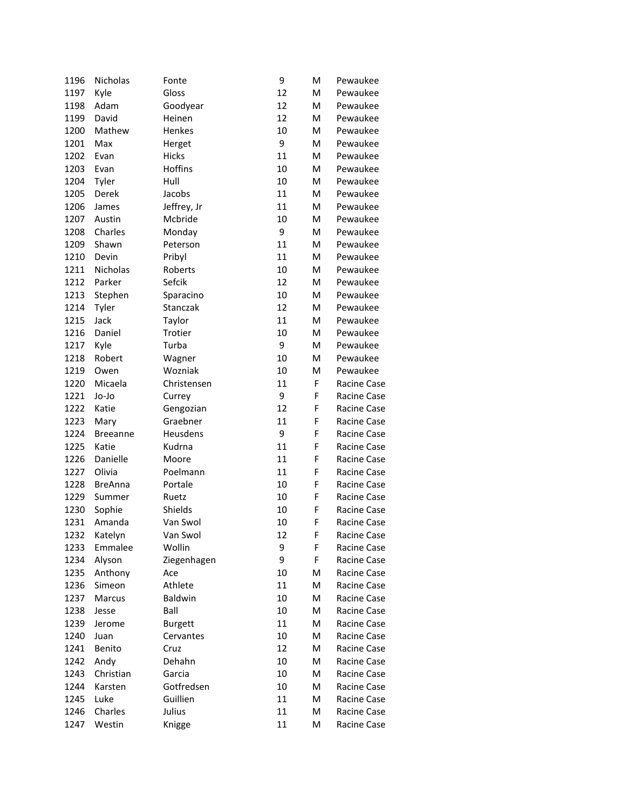| 1196         | Nicholas        | Fonte          | 9  | м | Pewaukee    |
|--------------|-----------------|----------------|----|---|-------------|
| 1197         | Kyle            | Gloss          | 12 | M | Pewaukee    |
| 1198         | Adam            | Goodyear       | 12 | M | Pewaukee    |
| 1199         | David           | Heinen         | 12 | M | Pewaukee    |
| 1200         | Mathew          | Henkes         | 10 | M | Pewaukee    |
| 1201         | Max             | Herget         | 9  | м | Pewaukee    |
| 1202         | Evan            | <b>Hicks</b>   | 11 | м | Pewaukee    |
| 1203         | Evan            | Hoffins        | 10 | м | Pewaukee    |
| 1204         | Tyler           | Hull           | 10 | M | Pewaukee    |
| 1205         | <b>Derek</b>    | Jacobs         | 11 | M | Pewaukee    |
| 1206         | James           | Jeffrey, Jr    | 11 | M | Pewaukee    |
| 1207         | Austin          | Mcbride        | 10 | M | Pewaukee    |
| 1208         | Charles         | Monday         | 9  | M | Pewaukee    |
| 1209         | Shawn           | Peterson       | 11 | M | Pewaukee    |
| 1210         | Devin           | Pribyl         | 11 | M | Pewaukee    |
| 1211         | Nicholas        | Roberts        | 10 | M | Pewaukee    |
| 1212         | Parker          | Sefcik         | 12 | M | Pewaukee    |
| 1213         | Stephen         | Sparacino      | 10 | M | Pewaukee    |
| 1214         | Tyler           | Stanczak       | 12 | M | Pewaukee    |
| 1215         | Jack            | Taylor         | 11 | M | Pewaukee    |
| 1216         | Daniel          | Trotier        | 10 | M | Pewaukee    |
| 1217         | Kyle            | Turba          | 9  | м | Pewaukee    |
| 1218         | Robert          | Wagner         | 10 | M | Pewaukee    |
| 1219         | Owen            | Wozniak        | 10 | M | Pewaukee    |
| 1220         | Micaela         | Christensen    | 11 | F | Racine Case |
| 1221         | Jo-Jo           | Currey         | 9  | F | Racine Case |
| 1222         | Katie           | Gengozian      | 12 | F | Racine Case |
| 1223         | Mary            | Graebner       | 11 | F | Racine Case |
| 1224         | <b>Breeanne</b> | Heusdens       | 9  | F | Racine Case |
| 1225         | Katie           | Kudrna         | 11 | F | Racine Case |
| 1226         | Danielle        | Moore          | 11 | F | Racine Case |
| 1227         | Olivia          | Poelmann       | 11 | F | Racine Case |
| 1228         | <b>BreAnna</b>  | Portale        | 10 | F | Racine Case |
| 1229         | Summer          | Ruetz          | 10 | F | Racine Case |
|              | Sophie          | Shields        | 10 | F | Racine Case |
| 1230<br>1231 | Amanda          | Van Swol       | 10 | F | Racine Case |
|              | Katelyn         | Van Swol       | 12 |   | Racine Case |
| 1232         |                 |                |    | F |             |
| 1233         | Emmalee         | Wollin         | 9  | F | Racine Case |
| 1234         | Alyson          | Ziegenhagen    | 9  | F | Racine Case |
| 1235         | Anthony         | Ace            | 10 | M | Racine Case |
| 1236         | Simeon          | Athlete        | 11 | M | Racine Case |
| 1237         | Marcus          | Baldwin        | 10 | M | Racine Case |
| 1238         | Jesse           | Ball           | 10 | M | Racine Case |
| 1239         | Jerome          | <b>Burgett</b> | 11 | M | Racine Case |
| 1240         | Juan            | Cervantes      | 10 | M | Racine Case |
| 1241         | Benito          | Cruz           | 12 | M | Racine Case |
| 1242         | Andy            | Dehahn         | 10 | M | Racine Case |
| 1243         | Christian       | Garcia         | 10 | M | Racine Case |
| 1244         | Karsten         | Gotfredsen     | 10 | M | Racine Case |
| 1245         | Luke            | Guillien       | 11 | M | Racine Case |
| 1246         | Charles         | Julius         | 11 | M | Racine Case |
| 1247         | Westin          | Knigge         | 11 | M | Racine Case |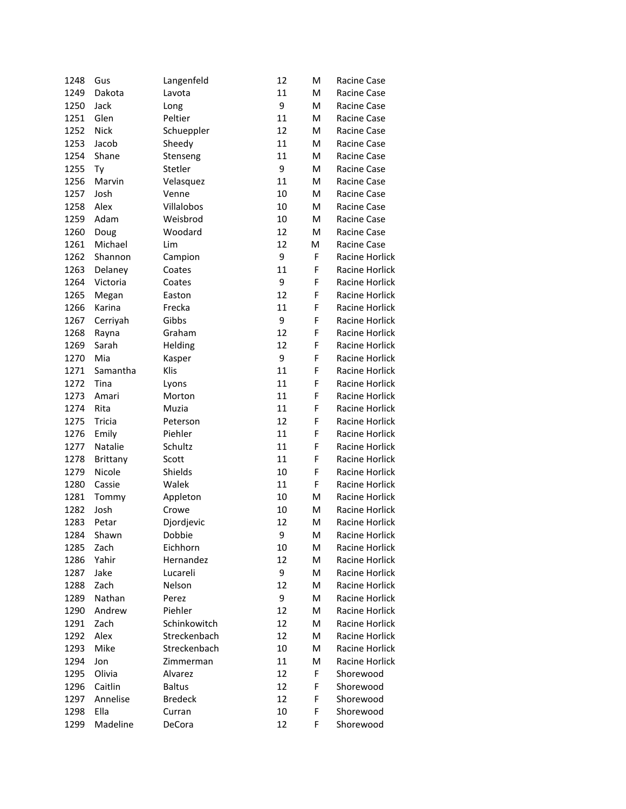| 1248 | Gus         | Langenfeld     | 12 | M           | Racine Case           |
|------|-------------|----------------|----|-------------|-----------------------|
| 1249 | Dakota      | Lavota         | 11 | M           | Racine Case           |
| 1250 | Jack        | Long           | 9  | M           | Racine Case           |
| 1251 | Glen        | Peltier        | 11 | M           | Racine Case           |
| 1252 | <b>Nick</b> | Schueppler     | 12 | M           | Racine Case           |
| 1253 | Jacob       | Sheedy         | 11 | M           | Racine Case           |
| 1254 | Shane       | Stenseng       | 11 | M           | Racine Case           |
| 1255 | Ty          | Stetler        | 9  | M           | Racine Case           |
| 1256 | Marvin      | Velasquez      | 11 | M           | Racine Case           |
| 1257 | Josh        | Venne          | 10 | M           | Racine Case           |
| 1258 | Alex        | Villalobos     | 10 | M           | Racine Case           |
| 1259 | Adam        | Weisbrod       | 10 | M           | Racine Case           |
| 1260 | Doug        | Woodard        | 12 | M           | Racine Case           |
| 1261 | Michael     | Lim            | 12 | M           | Racine Case           |
| 1262 | Shannon     | Campion        | 9  | F           | Racine Horlick        |
| 1263 | Delaney     | Coates         | 11 | F           | Racine Horlick        |
| 1264 | Victoria    | Coates         | 9  | F           | Racine Horlick        |
| 1265 | Megan       | Easton         | 12 | F           | Racine Horlick        |
| 1266 | Karina      | Frecka         | 11 | F           | Racine Horlick        |
| 1267 | Cerriyah    | Gibbs          | 9  | F           | Racine Horlick        |
| 1268 | Rayna       | Graham         | 12 | F           | Racine Horlick        |
| 1269 | Sarah       | Helding        | 12 | F           | Racine Horlick        |
| 1270 | Mia         | Kasper         | 9  | F           | Racine Horlick        |
| 1271 | Samantha    | Klis           | 11 | F           | Racine Horlick        |
| 1272 | Tina        | Lyons          | 11 | F           | Racine Horlick        |
| 1273 | Amari       | Morton         | 11 | F           | Racine Horlick        |
| 1274 | Rita        | Muzia          | 11 | F           | Racine Horlick        |
| 1275 | Tricia      | Peterson       | 12 | F           | Racine Horlick        |
| 1276 | Emily       | Piehler        | 11 | F           | Racine Horlick        |
| 1277 | Natalie     | Schultz        | 11 | $\mathsf F$ | Racine Horlick        |
| 1278 | Brittany    | Scott          | 11 | F           | Racine Horlick        |
| 1279 | Nicole      | Shields        | 10 | F           | Racine Horlick        |
| 1280 | Cassie      | Walek          | 11 | F           | Racine Horlick        |
| 1281 | Tommy       | Appleton       | 10 | M           | Racine Horlick        |
| 1282 | Josh        | Crowe          | 10 | M           | <b>Racine Horlick</b> |
| 1283 | Petar       | Djordjevic     | 12 | M           | Racine Horlick        |
| 1284 | Shawn       | Dobbie         | 9  | M           | Racine Horlick        |
| 1285 | Zach        | Eichhorn       | 10 | M           | Racine Horlick        |
| 1286 | Yahir       | Hernandez      | 12 | M           | Racine Horlick        |
| 1287 | Jake        | Lucareli       | 9  | Μ           | Racine Horlick        |
| 1288 | Zach        | Nelson         | 12 | M           | Racine Horlick        |
| 1289 | Nathan      | Perez          | 9  | M           | Racine Horlick        |
| 1290 | Andrew      | Piehler        | 12 | M           | Racine Horlick        |
| 1291 | Zach        | Schinkowitch   | 12 | M           | Racine Horlick        |
| 1292 | Alex        | Streckenbach   | 12 | M           | Racine Horlick        |
| 1293 | Mike        | Streckenbach   | 10 | M           | Racine Horlick        |
| 1294 | Jon         | Zimmerman      | 11 | M           | <b>Racine Horlick</b> |
| 1295 | Olivia      | Alvarez        | 12 | F           | Shorewood             |
| 1296 | Caitlin     | <b>Baltus</b>  | 12 | F           | Shorewood             |
| 1297 | Annelise    | <b>Bredeck</b> | 12 | F           | Shorewood             |
| 1298 | Ella        | Curran         | 10 | F           | Shorewood             |
| 1299 | Madeline    | DeCora         | 12 | F           | Shorewood             |
|      |             |                |    |             |                       |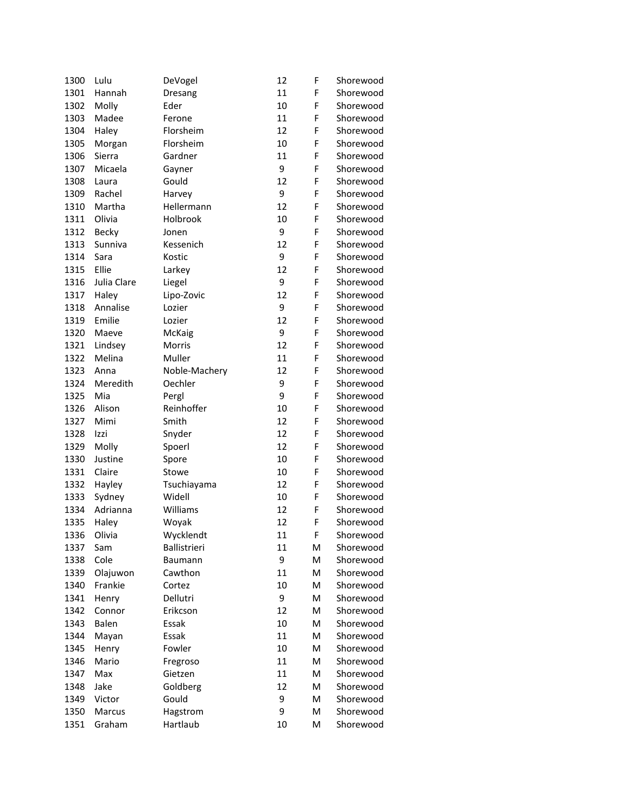| 1300 | Lulu        | DeVogel       | 12 | F | Shorewood |
|------|-------------|---------------|----|---|-----------|
| 1301 | Hannah      | Dresang       | 11 | F | Shorewood |
| 1302 | Molly       | Eder          | 10 | F | Shorewood |
| 1303 | Madee       | Ferone        | 11 | F | Shorewood |
| 1304 | Haley       | Florsheim     | 12 | F | Shorewood |
| 1305 | Morgan      | Florsheim     | 10 | F | Shorewood |
| 1306 | Sierra      | Gardner       | 11 | F | Shorewood |
| 1307 | Micaela     | Gayner        | 9  | F | Shorewood |
| 1308 | Laura       | Gould         | 12 | F | Shorewood |
| 1309 | Rachel      | Harvey        | 9  | F | Shorewood |
| 1310 | Martha      | Hellermann    | 12 | F | Shorewood |
| 1311 | Olivia      | Holbrook      | 10 | F | Shorewood |
| 1312 | Becky       | Jonen         | 9  | F | Shorewood |
| 1313 | Sunniva     | Kessenich     | 12 | F | Shorewood |
| 1314 | Sara        | Kostic        | 9  | F | Shorewood |
| 1315 | Ellie       | Larkey        | 12 | F | Shorewood |
| 1316 | Julia Clare | Liegel        | 9  | F | Shorewood |
| 1317 | Haley       | Lipo-Zovic    | 12 | F | Shorewood |
| 1318 | Annalise    | Lozier        | 9  | F | Shorewood |
| 1319 | Emilie      | Lozier        | 12 | F | Shorewood |
| 1320 | Maeve       | McKaig        | 9  | F | Shorewood |
| 1321 | Lindsey     | Morris        | 12 | F | Shorewood |
| 1322 | Melina      | Muller        | 11 | F | Shorewood |
| 1323 | Anna        | Noble-Machery | 12 | F | Shorewood |
| 1324 | Meredith    | Oechler       | 9  | F | Shorewood |
| 1325 | Mia         | Pergl         | 9  | F | Shorewood |
| 1326 | Alison      | Reinhoffer    | 10 | F | Shorewood |
| 1327 | Mimi        | Smith         | 12 | F | Shorewood |
| 1328 | Izzi        | Snyder        | 12 | F | Shorewood |
| 1329 | Molly       | Spoerl        | 12 | F | Shorewood |
| 1330 | Justine     | Spore         | 10 | F | Shorewood |
| 1331 | Claire      | Stowe         | 10 | F | Shorewood |
| 1332 | Hayley      | Tsuchiayama   | 12 | F | Shorewood |
| 1333 | Sydney      | Widell        | 10 | F | Shorewood |
| 1334 | Adrianna    | Williams      | 12 | F | Shorewood |
| 1335 | Haley       | Woyak         | 12 | F | Shorewood |
| 1336 | Olivia      | Wycklendt     | 11 | F | Shorewood |
| 1337 | Sam         | Ballistrieri  | 11 | M | Shorewood |
| 1338 | Cole        | Baumann       | 9  | M | Shorewood |
| 1339 | Olajuwon    | Cawthon       | 11 | M | Shorewood |
| 1340 | Frankie     | Cortez        | 10 | M | Shorewood |
| 1341 | Henry       | Dellutri      | 9  | M | Shorewood |
| 1342 | Connor      | Erikcson      | 12 | M | Shorewood |
| 1343 | Balen       | Essak         | 10 | M | Shorewood |
| 1344 | Mayan       | Essak         | 11 | M | Shorewood |
| 1345 | Henry       | Fowler        | 10 | M | Shorewood |
| 1346 | Mario       | Fregroso      | 11 | M | Shorewood |
| 1347 | Max         | Gietzen       | 11 | M | Shorewood |
| 1348 | Jake        | Goldberg      | 12 | M | Shorewood |
| 1349 | Victor      | Gould         | 9  | M | Shorewood |
| 1350 | Marcus      | Hagstrom      | 9  | M | Shorewood |
| 1351 | Graham      | Hartlaub      | 10 | M | Shorewood |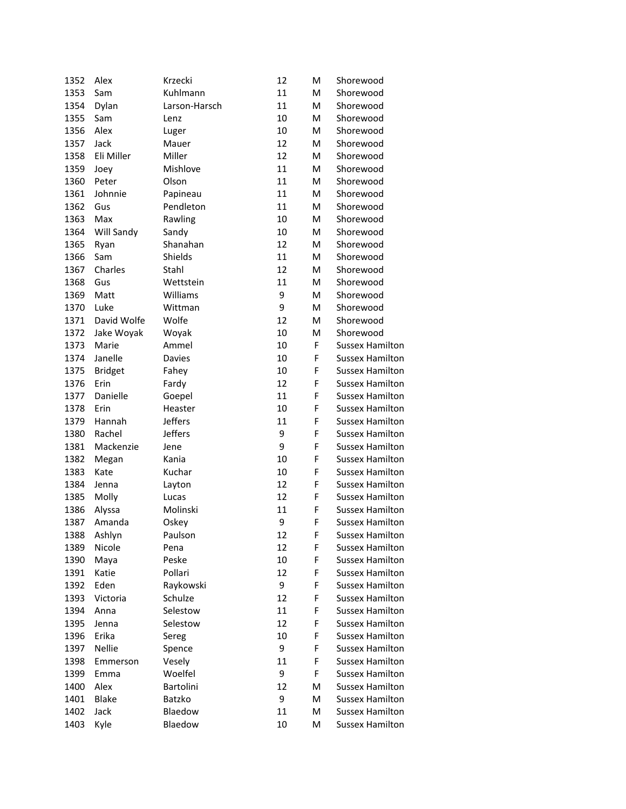| 1352         | Alex             | Krzecki        | 12 | M | Shorewood                                        |
|--------------|------------------|----------------|----|---|--------------------------------------------------|
| 1353         | Sam              | Kuhlmann       | 11 | M | Shorewood                                        |
| 1354         | Dylan            | Larson-Harsch  | 11 | M | Shorewood                                        |
| 1355         | Sam              | Lenz           | 10 | M | Shorewood                                        |
| 1356         | Alex             | Luger          | 10 | M | Shorewood                                        |
| 1357         | Jack             | Mauer          | 12 | M | Shorewood                                        |
| 1358         | Eli Miller       | Miller         | 12 | м | Shorewood                                        |
| 1359         | Joey             | Mishlove       | 11 | м | Shorewood                                        |
| 1360         | Peter            | Olson          | 11 | м | Shorewood                                        |
| 1361         | Johnnie          | Papineau       | 11 | M | Shorewood                                        |
| 1362         | Gus              | Pendleton      | 11 | M | Shorewood                                        |
| 1363         | Max              | Rawling        | 10 | M | Shorewood                                        |
| 1364         | Will Sandy       | Sandy          | 10 | M | Shorewood                                        |
| 1365         | Ryan             | Shanahan       | 12 | M | Shorewood                                        |
| 1366         | Sam              | Shields        | 11 | M | Shorewood                                        |
| 1367         | Charles          | Stahl          | 12 | M | Shorewood                                        |
| 1368         | Gus              | Wettstein      | 11 | M | Shorewood                                        |
| 1369         | Matt             | Williams       | 9  | M | Shorewood                                        |
| 1370         | Luke             | Wittman        | 9  | M | Shorewood                                        |
| 1371         | David Wolfe      | Wolfe          | 12 | M | Shorewood                                        |
| 1372         | Jake Woyak       | Woyak          | 10 | M | Shorewood                                        |
| 1373         | Marie            | Ammel          | 10 | F | <b>Sussex Hamilton</b>                           |
| 1374         | Janelle          | Davies         | 10 | F | <b>Sussex Hamilton</b>                           |
| 1375         | <b>Bridget</b>   | Fahey          | 10 | F | <b>Sussex Hamilton</b>                           |
| 1376         | Erin             | Fardy          | 12 | F | <b>Sussex Hamilton</b>                           |
| 1377         | Danielle         | Goepel         | 11 | F | <b>Sussex Hamilton</b>                           |
| 1378         | Erin             | Heaster        | 10 | F | <b>Sussex Hamilton</b>                           |
| 1379         | Hannah           | <b>Jeffers</b> | 11 | F | <b>Sussex Hamilton</b>                           |
| 1380         | Rachel           | <b>Jeffers</b> | 9  | F | <b>Sussex Hamilton</b>                           |
| 1381         | Mackenzie        | Jene           | 9  | F | <b>Sussex Hamilton</b>                           |
| 1382         |                  | Kania          | 10 | F | <b>Sussex Hamilton</b>                           |
| 1383         | Megan<br>Kate    | Kuchar         | 10 | F | <b>Sussex Hamilton</b>                           |
| 1384         | Jenna            | Layton         | 12 | F | <b>Sussex Hamilton</b>                           |
|              | Molly            | Lucas          | 12 | F | <b>Sussex Hamilton</b>                           |
| 1385<br>1386 |                  | Molinski       | 11 | F | <b>Sussex Hamilton</b>                           |
| 1387         | Alyssa<br>Amanda | Oskey          | 9  | F | <b>Sussex Hamilton</b>                           |
|              |                  |                | 12 | F |                                                  |
| 1388         | Ashlyn           | Paulson        |    |   | <b>Sussex Hamilton</b>                           |
| 1389         | Nicole           | Pena<br>Peske  | 12 | F | <b>Sussex Hamilton</b><br><b>Sussex Hamilton</b> |
| 1390         | Maya             |                | 10 | F |                                                  |
| 1391         | Katie            | Pollari        | 12 | F | <b>Sussex Hamilton</b>                           |
| 1392         | Eden             | Raykowski      | 9  | F | <b>Sussex Hamilton</b>                           |
| 1393         | Victoria         | Schulze        | 12 | F | <b>Sussex Hamilton</b>                           |
| 1394         | Anna             | Selestow       | 11 | F | <b>Sussex Hamilton</b>                           |
| 1395         | Jenna            | Selestow       | 12 | F | <b>Sussex Hamilton</b>                           |
| 1396         | Erika            | Sereg          | 10 | F | <b>Sussex Hamilton</b>                           |
| 1397         | Nellie           | Spence         | 9  | F | <b>Sussex Hamilton</b>                           |
| 1398         | Emmerson         | Vesely         | 11 | F | <b>Sussex Hamilton</b>                           |
| 1399         | Emma             | Woelfel        | 9  | F | <b>Sussex Hamilton</b>                           |
| 1400         | Alex             | Bartolini      | 12 | M | <b>Sussex Hamilton</b>                           |
| 1401         | Blake            | Batzko         | 9  | M | <b>Sussex Hamilton</b>                           |
| 1402         | Jack             | Blaedow        | 11 | M | <b>Sussex Hamilton</b>                           |
| 1403         | Kyle             | Blaedow        | 10 | M | <b>Sussex Hamilton</b>                           |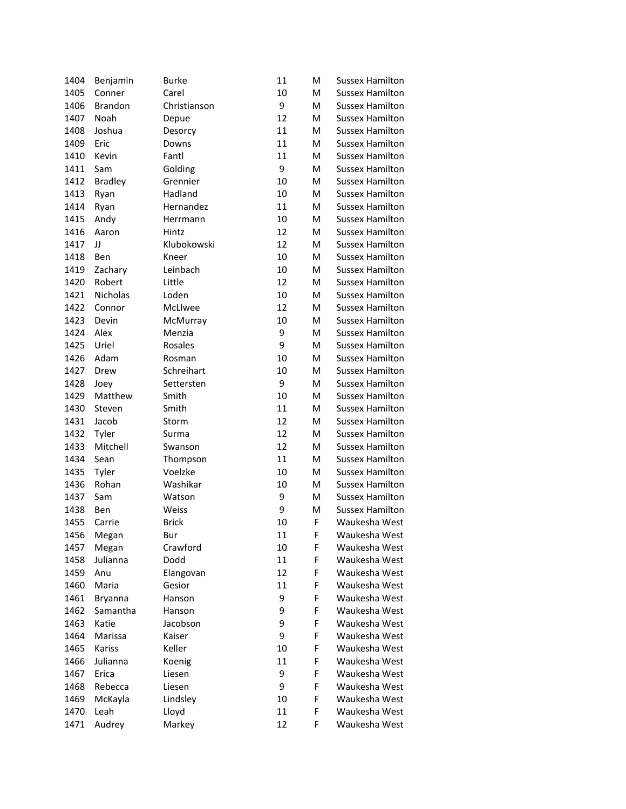| 1404 | Benjamin       | <b>Burke</b>        | 11       | M      | <b>Sussex Hamilton</b>         |
|------|----------------|---------------------|----------|--------|--------------------------------|
| 1405 | Conner         | Carel               | 10       | м      | <b>Sussex Hamilton</b>         |
| 1406 | <b>Brandon</b> | Christianson        | 9        | м      | <b>Sussex Hamilton</b>         |
| 1407 | Noah           | Depue               | 12       | M      | <b>Sussex Hamilton</b>         |
| 1408 | Joshua         | Desorcy             | 11       | M      | Sussex Hamilton                |
| 1409 | Eric           | Downs               | 11       | м      | <b>Sussex Hamilton</b>         |
| 1410 | Kevin          | Fantl               | 11       | м      | <b>Sussex Hamilton</b>         |
| 1411 | Sam            | Golding             | 9        | M      | <b>Sussex Hamilton</b>         |
| 1412 | <b>Bradley</b> | Grennier            | 10       | M      | <b>Sussex Hamilton</b>         |
| 1413 | Ryan           | Hadland             | 10       | м      | <b>Sussex Hamilton</b>         |
| 1414 | Ryan           | Hernandez           | 11       | м      | <b>Sussex Hamilton</b>         |
| 1415 | Andy           | Herrmann            | 10       | M      | <b>Sussex Hamilton</b>         |
| 1416 | Aaron          | Hintz               | 12       | M      | <b>Sussex Hamilton</b>         |
| 1417 | IJ             | Klubokowski         | 12       | M      | <b>Sussex Hamilton</b>         |
| 1418 | Ben            | Kneer               | 10       | M      | <b>Sussex Hamilton</b>         |
| 1419 | Zachary        | Leinbach            | 10       | M      | <b>Sussex Hamilton</b>         |
| 1420 | Robert         | Little              | 12       | M      | <b>Sussex Hamilton</b>         |
| 1421 | Nicholas       | Loden               | 10       | M      | <b>Sussex Hamilton</b>         |
| 1422 | Connor         | McLlwee             | 12       | M      | <b>Sussex Hamilton</b>         |
| 1423 | Devin          | McMurray            | 10       | M      | <b>Sussex Hamilton</b>         |
| 1424 | Alex           | Menzia              | 9        | M      | Sussex Hamilton                |
| 1425 | Uriel          | Rosales             | 9        | M      | <b>Sussex Hamilton</b>         |
| 1426 | Adam           | Rosman              | 10       | M      | <b>Sussex Hamilton</b>         |
| 1427 | Drew           | Schreihart          | 10       | M      | <b>Sussex Hamilton</b>         |
| 1428 | Joey           | Settersten          | 9        | M      | <b>Sussex Hamilton</b>         |
| 1429 | Matthew        | Smith               | 10       | м      | <b>Sussex Hamilton</b>         |
| 1430 | Steven         | Smith               | 11       | м      | <b>Sussex Hamilton</b>         |
| 1431 | Jacob          | Storm               | 12       | M      | <b>Sussex Hamilton</b>         |
| 1432 | Tyler          | Surma               | 12       | M      | <b>Sussex Hamilton</b>         |
| 1433 | Mitchell       | Swanson             | 12       | м      | <b>Sussex Hamilton</b>         |
| 1434 | Sean           |                     | 11       | м      | <b>Sussex Hamilton</b>         |
| 1435 | Tyler          | Thompson<br>Voelzke | 10       | M      | <b>Sussex Hamilton</b>         |
| 1436 | Rohan          | Washikar            | 10       | M      | <b>Sussex Hamilton</b>         |
| 1437 | Sam            | Watson              | 9        | M      | <b>Sussex Hamilton</b>         |
| 1438 | Ben            | Weiss               | 9        | м      | <b>Sussex Hamilton</b>         |
| 1455 | Carrie         | <b>Brick</b>        | 10       | F      | Waukesha West                  |
|      |                |                     |          |        |                                |
| 1456 | Megan          | Bur<br>Crawford     | 11<br>10 | F<br>F | Waukesha West<br>Waukesha West |
| 1457 | Megan          |                     |          |        | Waukesha West                  |
| 1458 | Julianna       | Dodd                | 11       | F      | Waukesha West                  |
| 1459 | Anu<br>Maria   | Elangovan<br>Gesior | 12       | F<br>F |                                |
| 1460 |                |                     | 11       |        | Waukesha West                  |
| 1461 | Bryanna        | Hanson              | 9        | F      | Waukesha West                  |
| 1462 | Samantha       | Hanson              | 9        | F      | Waukesha West                  |
| 1463 | Katie          | Jacobson            | 9        | F      | Waukesha West                  |
| 1464 | Marissa        | Kaiser              | 9        | F      | Waukesha West                  |
| 1465 | Kariss         | Keller              | 10       | F      | Waukesha West                  |
| 1466 | Julianna       | Koenig              | 11       | F      | Waukesha West                  |
| 1467 | Erica          | Liesen              | 9        | F      | Waukesha West                  |
| 1468 | Rebecca        | Liesen              | 9        | F      | Waukesha West                  |
| 1469 | McKayla        | Lindsley            | 10       | F      | Waukesha West                  |
| 1470 | Leah           | Lloyd               | 11       | F      | Waukesha West                  |
| 1471 | Audrey         | Markey              | 12       | F      | Waukesha West                  |